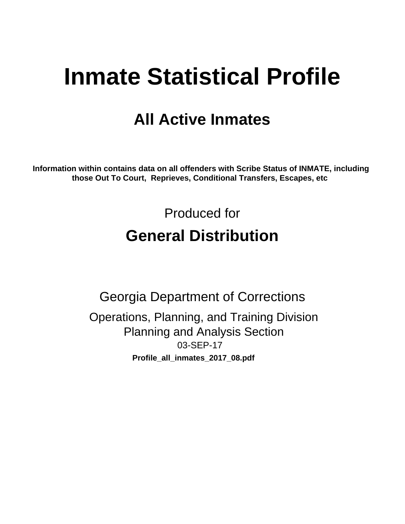# **Inmate Statistical Profile**

# **All Active Inmates**

Information within contains data on all offenders with Scribe Status of INMATE, including those Out To Court, Reprieves, Conditional Transfers, Escapes, etc

> Produced for **General Distribution**

**Georgia Department of Corrections** Operations, Planning, and Training Division **Planning and Analysis Section** 03-SEP-17 Profile\_all\_inmates\_2017\_08.pdf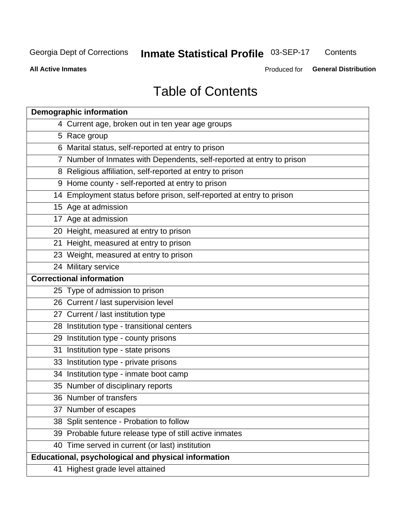#### Inmate Statistical Profile 03-SEP-17 Contents

**All Active Inmates** 

Produced for General Distribution

# **Table of Contents**

|    | <b>Demographic information</b>                                        |
|----|-----------------------------------------------------------------------|
|    | 4 Current age, broken out in ten year age groups                      |
|    | 5 Race group                                                          |
|    | 6 Marital status, self-reported at entry to prison                    |
|    | 7 Number of Inmates with Dependents, self-reported at entry to prison |
|    | 8 Religious affiliation, self-reported at entry to prison             |
|    | 9 Home county - self-reported at entry to prison                      |
|    | 14 Employment status before prison, self-reported at entry to prison  |
|    | 15 Age at admission                                                   |
|    | 17 Age at admission                                                   |
|    | 20 Height, measured at entry to prison                                |
|    | 21 Height, measured at entry to prison                                |
|    | 23 Weight, measured at entry to prison                                |
|    | 24 Military service                                                   |
|    | <b>Correctional information</b>                                       |
|    | 25 Type of admission to prison                                        |
|    | 26 Current / last supervision level                                   |
|    | 27 Current / last institution type                                    |
|    | 28 Institution type - transitional centers                            |
|    | 29 Institution type - county prisons                                  |
| 31 | Institution type - state prisons                                      |
|    | 33 Institution type - private prisons                                 |
|    | 34 Institution type - inmate boot camp                                |
|    | 35 Number of disciplinary reports                                     |
|    | 36 Number of transfers                                                |
|    | 37 Number of escapes                                                  |
|    | 38 Split sentence - Probation to follow                               |
|    | 39 Probable future release type of still active inmates               |
|    | 40 Time served in current (or last) institution                       |
|    | Educational, psychological and physical information                   |
|    | 41 Highest grade level attained                                       |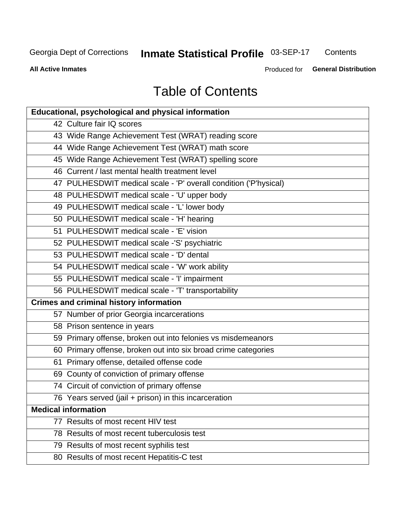# Inmate Statistical Profile 03-SEP-17

Contents

**All Active Inmates** 

Produced for General Distribution

# **Table of Contents**

| <b>Educational, psychological and physical information</b>       |
|------------------------------------------------------------------|
| 42 Culture fair IQ scores                                        |
| 43 Wide Range Achievement Test (WRAT) reading score              |
| 44 Wide Range Achievement Test (WRAT) math score                 |
| 45 Wide Range Achievement Test (WRAT) spelling score             |
| 46 Current / last mental health treatment level                  |
| 47 PULHESDWIT medical scale - 'P' overall condition ('P'hysical) |
| 48 PULHESDWIT medical scale - 'U' upper body                     |
| 49 PULHESDWIT medical scale - 'L' lower body                     |
| 50 PULHESDWIT medical scale - 'H' hearing                        |
| 51 PULHESDWIT medical scale - 'E' vision                         |
| 52 PULHESDWIT medical scale -'S' psychiatric                     |
| 53 PULHESDWIT medical scale - 'D' dental                         |
| 54 PULHESDWIT medical scale - 'W' work ability                   |
| 55 PULHESDWIT medical scale - 'I' impairment                     |
| 56 PULHESDWIT medical scale - 'T' transportability               |
| <b>Crimes and criminal history information</b>                   |
| 57 Number of prior Georgia incarcerations                        |
| 58 Prison sentence in years                                      |
| 59 Primary offense, broken out into felonies vs misdemeanors     |
| 60 Primary offense, broken out into six broad crime categories   |
| 61 Primary offense, detailed offense code                        |
| 69 County of conviction of primary offense                       |
| 74 Circuit of conviction of primary offense                      |
| 76 Years served (jail + prison) in this incarceration            |
| <b>Medical information</b>                                       |
| 77 Results of most recent HIV test                               |
| 78 Results of most recent tuberculosis test                      |
| 79 Results of most recent syphilis test                          |
| 80 Results of most recent Hepatitis-C test                       |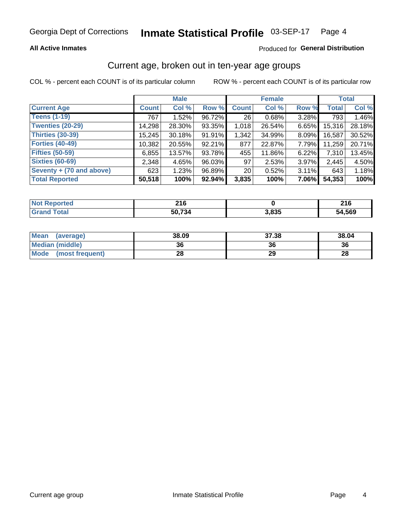#### Inmate Statistical Profile 03-SEP-17 Page 4

### **All Active Inmates**

### Produced for General Distribution

### Current age, broken out in ten-year age groups

COL % - percent each COUNT is of its particular column

|                          |              | <b>Male</b> |           |                 | <b>Female</b> |       |              | <b>Total</b> |  |
|--------------------------|--------------|-------------|-----------|-----------------|---------------|-------|--------------|--------------|--|
| <b>Current Age</b>       | <b>Count</b> | Col %       | Row %     | <b>Count</b>    | Col %         | Row % | <b>Total</b> | Col %        |  |
| <b>Teens (1-19)</b>      | 767          | 1.52%       | 96.72%    | 26              | 0.68%         | 3.28% | 793          | 1.46%        |  |
| <b>Twenties (20-29)</b>  | 14,298       | 28.30%      | 93.35%    | 1,018           | 26.54%        | 6.65% | 15,316       | 28.18%       |  |
| <b>Thirties (30-39)</b>  | 15,245       | $30.18\%$   | 91.91%    | 1,342           | 34.99%        | 8.09% | 16.587       | 30.52%       |  |
| <b>Forties (40-49)</b>   | 10,382       | 20.55%      | 92.21%    | 877             | 22.87%        | 7.79% | 11,259       | 20.71%       |  |
| <b>Fifties (50-59)</b>   | 6,855        | 13.57%      | 93.78%    | 455             | 11.86%        | 6.22% | 7,310        | 13.45%       |  |
| <b>Sixties (60-69)</b>   | 2,348        | 4.65%       | 96.03%    | 97              | 2.53%         | 3.97% | 2,445        | 4.50%        |  |
| Seventy + (70 and above) | 623          | 1.23%       | 96.89%    | 20 <sub>1</sub> | 0.52%         | 3.11% | 643          | 1.18%        |  |
| <b>Total Reported</b>    | 50,518       | 100%        | $92.94\%$ | 3,835           | 100%          | 7.06% | 54,353       | 100%         |  |

| <b>Not</b>        | <b>040</b> |       | 24C        |
|-------------------|------------|-------|------------|
| <b>ported</b>     | <b>LIV</b> |       | <b>LIV</b> |
| $T \cap f \cap f$ | 50.734     | 3,835 | 54,569     |

| <b>Mean</b><br>(average) | 38.09 | 37.38 | 38.04 |
|--------------------------|-------|-------|-------|
| Median (middle)          | 36    | 36    | 36    |
| Mode<br>(most frequent)  | 28    | 29    | 28    |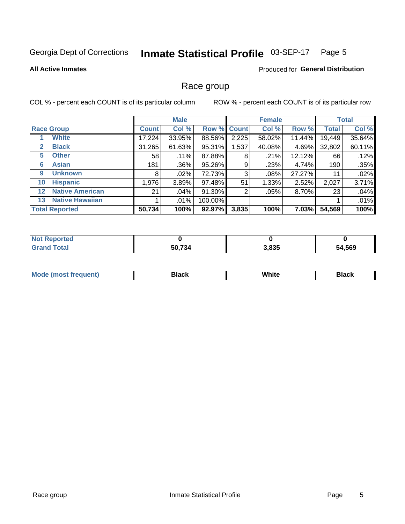#### Inmate Statistical Profile 03-SEP-17 Page 5

### **All Active Inmates**

### Produced for General Distribution

### Race group

COL % - percent each COUNT is of its particular column

|                   |                        |              | <b>Male</b> |         |             | <b>Female</b> |              |              | <b>Total</b> |  |
|-------------------|------------------------|--------------|-------------|---------|-------------|---------------|--------------|--------------|--------------|--|
|                   | <b>Race Group</b>      | <b>Count</b> | Col %       |         | Row % Count | Col %         | Row %        | <b>Total</b> | Col %        |  |
|                   | <b>White</b>           | 17,224       | 33.95%      | 88.56%  | 2,225       | 58.02%        | 11.44%       | 19,449       | 35.64%       |  |
| $\mathbf{2}$      | <b>Black</b>           | 31,265       | 61.63%      | 95.31%  | 1,537       | 40.08%        | 4.69%        | 32,802       | 60.11%       |  |
| 5.                | <b>Other</b>           | 58           | .11%        | 87.88%  | 8           | .21%          | 12.12%       | 66           | .12%         |  |
| 6                 | <b>Asian</b>           | 181          | .36%        | 95.26%  | 9           | .23%          | 4.74%        | 190          | .35%         |  |
| 9                 | <b>Unknown</b>         | 8            | $.02\%$     | 72.73%  | 3           | .08%          | 27.27%       | 11           | .02%         |  |
| 10                | <b>Hispanic</b>        | 1,976        | 3.89%       | 97.48%  | 51          | 1.33%         | 2.52%        | 2,027        | 3.71%        |  |
| $12 \overline{ }$ | <b>Native American</b> | 21           | $.04\%$     | 91.30%  | 2           | .05%          | 8.70%        | 23           | .04%         |  |
| 13                | <b>Native Hawaiian</b> |              | .01%        | 100.00% |             |               |              |              | .01%         |  |
|                   | <b>Total Reported</b>  | 50,734       | 100%        | 92.97%  | 3,835       | 100%          | <b>7.03%</b> | 54,569       | 100%         |  |

| <b>Not Reported</b> |        |       |        |
|---------------------|--------|-------|--------|
| <b>Grand Total</b>  | 50,734 | 3,835 | 54,569 |

| <b>Mode</b><br>---<br>most frequent) | Black | White | <b>Black</b> |
|--------------------------------------|-------|-------|--------------|
|                                      |       |       |              |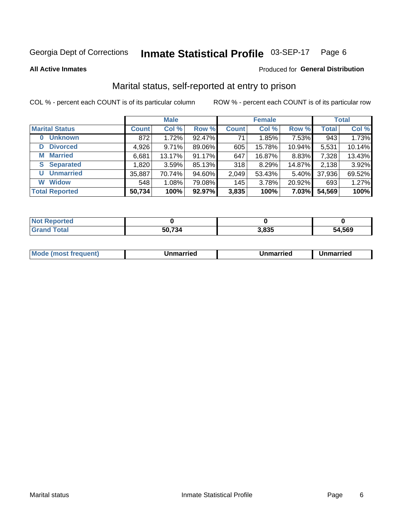#### Inmate Statistical Profile 03-SEP-17 Page 6

**All Active Inmates** 

### Produced for General Distribution

### Marital status, self-reported at entry to prison

COL % - percent each COUNT is of its particular column

|                            | <b>Male</b>  |        |        |              | <b>Female</b> | <b>Total</b> |              |        |
|----------------------------|--------------|--------|--------|--------------|---------------|--------------|--------------|--------|
| <b>Marital Status</b>      | <b>Count</b> | Col %  | Row %  | <b>Count</b> | Col %         | Row %        | <b>Total</b> | Col %  |
| <b>Unknown</b><br>$\bf{0}$ | 872          | 1.72%  | 92.47% | 71           | 1.85%         | 7.53%        | 943          | 1.73%  |
| <b>Divorced</b><br>D       | 4,926        | 9.71%  | 89.06% | 605          | 15.78%        | 10.94%       | 5,531        | 10.14% |
| <b>Married</b><br>М        | 6,681        | 13.17% | 91.17% | 647          | 16.87%        | 8.83%        | 7,328        | 13.43% |
| <b>Separated</b><br>S      | 1,820        | 3.59%  | 85.13% | 318          | 8.29%         | 14.87%       | 2,138        | 3.92%  |
| <b>Unmarried</b><br>U      | 35,887       | 70.74% | 94.60% | 2,049        | 53.43%        | 5.40%        | 37,936       | 69.52% |
| <b>Widow</b><br>W          | 548          | 1.08%  | 79.08% | 145          | 3.78%         | 20.92%       | 693          | 1.27%  |
| <b>Total Reported</b>      | 50,734       | 100%   | 92.97% | 3,835        | 100%          | 7.03%        | 54,569       | 100%   |

| $^{\dagger}$ Not.<br>norted |                  |       |        |
|-----------------------------|------------------|-------|--------|
| Гоtal                       | 721<br>-54<br>יי | 835.ء | 54.569 |

|--|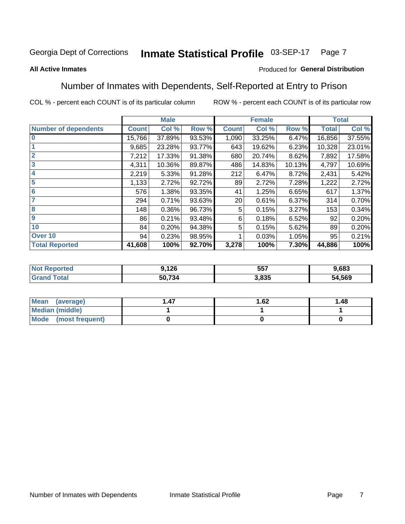#### Inmate Statistical Profile 03-SEP-17 Page 7

### **All Active Inmates**

### Produced for General Distribution

### Number of Inmates with Dependents, Self-Reported at Entry to Prison

COL % - percent each COUNT is of its particular column

|                             |              | <b>Male</b> |        |              | <b>Female</b> |        |              | <b>Total</b> |
|-----------------------------|--------------|-------------|--------|--------------|---------------|--------|--------------|--------------|
| <b>Number of dependents</b> | <b>Count</b> | Col %       | Row %  | <b>Count</b> | Col %         | Row %  | <b>Total</b> | Col %        |
| l 0                         | 15,766       | 37.89%      | 93.53% | 1,090        | 33.25%        | 6.47%  | 16,856       | 37.55%       |
|                             | 9,685        | 23.28%      | 93.77% | 643          | 19.62%        | 6.23%  | 10,328       | 23.01%       |
| $\overline{2}$              | 7,212        | 17.33%      | 91.38% | 680          | 20.74%        | 8.62%  | 7,892        | 17.58%       |
| $\overline{\mathbf{3}}$     | 4,311        | 10.36%      | 89.87% | 486          | 14.83%        | 10.13% | 4,797        | 10.69%       |
| 4                           | 2,219        | 5.33%       | 91.28% | 212          | 6.47%         | 8.72%  | 2,431        | 5.42%        |
| 5                           | 1,133        | 2.72%       | 92.72% | 89           | 2.72%         | 7.28%  | 1,222        | 2.72%        |
| 6                           | 576          | 1.38%       | 93.35% | 41           | 1.25%         | 6.65%  | 617          | 1.37%        |
| 7                           | 294          | 0.71%       | 93.63% | 20           | 0.61%         | 6.37%  | 314          | 0.70%        |
| 8                           | 148          | 0.36%       | 96.73% | 5            | 0.15%         | 3.27%  | 153          | 0.34%        |
| 9                           | 86           | 0.21%       | 93.48% | 6            | 0.18%         | 6.52%  | 92           | 0.20%        |
| 10                          | 84           | 0.20%       | 94.38% | 5            | 0.15%         | 5.62%  | 89           | 0.20%        |
| Over 10                     | 94           | 0.23%       | 98.95% |              | 0.03%         | 1.05%  | 95           | 0.21%        |
| <b>Total Reported</b>       | 41,608       | 100%        | 92.70% | 3,278        | 100%          | 7.30%  | 44,886       | 100%         |

| 9.126          | 557  | .683         |
|----------------|------|--------------|
| 50 731<br>34 ' | .835 | 54,569<br>٠л |

| Mean (average)          | 1.62 | 1.48 |
|-------------------------|------|------|
| <b>Median (middle)</b>  |      |      |
| Mode<br>(most frequent) |      |      |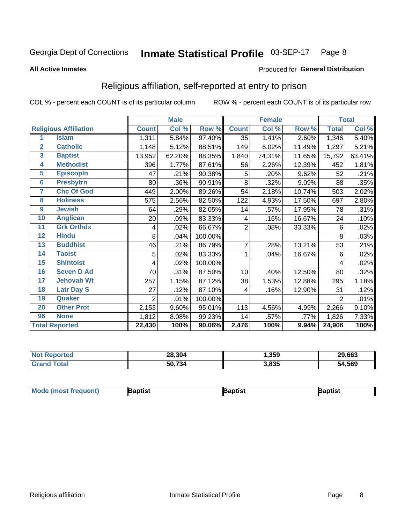#### Inmate Statistical Profile 03-SEP-17 Page 8

### **All Active Inmates**

### Produced for General Distribution

### Religious affiliation, self-reported at entry to prison

COL % - percent each COUNT is of its particular column

|                |                              |                | <b>Male</b> |         |                | <b>Female</b> |        |                     | <b>Total</b> |
|----------------|------------------------------|----------------|-------------|---------|----------------|---------------|--------|---------------------|--------------|
|                | <b>Religious Affiliation</b> | <b>Count</b>   | Col %       | Row %   | <b>Count</b>   | Col %         | Row %  | <b>Total</b>        | Col %        |
| 1              | <b>Islam</b>                 | 1,311          | 5.84%       | 97.40%  | 35             | 1.41%         | 2.60%  | 1,346               | 5.40%        |
| $\overline{2}$ | <b>Catholic</b>              | 1,148          | 5.12%       | 88.51%  | 149            | 6.02%         | 11.49% | 1,297               | 5.21%        |
| 3              | <b>Baptist</b>               | 13,952         | 62.20%      | 88.35%  | 1,840          | 74.31%        | 11.65% | 15,792              | 63.41%       |
| 4              | <b>Methodist</b>             | 396            | 1.77%       | 87.61%  | 56             | 2.26%         | 12.39% | 452                 | 1.81%        |
| 5              | <b>EpiscopIn</b>             | 47             | .21%        | 90.38%  | 5              | .20%          | 9.62%  | 52                  | .21%         |
| $6\phantom{a}$ | <b>Presbytrn</b>             | 80             | .36%        | 90.91%  | 8              | .32%          | 9.09%  | 88                  | .35%         |
| 7              | <b>Chc Of God</b>            | 449            | 2.00%       | 89.26%  | 54             | 2.18%         | 10.74% | 503                 | 2.02%        |
| 8              | <b>Holiness</b>              | 575            | 2.56%       | 82.50%  | 122            | 4.93%         | 17.50% | 697                 | 2.80%        |
| 9              | <b>Jewish</b>                | 64             | .29%        | 82.05%  | 14             | .57%          | 17.95% | 78                  | .31%         |
| 10             | <b>Anglican</b>              | 20             | .09%        | 83.33%  | 4              | .16%          | 16.67% | 24                  | .10%         |
| 11             | <b>Grk Orthdx</b>            | 4              | .02%        | 66.67%  | $\overline{2}$ | .08%          | 33.33% | 6                   | .02%         |
| 12             | <b>Hindu</b>                 | 8              | .04%        | 100.00% |                |               |        | 8                   | .03%         |
| 13             | <b>Buddhist</b>              | 46             | .21%        | 86.79%  | $\overline{7}$ | .28%          | 13.21% | 53                  | .21%         |
| 14             | <b>Taoist</b>                | 5              | .02%        | 83.33%  | 1              | .04%          | 16.67% | 6                   | .02%         |
| 15             | <b>Shintoist</b>             | 4              | .02%        | 100.00% |                |               |        | 4                   | .02%         |
| 16             | <b>Seven D Ad</b>            | 70             | .31%        | 87.50%  | 10             | .40%          | 12.50% | 80                  | .32%         |
| 17             | <b>Jehovah Wt</b>            | 257            | 1.15%       | 87.12%  | 38             | 1.53%         | 12.88% | 295                 | 1.18%        |
| 18             | <b>Latr Day S</b>            | 27             | .12%        | 87.10%  | 4              | .16%          | 12.90% | 31                  | .12%         |
| 19             | Quaker                       | $\overline{2}$ | .01%        | 100.00% |                |               |        | $\overline{2}$      | .01%         |
| 20             | <b>Other Prot</b>            | 2,153          | 9.60%       | 95.01%  | 113            | 4.56%         | 4.99%  | 2,266               | 9.10%        |
| 96             | <b>None</b>                  | 1,812          | 8.08%       | 99.23%  | 14             | .57%          | .77%   | 1,826               | 7.33%        |
|                | <b>Total Reported</b>        | 22,430         | 100%        | 90.06%  | 2,476          | 100%          | 9.94%  | $\overline{24,906}$ | 100%         |

| วorted<br>NO: | 28,304 | .359  | 29,663 |
|---------------|--------|-------|--------|
| <b>Total</b>  | 50,734 | 3,835 | 54,569 |

|  | <b>Mo</b><br>de (most freauent) | `otist | <b>Baptist</b> | Baptist |
|--|---------------------------------|--------|----------------|---------|
|--|---------------------------------|--------|----------------|---------|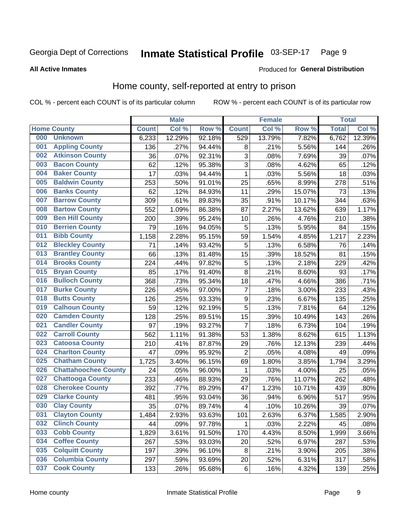#### Inmate Statistical Profile 03-SEP-17 Page 9

### **All Active Inmates**

### Produced for General Distribution

### Home county, self-reported at entry to prison

COL % - percent each COUNT is of its particular column

|     |                             |              | <b>Male</b> |                  |                         | <b>Female</b> |        | <b>Total</b> |        |
|-----|-----------------------------|--------------|-------------|------------------|-------------------------|---------------|--------|--------------|--------|
|     | <b>Home County</b>          | <b>Count</b> | Col %       | Row <sup>%</sup> | <b>Count</b>            | Col %         | Row %  | <b>Total</b> | Col %  |
| 000 | <b>Unknown</b>              | 6,233        | 12.29%      | 92.18%           | 529                     | 13.79%        | 7.82%  | 6,762        | 12.39% |
| 001 | <b>Appling County</b>       | 136          | .27%        | 94.44%           | 8                       | .21%          | 5.56%  | 144          | .26%   |
| 002 | <b>Atkinson County</b>      | 36           | .07%        | 92.31%           | 3                       | .08%          | 7.69%  | 39           | .07%   |
| 003 | <b>Bacon County</b>         | 62           | .12%        | 95.38%           | 3                       | .08%          | 4.62%  | 65           | .12%   |
| 004 | <b>Baker County</b>         | 17           | .03%        | 94.44%           | 1                       | .03%          | 5.56%  | 18           | .03%   |
| 005 | <b>Baldwin County</b>       | 253          | .50%        | 91.01%           | 25                      | .65%          | 8.99%  | 278          | .51%   |
| 006 | <b>Banks County</b>         | 62           | .12%        | 84.93%           | 11                      | .29%          | 15.07% | 73           | .13%   |
| 007 | <b>Barrow County</b>        | 309          | .61%        | 89.83%           | 35                      | .91%          | 10.17% | 344          | .63%   |
| 008 | <b>Bartow County</b>        | 552          | 1.09%       | 86.38%           | 87                      | 2.27%         | 13.62% | 639          | 1.17%  |
| 009 | <b>Ben Hill County</b>      | 200          | .39%        | 95.24%           | 10                      | .26%          | 4.76%  | 210          | .38%   |
| 010 | <b>Berrien County</b>       | 79           | .16%        | 94.05%           | 5                       | .13%          | 5.95%  | 84           | .15%   |
| 011 | <b>Bibb County</b>          | 1,158        | 2.28%       | 95.15%           | 59                      | 1.54%         | 4.85%  | 1,217        | 2.23%  |
| 012 | <b>Bleckley County</b>      | 71           | .14%        | 93.42%           | 5                       | .13%          | 6.58%  | 76           | .14%   |
| 013 | <b>Brantley County</b>      | 66           | .13%        | 81.48%           | 15                      | .39%          | 18.52% | 81           | .15%   |
| 014 | <b>Brooks County</b>        | 224          | .44%        | 97.82%           | 5                       | .13%          | 2.18%  | 229          | .42%   |
| 015 | <b>Bryan County</b>         | 85           | .17%        | 91.40%           | 8                       | .21%          | 8.60%  | 93           | .17%   |
| 016 | <b>Bulloch County</b>       | 368          | .73%        | 95.34%           | 18                      | .47%          | 4.66%  | 386          | .71%   |
| 017 | <b>Burke County</b>         | 226          | .45%        | 97.00%           | $\overline{7}$          | .18%          | 3.00%  | 233          | .43%   |
| 018 | <b>Butts County</b>         | 126          | .25%        | 93.33%           | $\boldsymbol{9}$        | .23%          | 6.67%  | 135          | .25%   |
| 019 | <b>Calhoun County</b>       | 59           | .12%        | 92.19%           | 5                       | .13%          | 7.81%  | 64           | .12%   |
| 020 | <b>Camden County</b>        | 128          | .25%        | 89.51%           | 15                      | .39%          | 10.49% | 143          | .26%   |
| 021 | <b>Candler County</b>       | 97           | .19%        | 93.27%           | $\overline{7}$          | .18%          | 6.73%  | 104          | .19%   |
| 022 | <b>Carroll County</b>       | 562          | 1.11%       | 91.38%           | 53                      | 1.38%         | 8.62%  | 615          | 1.13%  |
| 023 | <b>Catoosa County</b>       | 210          | .41%        | 87.87%           | 29                      | .76%          | 12.13% | 239          | .44%   |
| 024 | <b>Charlton County</b>      | 47           | .09%        | 95.92%           | $\overline{2}$          | .05%          | 4.08%  | 49           | .09%   |
| 025 | <b>Chatham County</b>       | 1,725        | 3.40%       | 96.15%           | 69                      | 1.80%         | 3.85%  | 1,794        | 3.29%  |
| 026 | <b>Chattahoochee County</b> | 24           | .05%        | 96.00%           | 1                       | .03%          | 4.00%  | 25           | .05%   |
| 027 | <b>Chattooga County</b>     | 233          | .46%        | 88.93%           | 29                      | .76%          | 11.07% | 262          | .48%   |
| 028 | <b>Cherokee County</b>      | 392          | .77%        | 89.29%           | 47                      | 1.23%         | 10.71% | 439          | .80%   |
| 029 | <b>Clarke County</b>        | 481          | .95%        | 93.04%           | 36                      | .94%          | 6.96%  | 517          | .95%   |
| 030 | <b>Clay County</b>          | 35           | .07%        | 89.74%           | $\overline{\mathbf{4}}$ | .10%          | 10.26% | 39           | .07%   |
| 031 | <b>Clayton County</b>       | 1,484        | 2.93%       | 93.63%           | 101                     | 2.63%         | 6.37%  | 1,585        | 2.90%  |
| 032 | <b>Clinch County</b>        | 44           | .09%        | 97.78%           | 1                       | .03%          | 2.22%  | 45           | .08%   |
| 033 | <b>Cobb County</b>          | 1,829        | 3.61%       | 91.50%           | 170                     | 4.43%         | 8.50%  | 1,999        | 3.66%  |
| 034 | <b>Coffee County</b>        | 267          | .53%        | 93.03%           | 20                      | .52%          | 6.97%  | 287          | .53%   |
| 035 | <b>Colquitt County</b>      | 197          | .39%        | 96.10%           | 8                       | .21%          | 3.90%  | 205          | .38%   |
| 036 | <b>Columbia County</b>      | 297          | .59%        | 93.69%           | 20                      | .52%          | 6.31%  | 317          | .58%   |
| 037 | <b>Cook County</b>          | 133          | .26%        | 95.68%           | $\,6$                   | .16%          | 4.32%  | 139          | .25%   |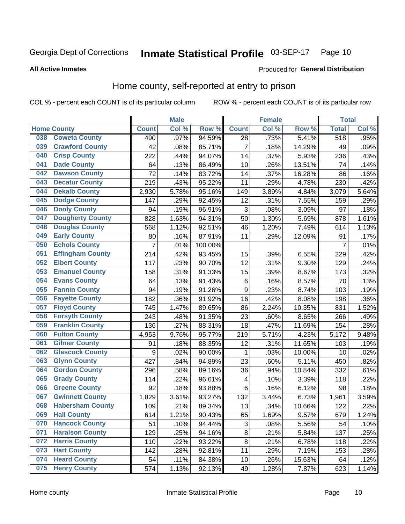#### Inmate Statistical Profile 03-SEP-17 Page 10

**All Active Inmates** 

### **Produced for General Distribution**

### Home county, self-reported at entry to prison

COL % - percent each COUNT is of its particular column

|     |                         |              | <b>Male</b> |                  |                         | <b>Female</b> |        | <b>Total</b>   |                     |
|-----|-------------------------|--------------|-------------|------------------|-------------------------|---------------|--------|----------------|---------------------|
|     | <b>Home County</b>      | <b>Count</b> | Col%        | Row <sup>%</sup> | <b>Count</b>            | Col %         | Row %  | <b>Total</b>   | Col %               |
| 038 | <b>Coweta County</b>    | 490          | .97%        | 94.59%           | 28                      | .73%          | 5.41%  | 518            | .95%                |
| 039 | <b>Crawford County</b>  | 42           | .08%        | 85.71%           | $\overline{7}$          | .18%          | 14.29% | 49             | .09%                |
| 040 | <b>Crisp County</b>     | 222          | .44%        | 94.07%           | 14                      | .37%          | 5.93%  | 236            | .43%                |
| 041 | <b>Dade County</b>      | 64           | .13%        | 86.49%           | 10                      | .26%          | 13.51% | 74             | .14%                |
| 042 | <b>Dawson County</b>    | 72           | .14%        | 83.72%           | 14                      | .37%          | 16.28% | 86             | .16%                |
| 043 | <b>Decatur County</b>   | 219          | .43%        | 95.22%           | 11                      | .29%          | 4.78%  | 230            | .42%                |
| 044 | <b>Dekalb County</b>    | 2,930        | 5.78%       | 95.16%           | 149                     | 3.89%         | 4.84%  | 3,079          | 5.64%               |
| 045 | <b>Dodge County</b>     | 147          | .29%        | 92.45%           | 12                      | .31%          | 7.55%  | 159            | .29%                |
| 046 | <b>Dooly County</b>     | 94           | .19%        | 96.91%           | 3                       | .08%          | 3.09%  | 97             | .18%                |
| 047 | <b>Dougherty County</b> | 828          | 1.63%       | 94.31%           | 50                      | 1.30%         | 5.69%  | 878            | 1.61%               |
| 048 | <b>Douglas County</b>   | 568          | 1.12%       | 92.51%           | 46                      | 1.20%         | 7.49%  | 614            | 1.13%               |
| 049 | <b>Early County</b>     | 80           | .16%        | 87.91%           | 11                      | .29%          | 12.09% | 91             | .17%                |
| 050 | <b>Echols County</b>    | 7            | .01%        | 100.00%          |                         |               |        | $\overline{7}$ | .01%                |
| 051 | <b>Effingham County</b> | 214          | .42%        | 93.45%           | 15                      | .39%          | 6.55%  | 229            | .42%                |
| 052 | <b>Elbert County</b>    | 117          | .23%        | 90.70%           | 12                      | .31%          | 9.30%  | 129            | .24%                |
| 053 | <b>Emanuel County</b>   | 158          | .31%        | 91.33%           | 15                      | .39%          | 8.67%  | 173            | .32%                |
| 054 | <b>Evans County</b>     | 64           | .13%        | 91.43%           | 6                       | .16%          | 8.57%  | 70             | .13%                |
| 055 | <b>Fannin County</b>    | 94           | .19%        | 91.26%           | $\boldsymbol{9}$        | .23%          | 8.74%  | 103            | .19%                |
| 056 | <b>Fayette County</b>   | 182          | .36%        | 91.92%           | 16                      | .42%          | 8.08%  | 198            | .36%                |
| 057 | <b>Floyd County</b>     | 745          | 1.47%       | 89.65%           | 86                      | 2.24%         | 10.35% | 831            | 1.52%               |
| 058 | <b>Forsyth County</b>   | 243          | .48%        | 91.35%           | 23                      | .60%          | 8.65%  | 266            | .49%                |
| 059 | <b>Franklin County</b>  | 136          | .27%        | 88.31%           | 18                      | .47%          | 11.69% | 154            | .28%                |
| 060 | <b>Fulton County</b>    | 4,953        | 9.76%       | 95.77%           | 219                     | 5.71%         | 4.23%  | 5,172          | $\overline{9.48\%}$ |
| 061 | <b>Gilmer County</b>    | 91           | .18%        | 88.35%           | 12                      | .31%          | 11.65% | 103            | .19%                |
| 062 | <b>Glascock County</b>  | 9            | .02%        | 90.00%           | 1                       | .03%          | 10.00% | 10             | .02%                |
| 063 | <b>Glynn County</b>     | 427          | .84%        | 94.89%           | 23                      | .60%          | 5.11%  | 450            | .82%                |
| 064 | <b>Gordon County</b>    | 296          | .58%        | 89.16%           | 36                      | .94%          | 10.84% | 332            | .61%                |
| 065 | <b>Grady County</b>     | 114          | .22%        | 96.61%           | $\overline{\mathbf{4}}$ | .10%          | 3.39%  | 118            | .22%                |
| 066 | <b>Greene County</b>    | 92           | .18%        | 93.88%           | 6                       | .16%          | 6.12%  | 98             | .18%                |
| 067 | <b>Gwinnett County</b>  | 1,829        | 3.61%       | 93.27%           | 132                     | 3.44%         | 6.73%  | 1,961          | 3.59%               |
| 068 | <b>Habersham County</b> | 109          | .21%        | 89.34%           | 13                      | .34%          | 10.66% | 122            | .22%                |
| 069 | <b>Hall County</b>      | 614          | 1.21%       | 90.43%           | 65                      | 1.69%         | 9.57%  | 679            | 1.24%               |
| 070 | <b>Hancock County</b>   | 51           | .10%        | 94.44%           | 3                       | .08%          | 5.56%  | 54             | .10%                |
| 071 | <b>Haralson County</b>  | 129          | .25%        | 94.16%           | $\overline{8}$          | .21%          | 5.84%  | 137            | .25%                |
| 072 | <b>Harris County</b>    | 110          | .22%        | 93.22%           | $\bf 8$                 | .21%          | 6.78%  | 118            | .22%                |
| 073 | <b>Hart County</b>      | 142          | .28%        | 92.81%           | 11                      | .29%          | 7.19%  | 153            | .28%                |
| 074 | <b>Heard County</b>     | 54           | .11%        | 84.38%           | 10                      | .26%          | 15.63% | 64             | .12%                |
| 075 | <b>Henry County</b>     | 574          | 1.13%       | 92.13%           | 49                      | 1.28%         | 7.87%  | 623            | 1.14%               |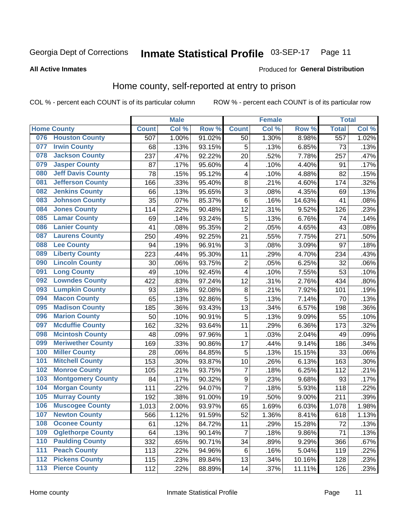#### Inmate Statistical Profile 03-SEP-17 Page 11

### **All Active Inmates**

### **Produced for General Distribution**

### Home county, self-reported at entry to prison

COL % - percent each COUNT is of its particular column

|     |                          |              | <b>Male</b> |                  |                | <b>Female</b> |        | <b>Total</b>     |       |
|-----|--------------------------|--------------|-------------|------------------|----------------|---------------|--------|------------------|-------|
|     | <b>Home County</b>       | <b>Count</b> | Col %       | Row <sup>%</sup> | <b>Count</b>   | Col %         | Row %  | <b>Total</b>     | Col % |
| 076 | <b>Houston County</b>    | 507          | 1.00%       | 91.02%           | 50             | 1.30%         | 8.98%  | $\overline{557}$ | 1.02% |
| 077 | <b>Irwin County</b>      | 68           | .13%        | 93.15%           | 5              | .13%          | 6.85%  | 73               | .13%  |
| 078 | <b>Jackson County</b>    | 237          | .47%        | 92.22%           | 20             | .52%          | 7.78%  | 257              | .47%  |
| 079 | <b>Jasper County</b>     | 87           | .17%        | 95.60%           | 4              | .10%          | 4.40%  | 91               | .17%  |
| 080 | <b>Jeff Davis County</b> | 78           | .15%        | 95.12%           | 4              | .10%          | 4.88%  | 82               | .15%  |
| 081 | <b>Jefferson County</b>  | 166          | .33%        | 95.40%           | 8              | .21%          | 4.60%  | 174              | .32%  |
| 082 | <b>Jenkins County</b>    | 66           | .13%        | 95.65%           | $\overline{3}$ | .08%          | 4.35%  | 69               | .13%  |
| 083 | <b>Johnson County</b>    | 35           | .07%        | 85.37%           | 6              | .16%          | 14.63% | 41               | .08%  |
| 084 | <b>Jones County</b>      | 114          | .22%        | 90.48%           | 12             | .31%          | 9.52%  | 126              | .23%  |
| 085 | <b>Lamar County</b>      | 69           | .14%        | 93.24%           | $\mathbf 5$    | .13%          | 6.76%  | 74               | .14%  |
| 086 | <b>Lanier County</b>     | 41           | .08%        | 95.35%           | $\overline{2}$ | .05%          | 4.65%  | 43               | .08%  |
| 087 | <b>Laurens County</b>    | 250          | .49%        | 92.25%           | 21             | .55%          | 7.75%  | 271              | .50%  |
| 088 | <b>Lee County</b>        | 94           | .19%        | 96.91%           | $\mathbf{3}$   | .08%          | 3.09%  | 97               | .18%  |
| 089 | <b>Liberty County</b>    | 223          | .44%        | 95.30%           | 11             | .29%          | 4.70%  | 234              | .43%  |
| 090 | <b>Lincoln County</b>    | 30           | .06%        | 93.75%           | $\overline{2}$ | .05%          | 6.25%  | 32               | .06%  |
| 091 | <b>Long County</b>       | 49           | .10%        | 92.45%           | 4              | .10%          | 7.55%  | 53               | .10%  |
| 092 | <b>Lowndes County</b>    | 422          | .83%        | 97.24%           | 12             | .31%          | 2.76%  | 434              | .80%  |
| 093 | <b>Lumpkin County</b>    | 93           | .18%        | 92.08%           | 8              | .21%          | 7.92%  | 101              | .19%  |
| 094 | <b>Macon County</b>      | 65           | .13%        | 92.86%           | 5              | .13%          | 7.14%  | 70               | .13%  |
| 095 | <b>Madison County</b>    | 185          | .36%        | 93.43%           | 13             | .34%          | 6.57%  | 198              | .36%  |
| 096 | <b>Marion County</b>     | 50           | .10%        | 90.91%           | 5              | .13%          | 9.09%  | 55               | .10%  |
| 097 | <b>Mcduffie County</b>   | 162          | .32%        | 93.64%           | 11             | .29%          | 6.36%  | 173              | .32%  |
| 098 | <b>Mcintosh County</b>   | 48           | .09%        | 97.96%           | $\mathbf{1}$   | .03%          | 2.04%  | 49               | .09%  |
| 099 | <b>Meriwether County</b> | 169          | .33%        | 90.86%           | 17             | .44%          | 9.14%  | 186              | .34%  |
| 100 | <b>Miller County</b>     | 28           | .06%        | 84.85%           | 5              | .13%          | 15.15% | 33               | .06%  |
| 101 | <b>Mitchell County</b>   | 153          | .30%        | 93.87%           | 10             | .26%          | 6.13%  | 163              | .30%  |
| 102 | <b>Monroe County</b>     | 105          | .21%        | 93.75%           | $\overline{7}$ | .18%          | 6.25%  | 112              | .21%  |
| 103 | <b>Montgomery County</b> | 84           | .17%        | 90.32%           | 9              | .23%          | 9.68%  | 93               | .17%  |
| 104 | <b>Morgan County</b>     | 111          | .22%        | 94.07%           | $\overline{7}$ | .18%          | 5.93%  | 118              | .22%  |
| 105 | <b>Murray County</b>     | 192          | .38%        | 91.00%           | 19             | .50%          | 9.00%  | 211              | .39%  |
| 106 | <b>Muscogee County</b>   | 1,013        | 2.00%       | 93.97%           | 65             | 1.69%         | 6.03%  | 1,078            | 1.98% |
| 107 | <b>Newton County</b>     | 566          | 1.12%       | 91.59%           | 52             | 1.36%         | 8.41%  | 618              | 1.13% |
| 108 | <b>Oconee County</b>     | 61           | .12%        | 84.72%           | 11             | .29%          | 15.28% | 72               | .13%  |
| 109 | <b>Oglethorpe County</b> | 64           | .13%        | 90.14%           | 7              | .18%          | 9.86%  | 71               | .13%  |
| 110 | <b>Paulding County</b>   | 332          | .65%        | 90.71%           | 34             | .89%          | 9.29%  | 366              | .67%  |
| 111 | <b>Peach County</b>      | 113          | .22%        | 94.96%           | 6              | .16%          | 5.04%  | 119              | .22%  |
| 112 | <b>Pickens County</b>    | 115          | .23%        | 89.84%           | 13             | .34%          | 10.16% | 128              | .23%  |
| 113 | <b>Pierce County</b>     | 112          | .22%        | 88.89%           | 14             | .37%          | 11.11% | 126              | .23%  |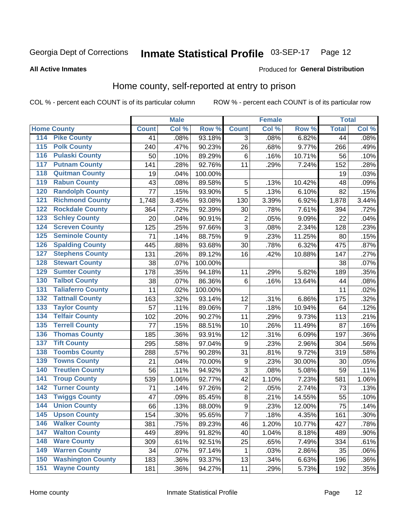#### Inmate Statistical Profile 03-SEP-17 Page 12

Produced for General Distribution

### **All Active Inmates**

### Home county, self-reported at entry to prison

COL % - percent each COUNT is of its particular column

|                  |                          |              | <b>Male</b> |         |                  | <b>Female</b> |        | <b>Total</b> |       |
|------------------|--------------------------|--------------|-------------|---------|------------------|---------------|--------|--------------|-------|
|                  | <b>Home County</b>       | <b>Count</b> | Col %       | Row %   | <b>Count</b>     | Col %         | Row %  | <b>Total</b> | Col % |
| 114              | <b>Pike County</b>       | 41           | .08%        | 93.18%  | $\overline{3}$   | .08%          | 6.82%  | 44           | .08%  |
| 115              | <b>Polk County</b>       | 240          | .47%        | 90.23%  | 26               | .68%          | 9.77%  | 266          | .49%  |
| 116              | <b>Pulaski County</b>    | 50           | .10%        | 89.29%  | $\,6$            | .16%          | 10.71% | 56           | .10%  |
| 117              | <b>Putnam County</b>     | 141          | .28%        | 92.76%  | 11               | .29%          | 7.24%  | 152          | .28%  |
| 118              | <b>Quitman County</b>    | 19           | .04%        | 100.00% |                  |               |        | 19           | .03%  |
| 119              | <b>Rabun County</b>      | 43           | .08%        | 89.58%  | 5                | .13%          | 10.42% | 48           | .09%  |
| 120              | <b>Randolph County</b>   | 77           | .15%        | 93.90%  | 5                | .13%          | 6.10%  | 82           | .15%  |
| 121              | <b>Richmond County</b>   | 1,748        | 3.45%       | 93.08%  | 130              | 3.39%         | 6.92%  | 1,878        | 3.44% |
| 122              | <b>Rockdale County</b>   | 364          | .72%        | 92.39%  | 30               | .78%          | 7.61%  | 394          | .72%  |
| 123              | <b>Schley County</b>     | 20           | .04%        | 90.91%  | $\overline{2}$   | .05%          | 9.09%  | 22           | .04%  |
| 124              | <b>Screven County</b>    | 125          | .25%        | 97.66%  | $\overline{3}$   | .08%          | 2.34%  | 128          | .23%  |
| 125              | <b>Seminole County</b>   | 71           | .14%        | 88.75%  | $\boldsymbol{9}$ | .23%          | 11.25% | 80           | .15%  |
| 126              | <b>Spalding County</b>   | 445          | .88%        | 93.68%  | 30               | .78%          | 6.32%  | 475          | .87%  |
| 127              | <b>Stephens County</b>   | 131          | .26%        | 89.12%  | 16               | .42%          | 10.88% | 147          | .27%  |
| 128              | <b>Stewart County</b>    | 38           | .07%        | 100.00% |                  |               |        | 38           | .07%  |
| 129              | <b>Sumter County</b>     | 178          | .35%        | 94.18%  | 11               | .29%          | 5.82%  | 189          | .35%  |
| 130              | <b>Talbot County</b>     | 38           | .07%        | 86.36%  | $\,6$            | .16%          | 13.64% | 44           | .08%  |
| 131              | <b>Taliaferro County</b> | 11           | .02%        | 100.00% |                  |               |        | 11           | .02%  |
| 132              | <b>Tattnall County</b>   | 163          | .32%        | 93.14%  | 12               | .31%          | 6.86%  | 175          | .32%  |
| 133              | <b>Taylor County</b>     | 57           | .11%        | 89.06%  | $\overline{7}$   | .18%          | 10.94% | 64           | .12%  |
| 134              | <b>Telfair County</b>    | 102          | .20%        | 90.27%  | 11               | .29%          | 9.73%  | 113          | .21%  |
| 135              | <b>Terrell County</b>    | 77           | .15%        | 88.51%  | 10               | .26%          | 11.49% | 87           | .16%  |
| 136              | <b>Thomas County</b>     | 185          | .36%        | 93.91%  | 12               | .31%          | 6.09%  | 197          | .36%  |
| 137              | <b>Tift County</b>       | 295          | .58%        | 97.04%  | $\boldsymbol{9}$ | .23%          | 2.96%  | 304          | .56%  |
| 138              | <b>Toombs County</b>     | 288          | .57%        | 90.28%  | 31               | .81%          | 9.72%  | 319          | .58%  |
| 139              | <b>Towns County</b>      | 21           | .04%        | 70.00%  | $\boldsymbol{9}$ | .23%          | 30.00% | 30           | .05%  |
| 140              | <b>Treutlen County</b>   | 56           | .11%        | 94.92%  | $\overline{3}$   | .08%          | 5.08%  | 59           | .11%  |
| 141              | <b>Troup County</b>      | 539          | 1.06%       | 92.77%  | 42               | 1.10%         | 7.23%  | 581          | 1.06% |
| $\overline{142}$ | <b>Turner County</b>     | 71           | .14%        | 97.26%  | $\overline{c}$   | .05%          | 2.74%  | 73           | .13%  |
| 143              | <b>Twiggs County</b>     | 47           | .09%        | 85.45%  | $\overline{8}$   | .21%          | 14.55% | 55           | .10%  |
| 144              | <b>Union County</b>      | 66           | .13%        | 88.00%  | $\overline{9}$   | .23%          | 12.00% | 75           | .14%  |
| 145              | <b>Upson County</b>      | 154          | .30%        | 95.65%  | $\overline{7}$   | .18%          | 4.35%  | 161          | .30%  |
| 146              | <b>Walker County</b>     | 381          | .75%        | 89.23%  | 46               | 1.20%         | 10.77% | 427          | .78%  |
| 147              | <b>Walton County</b>     | 449          | .89%        | 91.82%  | 40               | 1.04%         | 8.18%  | 489          | .90%  |
| 148              | <b>Ware County</b>       | 309          | .61%        | 92.51%  | 25               | .65%          | 7.49%  | 334          | .61%  |
| 149              | <b>Warren County</b>     | 34           | .07%        | 97.14%  | 1                | .03%          | 2.86%  | 35           | .06%  |
| 150              | <b>Washington County</b> | 183          | .36%        | 93.37%  | 13               | .34%          | 6.63%  | 196          | .36%  |
| 151              | <b>Wayne County</b>      | 181          | .36%        | 94.27%  | 11               | .29%          | 5.73%  | 192          | .35%  |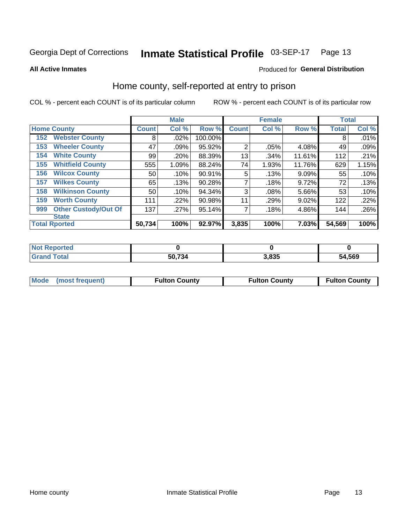#### Inmate Statistical Profile 03-SEP-17 Page 13

**All Active Inmates** 

### **Produced for General Distribution**

### Home county, self-reported at entry to prison

COL % - percent each COUNT is of its particular column

|     |                             |                 | <b>Male</b> |         |                | <b>Female</b> |          | <b>Total</b> |       |
|-----|-----------------------------|-----------------|-------------|---------|----------------|---------------|----------|--------------|-------|
|     | <b>Home County</b>          | <b>Count</b>    | Col %       | Row %   | <b>Count</b>   | Col %         | Row %    | <b>Total</b> | Col % |
| 152 | <b>Webster County</b>       | 8               | $.02\%$     | 100.00% |                |               |          | 8            | .01%  |
| 153 | <b>Wheeler County</b>       | 47              | .09%        | 95.92%  | $\overline{2}$ | .05%          | 4.08%    | 49           | .09%  |
| 154 | <b>White County</b>         | 99              | .20%        | 88.39%  | 13             | .34%          | 11.61%   | 112          | .21%  |
| 155 | <b>Whitfield County</b>     | 555             | 1.09%       | 88.24%  | 74             | 1.93%         | 11.76%   | 629          | 1.15% |
| 156 | <b>Wilcox County</b>        | 50              | .10%        | 90.91%  | 5              | .13%          | $9.09\%$ | 55           | .10%  |
| 157 | <b>Wilkes County</b>        | 65              | .13%        | 90.28%  | 7              | .18%          | 9.72%    | 72           | .13%  |
| 158 | <b>Wilkinson County</b>     | 50 <sup>°</sup> | .10%        | 94.34%  | 3              | .08%          | 5.66%    | 53           | .10%  |
| 159 | <b>Worth County</b>         | 111             | .22%        | 90.98%  | 11             | .29%          | 9.02%    | 122          | .22%  |
| 999 | <b>Other Custody/Out Of</b> | 137             | .27%        | 95.14%  | 7              | .18%          | 4.86%    | 144          | .26%  |
|     | <b>State</b>                |                 |             |         |                |               |          |              |       |
|     | <b>Total Rported</b>        | 50,734          | 100%        | 92.97%  | 3,835          | 100%          | 7.03%    | 54,569       | 100%  |

| <b>Not</b><br><b>Reported</b> |        |       |        |
|-------------------------------|--------|-------|--------|
| <b>Total</b>                  | 50,734 | 3,835 | 54,569 |

|  | Mode (most frequent) | <b>Fulton County</b> | <b>Fulton County</b> | <b>Fulton County</b> |
|--|----------------------|----------------------|----------------------|----------------------|
|--|----------------------|----------------------|----------------------|----------------------|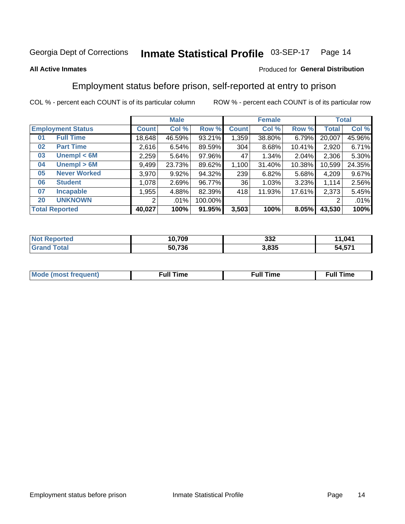#### Inmate Statistical Profile 03-SEP-17 Page 14

### **All Active Inmates**

### Produced for General Distribution

### Employment status before prison, self-reported at entry to prison

COL % - percent each COUNT is of its particular column

|                           | <b>Male</b>  |        |         |              | <b>Female</b> |        |        | <b>Total</b> |  |
|---------------------------|--------------|--------|---------|--------------|---------------|--------|--------|--------------|--|
| <b>Employment Status</b>  | <b>Count</b> | Col %  | Row %   | <b>Count</b> | Col %         | Row %  | Total  | Col %        |  |
| <b>Full Time</b><br>01    | 18,648       | 46.59% | 93.21%  | 1,359        | 38.80%        | 6.79%  | 20,007 | 45.96%       |  |
| <b>Part Time</b><br>02    | 2,616        | 6.54%  | 89.59%  | 304          | 8.68%         | 10.41% | 2,920  | 6.71%        |  |
| Unempl $<$ 6M<br>03       | 2,259        | 5.64%  | 97.96%  | 47           | 1.34%         | 2.04%  | 2,306  | 5.30%        |  |
| Unempl > 6M<br>04         | 9,499        | 23.73% | 89.62%  | 1,100        | 31.40%        | 10.38% | 10,599 | 24.35%       |  |
| <b>Never Worked</b><br>05 | 3,970        | 9.92%  | 94.32%  | 239          | 6.82%         | 5.68%  | 4,209  | 9.67%        |  |
| <b>Student</b><br>06      | 1,078        | 2.69%  | 96.77%  | 36           | 1.03%         | 3.23%  | 1,114  | 2.56%        |  |
| <b>Incapable</b><br>07    | ,955         | 4.88%  | 82.39%  | 418          | 11.93%        | 17.61% | 2,373  | 5.45%        |  |
| <b>UNKNOWN</b><br>20      | 2            | .01%   | 100.00% |              |               |        | 2      | .01%         |  |
| <b>Total Reported</b>     | 40,027       | 100%   | 91.95%  | 3,503        | 100%          | 8.05%  | 43,530 | 100%         |  |

| <b>Not Reported</b> | 10,709 | 332   | 11,041 |
|---------------------|--------|-------|--------|
| <b>Grand Total</b>  | 50,736 | 3,835 | 54,571 |

| <b>Mode (most frequent)</b> | Full Time | <b>Full Time</b> | Time |
|-----------------------------|-----------|------------------|------|
|                             |           |                  |      |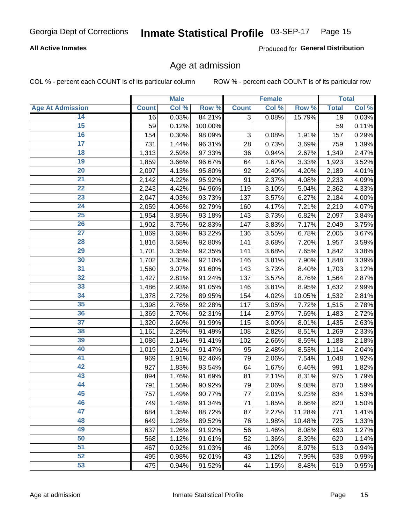#### Inmate Statistical Profile 03-SEP-17 Page 15

### **All Active Inmates**

Produced for General Distribution

### Age at admission

COL % - percent each COUNT is of its particular column

|                         |              | <b>Male</b> |         |              | <b>Female</b> |        |              | <b>Total</b> |
|-------------------------|--------------|-------------|---------|--------------|---------------|--------|--------------|--------------|
| <b>Age At Admission</b> | <b>Count</b> | Col %       | Row %   | <b>Count</b> | Col %         | Row %  | <b>Total</b> | Col %        |
| 14                      | 16           | 0.03%       | 84.21%  | 3            | 0.08%         | 15.79% | 19           | 0.03%        |
| $\overline{15}$         | 59           | 0.12%       | 100.00% |              |               |        | 59           | 0.11%        |
| 16                      | 154          | 0.30%       | 98.09%  | 3            | 0.08%         | 1.91%  | 157          | 0.29%        |
| $\overline{17}$         | 731          | 1.44%       | 96.31%  | 28           | 0.73%         | 3.69%  | 759          | 1.39%        |
| $\overline{18}$         | 1,313        | 2.59%       | 97.33%  | 36           | 0.94%         | 2.67%  | 1,349        | 2.47%        |
| 19                      | 1,859        | 3.66%       | 96.67%  | 64           | 1.67%         | 3.33%  | 1,923        | 3.52%        |
| $\overline{20}$         | 2,097        | 4.13%       | 95.80%  | 92           | 2.40%         | 4.20%  | 2,189        | 4.01%        |
| $\overline{21}$         | 2,142        | 4.22%       | 95.92%  | 91           | 2.37%         | 4.08%  | 2,233        | 4.09%        |
| $\overline{22}$         | 2,243        | 4.42%       | 94.96%  | 119          | 3.10%         | 5.04%  | 2,362        | 4.33%        |
| 23                      | 2,047        | 4.03%       | 93.73%  | 137          | 3.57%         | 6.27%  | 2,184        | 4.00%        |
| $\overline{24}$         | 2,059        | 4.06%       | 92.79%  | 160          | 4.17%         | 7.21%  | 2,219        | 4.07%        |
| 25                      | 1,954        | 3.85%       | 93.18%  | 143          | 3.73%         | 6.82%  | 2,097        | 3.84%        |
| $\overline{26}$         | 1,902        | 3.75%       | 92.83%  | 147          | 3.83%         | 7.17%  | 2,049        | 3.75%        |
| $\overline{27}$         | 1,869        | 3.68%       | 93.22%  | 136          | 3.55%         | 6.78%  | 2,005        | 3.67%        |
| 28                      | 1,816        | 3.58%       | 92.80%  | 141          | 3.68%         | 7.20%  | 1,957        | 3.59%        |
| 29                      | 1,701        | 3.35%       | 92.35%  | 141          | 3.68%         | 7.65%  | 1,842        | 3.38%        |
| 30                      | 1,702        | 3.35%       | 92.10%  | 146          | 3.81%         | 7.90%  | 1,848        | 3.39%        |
| $\overline{31}$         | 1,560        | 3.07%       | 91.60%  | 143          | 3.73%         | 8.40%  | 1,703        | 3.12%        |
| 32                      | 1,427        | 2.81%       | 91.24%  | 137          | 3.57%         | 8.76%  | 1,564        | 2.87%        |
| 33                      | 1,486        | 2.93%       | 91.05%  | 146          | 3.81%         | 8.95%  | 1,632        | 2.99%        |
| 34                      | 1,378        | 2.72%       | 89.95%  | 154          | 4.02%         | 10.05% | 1,532        | 2.81%        |
| 35                      | 1,398        | 2.76%       | 92.28%  | 117          | 3.05%         | 7.72%  | 1,515        | 2.78%        |
| 36                      | 1,369        | 2.70%       | 92.31%  | 114          | 2.97%         | 7.69%  | 1,483        | 2.72%        |
| $\overline{37}$         | 1,320        | 2.60%       | 91.99%  | 115          | 3.00%         | 8.01%  | 1,435        | 2.63%        |
| 38                      | 1,161        | 2.29%       | 91.49%  | 108          | 2.82%         | 8.51%  | 1,269        | 2.33%        |
| 39                      | 1,086        | 2.14%       | 91.41%  | 102          | 2.66%         | 8.59%  | 1,188        | 2.18%        |
| 40                      | 1,019        | 2.01%       | 91.47%  | 95           | 2.48%         | 8.53%  | 1,114        | 2.04%        |
| 41                      | 969          | 1.91%       | 92.46%  | 79           | 2.06%         | 7.54%  | 1,048        | 1.92%        |
| 42                      | 927          | 1.83%       | 93.54%  | 64           | 1.67%         | 6.46%  | 991          | 1.82%        |
| 43                      | 894          | 1.76%       | 91.69%  | 81           | 2.11%         | 8.31%  | 975          | 1.79%        |
| 44                      | 791          | 1.56%       | 90.92%  | 79           | 2.06%         | 9.08%  | 870          | 1.59%        |
| 45                      | 757          | 1.49%       | 90.77%  | 77           | 2.01%         | 9.23%  | 834          | 1.53%        |
| 46                      | 749          | 1.48%       | 91.34%  | 71           | 1.85%         | 8.66%  | 820          | 1.50%        |
| 47                      | 684          | 1.35%       | 88.72%  | 87           | 2.27%         | 11.28% | 771          | 1.41%        |
| 48                      | 649          | 1.28%       | 89.52%  | 76           | 1.98%         | 10.48% | 725          | 1.33%        |
| 49                      | 637          | 1.26%       | 91.92%  | 56           | 1.46%         | 8.08%  | 693          | 1.27%        |
| 50                      | 568          | 1.12%       | 91.61%  | 52           | 1.36%         | 8.39%  | 620          | 1.14%        |
| 51                      | 467          | 0.92%       | 91.03%  | 46           | 1.20%         | 8.97%  | 513          | 0.94%        |
| 52                      | 495          | 0.98%       | 92.01%  | 43           | 1.12%         | 7.99%  | 538          | 0.99%        |
| 53                      | 475          | 0.94%       | 91.52%  | 44           | 1.15%         | 8.48%  | 519          | 0.95%        |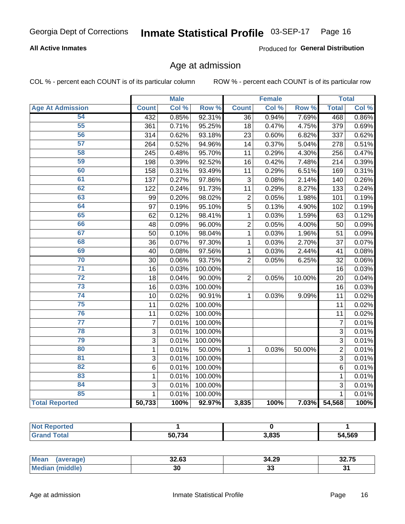#### Inmate Statistical Profile 03-SEP-17 Page 16

### **All Active Inmates**

Produced for General Distribution

### Age at admission

COL % - percent each COUNT is of its particular column

|                         |                | <b>Male</b> |                  |                 | <b>Female</b> |        |                | <b>Total</b> |
|-------------------------|----------------|-------------|------------------|-----------------|---------------|--------|----------------|--------------|
| <b>Age At Admission</b> | <b>Count</b>   | Col %       | Row <sup>%</sup> | <b>Count</b>    | Col %         | Row %  | <b>Total</b>   | Col %        |
| 54                      | 432            | 0.85%       | 92.31%           | $\overline{36}$ | 0.94%         | 7.69%  | 468            | 0.86%        |
| 55                      | 361            | 0.71%       | 95.25%           | 18              | 0.47%         | 4.75%  | 379            | 0.69%        |
| 56                      | 314            | 0.62%       | 93.18%           | 23              | 0.60%         | 6.82%  | 337            | 0.62%        |
| $\overline{57}$         | 264            | 0.52%       | 94.96%           | 14              | 0.37%         | 5.04%  | 278            | 0.51%        |
| 58                      | 245            | 0.48%       | 95.70%           | $\overline{11}$ | 0.29%         | 4.30%  | 256            | 0.47%        |
| 59                      | 198            | 0.39%       | 92.52%           | 16              | 0.42%         | 7.48%  | 214            | 0.39%        |
| 60                      | 158            | 0.31%       | 93.49%           | 11              | 0.29%         | 6.51%  | 169            | 0.31%        |
| 61                      | 137            | 0.27%       | 97.86%           | $\overline{3}$  | 0.08%         | 2.14%  | 140            | 0.26%        |
| 62                      | 122            | 0.24%       | 91.73%           | 11              | 0.29%         | 8.27%  | 133            | 0.24%        |
| 63                      | 99             | 0.20%       | 98.02%           | $\overline{2}$  | 0.05%         | 1.98%  | 101            | 0.19%        |
| 64                      | 97             | 0.19%       | 95.10%           | $\overline{5}$  | 0.13%         | 4.90%  | 102            | 0.19%        |
| 65                      | 62             | 0.12%       | 98.41%           | 1               | 0.03%         | 1.59%  | 63             | 0.12%        |
| 66                      | 48             | 0.09%       | 96.00%           | $\overline{2}$  | 0.05%         | 4.00%  | 50             | 0.09%        |
| 67                      | 50             | 0.10%       | 98.04%           | 1               | 0.03%         | 1.96%  | 51             | 0.09%        |
| 68                      | 36             | 0.07%       | 97.30%           | 1               | 0.03%         | 2.70%  | 37             | 0.07%        |
| 69                      | 40             | 0.08%       | 97.56%           | 1               | 0.03%         | 2.44%  | 41             | 0.08%        |
| 70                      | 30             | 0.06%       | 93.75%           | $\overline{2}$  | 0.05%         | 6.25%  | 32             | 0.06%        |
| $\overline{71}$         | 16             | 0.03%       | 100.00%          |                 |               |        | 16             | 0.03%        |
| $\overline{72}$         | 18             | 0.04%       | 90.00%           | $\overline{2}$  | 0.05%         | 10.00% | 20             | 0.04%        |
| $\overline{73}$         | 16             | 0.03%       | 100.00%          |                 |               |        | 16             | 0.03%        |
| 74                      | 10             | 0.02%       | 90.91%           | 1               | 0.03%         | 9.09%  | 11             | 0.02%        |
| $\overline{75}$         | 11             | 0.02%       | 100.00%          |                 |               |        | 11             | 0.02%        |
| 76                      | 11             | 0.02%       | 100.00%          |                 |               |        | 11             | 0.02%        |
| $\overline{77}$         | $\overline{7}$ | 0.01%       | 100.00%          |                 |               |        | $\overline{7}$ | 0.01%        |
| 78                      | 3              | 0.01%       | 100.00%          |                 |               |        | 3              | 0.01%        |
| 79                      | $\overline{3}$ | 0.01%       | 100.00%          |                 |               |        | $\overline{3}$ | 0.01%        |
| 80                      | $\mathbf{1}$   | 0.01%       | 50.00%           | 1               | 0.03%         | 50.00% | $\overline{2}$ | 0.01%        |
| 81                      | $\overline{3}$ | 0.01%       | 100.00%          |                 |               |        | $\overline{3}$ | 0.01%        |
| $\overline{82}$         | $\overline{6}$ | 0.01%       | 100.00%          |                 |               |        | 6              | 0.01%        |
| 83                      | $\mathbf{1}$   | 0.01%       | 100.00%          |                 |               |        | $\mathbf{1}$   | 0.01%        |
| 84                      | 3              | 0.01%       | 100.00%          |                 |               |        | 3              | 0.01%        |
| 85                      | $\mathbf{1}$   | 0.01%       | 100.00%          |                 |               |        | $\mathbf{1}$   | 0.01%        |
| <b>Total Reported</b>   | 50,733         | 100%        | 92.97%           | 3,835           | 100%          | 7.03%  | 54,568         | 100%         |

| Reported<br><b>NOT</b> |          |       |        |
|------------------------|----------|-------|--------|
| $T$ otol $T$           | E(1, 72) | 3,835 | 54,569 |

| <b>Mean</b>  | 0000  | 34.29     | $-$   |
|--------------|-------|-----------|-------|
| — auer       | 34.OJ |           | 32.IJ |
| dle.<br>`Me. | 30    | . .<br>JJ | ູ     |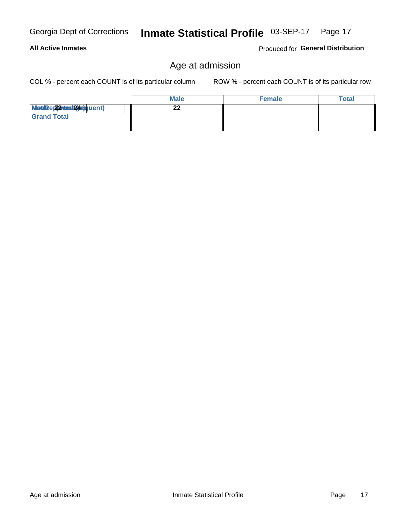Age at admission

#### Inmate Statistical Profile 03-SEP-17 Page 17

### **All Active Inmates**

Georgia Dept of Corrections

Produced for General Distribution

### Age at admission

COL % - percent each COUNT is of its particular column

|                          | <b>Male</b> | <b>Female</b> | <b>Total</b> |
|--------------------------|-------------|---------------|--------------|
| Modiae 22 Mest24e)quent) | ົ<br>LL     |               |              |
| <b>Grand Total</b>       |             |               |              |
|                          |             |               |              |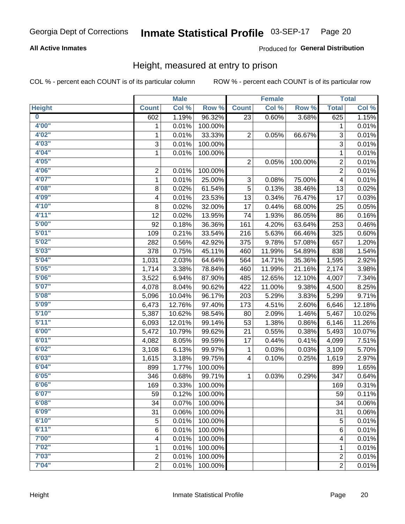#### Inmate Statistical Profile 03-SEP-17 Page 20

### **All Active Inmates**

### Produced for General Distribution

### Height, measured at entry to prison

COL % - percent each COUNT is of its particular column

|                         |                | <b>Male</b> |         |                | <b>Female</b> |         |                | <b>Total</b>        |
|-------------------------|----------------|-------------|---------|----------------|---------------|---------|----------------|---------------------|
| <b>Height</b>           | <b>Count</b>   | Col %       | Row %   | <b>Count</b>   | Col %         | Row %   | <b>Total</b>   | Col %               |
| $\overline{\mathbf{0}}$ | 602            | 1.19%       | 96.32%  | 23             | 0.60%         | 3.68%   | 625            | 1.15%               |
| 4'00"                   | 1              | 0.01%       | 100.00% |                |               |         | 1              | 0.01%               |
| 4'02"                   | $\mathbf{1}$   | 0.01%       | 33.33%  | 2              | 0.05%         | 66.67%  | 3              | 0.01%               |
| 4'03''                  | 3              | 0.01%       | 100.00% |                |               |         | $\overline{3}$ | 0.01%               |
| 4'04"                   | $\mathbf{1}$   | 0.01%       | 100.00% |                |               |         | 1              | 0.01%               |
| 4'05"                   |                |             |         | $\overline{2}$ | 0.05%         | 100.00% | $\overline{c}$ | 0.01%               |
| 4'06"                   | 2              | 0.01%       | 100.00% |                |               |         | $\overline{2}$ | 0.01%               |
| 4'07"                   | $\mathbf{1}$   | 0.01%       | 25.00%  | 3              | 0.08%         | 75.00%  | 4              | 0.01%               |
| 4'08"                   | 8              | 0.02%       | 61.54%  | 5              | 0.13%         | 38.46%  | 13             | 0.02%               |
| 4'09"                   | 4              | 0.01%       | 23.53%  | 13             | 0.34%         | 76.47%  | 17             | 0.03%               |
| 4'10"                   | 8              | 0.02%       | 32.00%  | 17             | 0.44%         | 68.00%  | 25             | 0.05%               |
| 4'11''                  | 12             | 0.02%       | 13.95%  | 74             | 1.93%         | 86.05%  | 86             | 0.16%               |
| 5'00''                  | 92             | 0.18%       | 36.36%  | 161            | 4.20%         | 63.64%  | 253            | 0.46%               |
| 5'01"                   | 109            | 0.21%       | 33.54%  | 216            | 5.63%         | 66.46%  | 325            | 0.60%               |
| 5'02"                   | 282            | 0.56%       | 42.92%  | 375            | 9.78%         | 57.08%  | 657            | 1.20%               |
| 5'03"                   | 378            | 0.75%       | 45.11%  | 460            | 11.99%        | 54.89%  | 838            | 1.54%               |
| 5'04"                   | 1,031          | 2.03%       | 64.64%  | 564            | 14.71%        | 35.36%  | 1,595          | 2.92%               |
| 5'05"                   | 1,714          | 3.38%       | 78.84%  | 460            | 11.99%        | 21.16%  | 2,174          | 3.98%               |
| 5'06''                  | 3,522          | 6.94%       | 87.90%  | 485            | 12.65%        | 12.10%  | 4,007          | 7.34%               |
| 5'07''                  | 4,078          | 8.04%       | 90.62%  | 422            | 11.00%        | 9.38%   | 4,500          | 8.25%               |
| 5'08''                  | 5,096          | 10.04%      | 96.17%  | 203            | 5.29%         | 3.83%   | 5,299          | 9.71%               |
| 5'09''                  | 6,473          | 12.76%      | 97.40%  | 173            | 4.51%         | 2.60%   | 6,646          | 12.18%              |
| 5'10''                  | 5,387          | 10.62%      | 98.54%  | 80             | 2.09%         | 1.46%   | 5,467          | 10.02%              |
| 5'11"                   | 6,093          | 12.01%      | 99.14%  | 53             | 1.38%         | 0.86%   | 6,146          | 11.26%              |
| 6'00''                  | 5,472          | 10.79%      | 99.62%  | 21             | 0.55%         | 0.38%   | 5,493          | 10.07%              |
| 6'01''                  | 4,082          | 8.05%       | 99.59%  | 17             | 0.44%         | 0.41%   | 4,099          | 7.51%               |
| 6'02"                   | 3,108          | 6.13%       | 99.97%  | 1              | 0.03%         | 0.03%   | 3,109          | 5.70%               |
| 6'03''                  | 1,615          | 3.18%       | 99.75%  | 4              | 0.10%         | 0.25%   | 1,619          | 2.97%               |
| 6'04"                   | 899            | 1.77%       | 100.00% |                |               |         | 899            | 1.65%               |
| 6'05"                   | 346            | 0.68%       | 99.71%  | 1              | 0.03%         | 0.29%   | 347            | 0.64%               |
| 6'06''                  | 169            | 0.33%       | 100.00% |                |               |         | 169            | 0.31%               |
| 6'07"                   | 59             | 0.12%       | 100.00% |                |               |         | 59             | 0.11%               |
| 6'08''                  | 34             | 0.07%       | 100.00% |                |               |         | 34             | 0.06%               |
| 6'09''                  | 31             | 0.06%       | 100.00% |                |               |         | 31             | 0.06%               |
| 6'10''                  | 5              | 0.01%       | 100.00% |                |               |         | 5              | 0.01%               |
| 6'11''                  | 6              | 0.01%       | 100.00% |                |               |         | 6              | $\overline{0.01\%}$ |
| 7'00"                   | 4              | 0.01%       | 100.00% |                |               |         | 4              | 0.01%               |
| 7'02"                   | 1              | 0.01%       | 100.00% |                |               |         | 1              | 0.01%               |
| 7'03''                  | $\overline{c}$ | 0.01%       | 100.00% |                |               |         | $\overline{c}$ | 0.01%               |
| 7'04"                   | $\overline{2}$ | 0.01%       | 100.00% |                |               |         | $\overline{2}$ | $\overline{0.01\%}$ |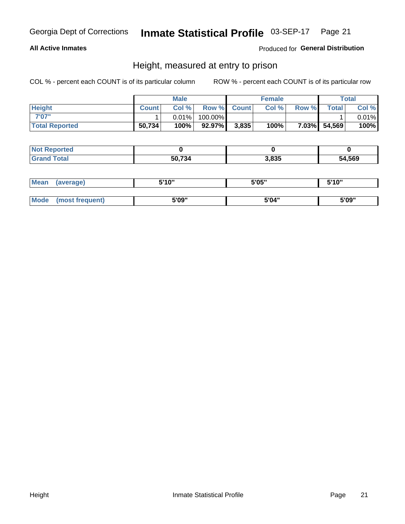### Inmate Statistical Profile 03-SEP-17 Page 21

### **All Active Inmates**

### Produced for General Distribution

### Height, measured at entry to prison

COL % - percent each COUNT is of its particular column

|                       |              | <b>Male</b> |         |             | <b>Female</b> |       |              | Total |
|-----------------------|--------------|-------------|---------|-------------|---------------|-------|--------------|-------|
| <b>Height</b>         | <b>Count</b> | Col %       |         | Row % Count | Col %         | Row % | <b>Total</b> | Col % |
| 7'07"                 |              | $0.01\%$    | 100.00% |             |               |       |              | 0.01% |
| <b>Total Reported</b> | 50,734       | 100%        | 92.97%  | 3,835       | 100%          |       | 7.03% 54,569 | 100%  |

| <b>Not Reported</b> |        |       |        |
|---------------------|--------|-------|--------|
| <b>Grand Total</b>  | 50,734 | 3,835 | 54,569 |

| <b>Mean</b> | (average)       | 5'10" | 5'05" | 5'10" |
|-------------|-----------------|-------|-------|-------|
|             |                 |       |       |       |
| Mode        | (most frequent) | 5'09" | 5'04" | 5'09" |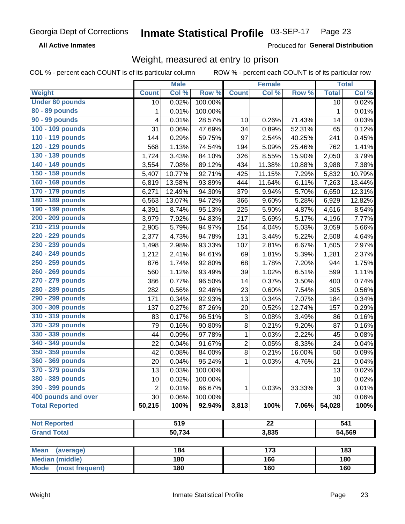#### Inmate Statistical Profile 03-SEP-17 Page 23

**All Active Inmates** 

Produced for General Distribution

### Weight, measured at entry to prison

COL % - percent each COUNT is of its particular column

|                                |                | <b>Male</b> |         |                           | <b>Female</b>    |           |              | <b>Total</b> |
|--------------------------------|----------------|-------------|---------|---------------------------|------------------|-----------|--------------|--------------|
| Weight                         | <b>Count</b>   | Col %       | Row %   | <b>Count</b>              | Col %            | Row %     | <b>Total</b> | Col %        |
| <b>Under 80 pounds</b>         | 10             | 0.02%       | 100.00% |                           |                  |           | 10           | 0.02%        |
| 80 - 89 pounds                 | 1              | 0.01%       | 100.00% |                           |                  |           | 1            | 0.01%        |
| 90 - 99 pounds                 | 4              | 0.01%       | 28.57%  | 10                        | 0.26%            | 71.43%    | 14           | 0.03%        |
| 100 - 109 pounds               | 31             | 0.06%       | 47.69%  | 34                        | 0.89%            | 52.31%    | 65           | 0.12%        |
| 110 - 119 pounds               | 144            | 0.29%       | 59.75%  | 97                        | 2.54%            | 40.25%    | 241          | 0.45%        |
| 120 - 129 pounds               | 568            | 1.13%       | 74.54%  | 194                       | 5.09%            | 25.46%    | 762          | 1.41%        |
| 130 - 139 pounds               | 1,724          | 3.43%       | 84.10%  | 326                       | 8.55%            | 15.90%    | 2,050        | 3.79%        |
| 140 - 149 pounds               | 3,554          | 7.08%       | 89.12%  | 434                       | 11.38%           | 10.88%    | 3,988        | 7.38%        |
| 150 - 159 pounds               | 5,407          | 10.77%      | 92.71%  | 425                       | 11.15%           | 7.29%     | 5,832        | 10.79%       |
| 160 - 169 pounds               | 6,819          | 13.58%      | 93.89%  | 444                       | 11.64%           | 6.11%     | 7,263        | 13.44%       |
| 170 - 179 pounds               | 6,271          | 12.49%      | 94.30%  | 379                       | 9.94%            | 5.70%     | 6,650        | 12.31%       |
| 180 - 189 pounds               | 6,563          | 13.07%      | 94.72%  | 366                       | 9.60%            | 5.28%     | 6,929        | 12.82%       |
| 190 - 199 pounds               | 4,391          | 8.74%       | 95.13%  | 225                       | 5.90%            | 4.87%     | 4,616        | 8.54%        |
| 200 - 209 pounds               | 3,979          | 7.92%       | 94.83%  | 217                       | 5.69%            | 5.17%     | 4,196        | 7.77%        |
| 210 - 219 pounds               | 2,905          | 5.79%       | 94.97%  | 154                       | 4.04%            | 5.03%     | 3,059        | 5.66%        |
| 220 - 229 pounds               | 2,377          | 4.73%       | 94.78%  | 131                       | 3.44%            | 5.22%     | 2,508        | 4.64%        |
| 230 - 239 pounds               | 1,498          | 2.98%       | 93.33%  | 107                       | 2.81%            | 6.67%     | 1,605        | 2.97%        |
| 240 - 249 pounds               | 1,212          | 2.41%       | 94.61%  | 69                        | 1.81%            | 5.39%     | 1,281        | 2.37%        |
| 250 - 259 pounds               | 876            | 1.74%       | 92.80%  | 68                        | 1.78%            | 7.20%     | 944          | 1.75%        |
| 260 - 269 pounds               | 560            | 1.12%       | 93.49%  | 39                        | 1.02%            | 6.51%     | 599          | 1.11%        |
| 270 - 279 pounds               | 386            | 0.77%       | 96.50%  | 14                        | 0.37%            | 3.50%     | 400          | 0.74%        |
| 280 - 289 pounds               | 282            | 0.56%       | 92.46%  | 23                        | 0.60%            | 7.54%     | 305          | 0.56%        |
| 290 - 299 pounds               | 171            | 0.34%       | 92.93%  | 13                        | 0.34%            | 7.07%     | 184          | 0.34%        |
| 300 - 309 pounds               | 137            | 0.27%       | 87.26%  | 20                        | 0.52%            | 12.74%    | 157          | 0.29%        |
| 310 - 319 pounds               | 83             | 0.17%       | 96.51%  | $\ensuremath{\mathsf{3}}$ | 0.08%            | 3.49%     | 86           | 0.16%        |
| 320 - 329 pounds               | 79             | 0.16%       | 90.80%  | 8                         | 0.21%            | 9.20%     | 87           | 0.16%        |
| 330 - 339 pounds               | 44             | 0.09%       | 97.78%  | 1                         | 0.03%            | 2.22%     | 45           | 0.08%        |
| 340 - 349 pounds               | 22             | 0.04%       | 91.67%  | $\overline{2}$            | 0.05%            | 8.33%     | 24           | 0.04%        |
| 350 - 359 pounds               | 42             | 0.08%       | 84.00%  | 8                         | 0.21%            | 16.00%    | 50           | 0.09%        |
| 360 - 369 pounds               | 20             | 0.04%       | 95.24%  | 1                         | 0.03%            | 4.76%     | 21           | 0.04%        |
| 370 - 379 pounds               | 13             | 0.03%       | 100.00% |                           |                  |           | 13           | 0.02%        |
| 380 - 389 pounds               | 10             | 0.02%       | 100.00% |                           |                  |           | 10           | 0.02%        |
| 390 - 399 pounds               | $\overline{2}$ | 0.01%       | 66.67%  | 1                         | 0.03%            | $33.33\%$ | 3            | 0.01%        |
| 400 pounds and over            | 30             | 0.06%       | 100.00% |                           |                  |           | 30           | $0.06\%$     |
| <b>Total Reported</b>          | 50,215         | 100%        | 92.94%  | 3,813                     | 100%             | 7.06%     | 54,028       | 100%         |
|                                |                |             |         |                           |                  |           |              |              |
| <b>Not Reported</b>            |                | 519         |         |                           | $\overline{22}$  |           |              | 541          |
| <b>Grand Total</b>             |                | 50,734      |         |                           | 3,835            |           |              | 54,569       |
| <b>Mean</b><br>(average)       |                | 184         |         |                           | $\overline{173}$ |           |              | 183          |
| <b>Median (middle)</b>         |                | 180         |         |                           | 166              |           |              | 180          |
| <b>Mode</b><br>(most frequent) |                | 180         |         |                           | 160              |           |              | 160          |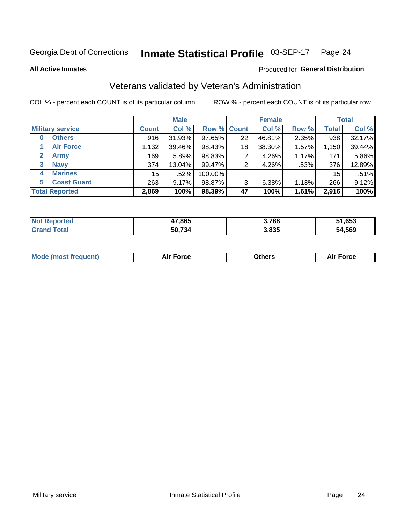#### Inmate Statistical Profile 03-SEP-17 Page 24

**All Active Inmates** 

### Produced for General Distribution

### Veterans validated by Veteran's Administration

COL % - percent each COUNT is of its particular column

|                             |                 | <b>Male</b> |             |    | <b>Female</b> |          |              | <b>Total</b> |
|-----------------------------|-----------------|-------------|-------------|----|---------------|----------|--------------|--------------|
| <b>Military service</b>     | <b>Count</b>    | Col %       | Row % Count |    | Col %         | Row %    | <b>Total</b> | Col %        |
| <b>Others</b><br>0          | 916             | 31.93%      | 97.65%      | 22 | 46.81%        | 2.35%    | 938          | 32.17%       |
| <b>Air Force</b>            | 1,132           | 39.46%      | 98.43%      | 18 | 38.30%        | 1.57%    | 1,150        | 39.44%       |
| <b>Army</b><br>$\mathbf{2}$ | 169             | 5.89%       | 98.83%      | 2  | 4.26%         | 1.17%    | 171          | 5.86%        |
| <b>Navy</b><br>3            | 374             | 13.04%      | 99.47%      | 2  | 4.26%         | .53%     | 376          | 12.89%       |
| <b>Marines</b><br>4         | 15 <sup>1</sup> | .52%        | 100.00%     |    |               |          | 15           | .51%         |
| <b>Coast Guard</b><br>5     | 263             | 9.17%       | 98.87%      | 3  | 6.38%         | $1.13\%$ | 266          | 9.12%        |
| <b>Total Reported</b>       | 2,869           | 100%        | 98.39%      | 47 | 100%          | 1.61%    | 2,916        | 100%         |

| orted<br><b>NOT</b> | 47,865 | 3,788 | 51,653 |
|---------------------|--------|-------|--------|
| $\sim$              | 50.734 | 3,835 | 54,569 |

|  |  | <b>Mode (most frequent)</b> | <b>Force</b><br>Aır | วthers | orce |
|--|--|-----------------------------|---------------------|--------|------|
|--|--|-----------------------------|---------------------|--------|------|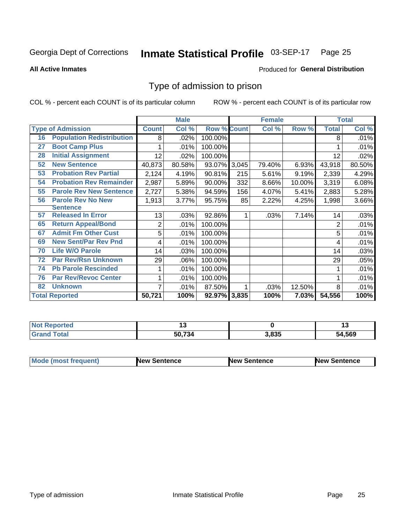#### Inmate Statistical Profile 03-SEP-17 Page 25

**All Active Inmates** 

### **Produced for General Distribution**

### Type of admission to prison

COL % - percent each COUNT is of its particular column

|    |                                  |              | <b>Male</b> |                    |     | <b>Female</b> |        |              | <b>Total</b> |
|----|----------------------------------|--------------|-------------|--------------------|-----|---------------|--------|--------------|--------------|
|    | <b>Type of Admission</b>         | <b>Count</b> | Col %       | <b>Row % Count</b> |     | Col %         | Row %  | <b>Total</b> | Col %        |
| 16 | <b>Population Redistribution</b> | 8            | .02%        | 100.00%            |     |               |        | 8            | .01%         |
| 27 | <b>Boot Camp Plus</b>            |              | .01%        | 100.00%            |     |               |        |              | .01%         |
| 28 | <b>Initial Assignment</b>        | 12           | .02%        | 100.00%            |     |               |        | 12           | .02%         |
| 52 | <b>New Sentence</b>              | 40,873       | 80.58%      | 93.07% 3,045       |     | 79.40%        | 6.93%  | 43,918       | 80.50%       |
| 53 | <b>Probation Rev Partial</b>     | 2,124        | 4.19%       | 90.81%             | 215 | 5.61%         | 9.19%  | 2,339        | 4.29%        |
| 54 | <b>Probation Rev Remainder</b>   | 2,987        | 5.89%       | 90.00%             | 332 | 8.66%         | 10.00% | 3,319        | 6.08%        |
| 55 | <b>Parole Rev New Sentence</b>   | 2,727        | 5.38%       | 94.59%             | 156 | 4.07%         | 5.41%  | 2,883        | 5.28%        |
| 56 | <b>Parole Rev No New</b>         | 1,913        | 3.77%       | 95.75%             | 85  | 2.22%         | 4.25%  | 1,998        | 3.66%        |
|    | <b>Sentence</b>                  |              |             |                    |     |               |        |              |              |
| 57 | <b>Released In Error</b>         | 13           | .03%        | 92.86%             |     | .03%          | 7.14%  | 14           | .03%         |
| 65 | <b>Return Appeal/Bond</b>        | 2            | .01%        | 100.00%            |     |               |        | 2            | .01%         |
| 67 | <b>Admit Fm Other Cust</b>       | 5            | .01%        | 100.00%            |     |               |        | 5            | .01%         |
| 69 | <b>New Sent/Par Rev Pnd</b>      | 4            | .01%        | 100.00%            |     |               |        | 4            | .01%         |
| 70 | <b>Life W/O Parole</b>           | 14           | .03%        | 100.00%            |     |               |        | 14           | .03%         |
| 72 | <b>Par Rev/Rsn Unknown</b>       | 29           | .06%        | 100.00%            |     |               |        | 29           | .05%         |
| 74 | <b>Pb Parole Rescinded</b>       |              | .01%        | 100.00%            |     |               |        |              | .01%         |
| 76 | <b>Par Rev/Revoc Center</b>      |              | .01%        | 100.00%            |     |               |        |              | .01%         |
| 82 | <b>Unknown</b>                   | 7            | .01%        | 87.50%             |     | .03%          | 12.50% | 8            | .01%         |
|    | <b>Total Reported</b>            | 50,721       | 100%        | 92.97% 3,835       |     | 100%          | 7.03%  | 54,556       | 100%         |

| <b>Not</b><br>rted |                |       | .,            |
|--------------------|----------------|-------|---------------|
| 'otal              | 50.72<br>-1.50 | 3,835 | 1,569<br>- מר |

| <b>Mode (most frequent)</b> | New Sentence | <b>New Sentence</b> | <b>New Sentence</b> |
|-----------------------------|--------------|---------------------|---------------------|
|                             |              |                     |                     |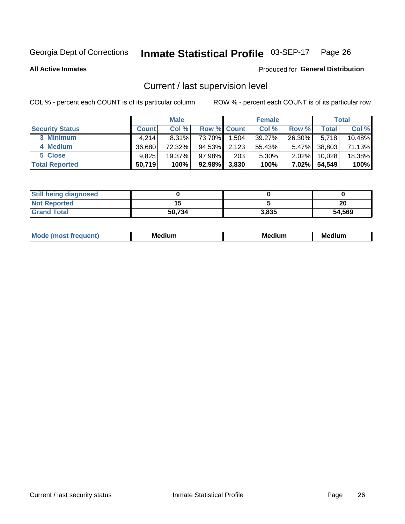#### Inmate Statistical Profile 03-SEP-17 Page 26

**All Active Inmates** 

### Produced for General Distribution

### Current / last supervision level

COL % - percent each COUNT is of its particular column

|                        |              | <b>Male</b> |                    |       | <b>Female</b> |          |        | <b>Total</b> |
|------------------------|--------------|-------------|--------------------|-------|---------------|----------|--------|--------------|
| <b>Security Status</b> | <b>Count</b> | Col %       | <b>Row % Count</b> |       | Col %         | Row %    | Total  | Col %        |
| 3 Minimum              | 4.214        | $8.31\%$    | 73.70%             | 1,504 | 39.27%        | 26.30%   | 5,718  | 10.48%       |
| 4 Medium               | 36.680       | 72.32%      | 94.53%             | 2,123 | 55.43%        | $5.47\%$ | 38,803 | 71.13%       |
| 5 Close                | 9.825        | 19.37%      | $97.98\%$          | 203   | 5.30%         | $2.02\%$ | 10,028 | 18.38%       |
| <b>Total Reported</b>  | 50,719       | 100%        | $92.98\%$          | 3,830 | 100%          | $7.02\%$ | 54,549 | 100%         |

| <b>Still being diagnosed</b> |        |       |        |
|------------------------------|--------|-------|--------|
| <b>Not Reported</b>          |        |       | חר     |
| <b>Grand Total</b>           | 50,734 | 3,835 | 54,569 |

| M | M | . . |
|---|---|-----|
|   |   |     |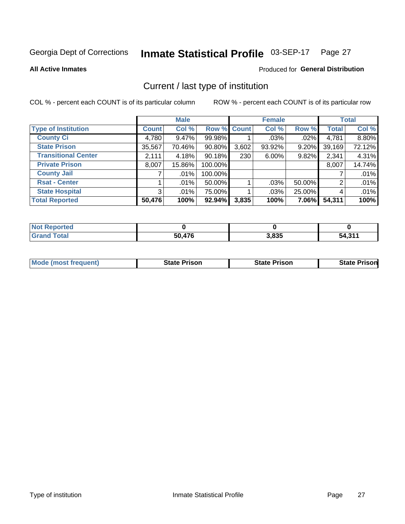#### Inmate Statistical Profile 03-SEP-17 Page 27

**All Active Inmates** 

### Produced for General Distribution

### Current / last type of institution

COL % - percent each COUNT is of its particular column

|                            |                | <b>Male</b> |             |       | <b>Female</b> |        |              | <b>Total</b> |
|----------------------------|----------------|-------------|-------------|-------|---------------|--------|--------------|--------------|
| <b>Type of Institution</b> | <b>Count</b>   | Col %       | Row % Count |       | Col %         | Row %  | <b>Total</b> | Col %        |
| <b>County Ci</b>           | 4,780          | $9.47\%$    | 99.98%      |       | $.03\%$       | .02%   | 4,781        | 8.80%        |
| <b>State Prison</b>        | 35,567         | 70.46%      | $90.80\%$   | 3,602 | 93.92%        | 9.20%  | 39,169       | 72.12%       |
| <b>Transitional Center</b> | 2,111          | 4.18%       | 90.18%      | 230   | $6.00\%$      | 9.82%  | 2,341        | 4.31%        |
| <b>Private Prison</b>      | 8,007          | 15.86%      | 100.00%     |       |               |        | 8,007        | 14.74%       |
| <b>County Jail</b>         |                | $.01\%$     | 100.00%     |       |               |        |              | .01%         |
| <b>Rsat - Center</b>       |                | .01%        | 50.00%      |       | .03%          | 50.00% | 2            | .01%         |
| <b>State Hospital</b>      | 3 <sup>1</sup> | $.01\%$     | 75.00%      |       | .03%          | 25.00% | 4            | .01%         |
| <b>Total Reported</b>      | 50,476         | 100%        | 92.94%      | 3,835 | 100%          | 7.06%  | 54,311       | 100%         |

| วorted<br><b>NOT</b> |            |       |         |
|----------------------|------------|-------|---------|
| <b>otal</b>          | ,476<br>50 | 3,835 | 54.31'' |

| <b>Mode (most frequent)</b> | <b>State Prison</b> | <b>State Prison</b> | <b>State Prison</b> |
|-----------------------------|---------------------|---------------------|---------------------|
|                             |                     |                     |                     |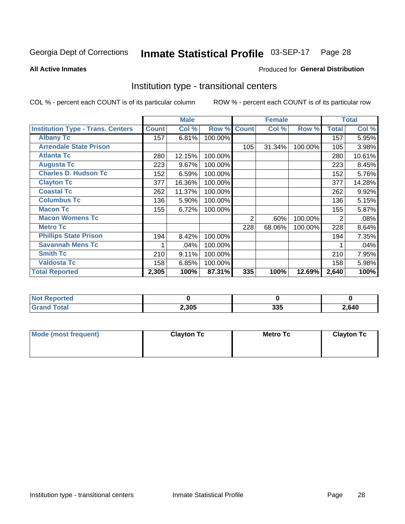#### Inmate Statistical Profile 03-SEP-17 Page 28

Produced for General Distribution

### **All Active Inmates**

### Institution type - transitional centers

COL % - percent each COUNT is of its particular column

|                                          |              | <b>Male</b> |         |              | <b>Female</b> |         |              | <b>Total</b> |
|------------------------------------------|--------------|-------------|---------|--------------|---------------|---------|--------------|--------------|
| <b>Institution Type - Trans. Centers</b> | <b>Count</b> | Col %       | Row %   | <b>Count</b> | Col %         | Row %   | <b>Total</b> | Col %        |
| <b>Albany Tc</b>                         | 157          | 6.81%       | 100.00% |              |               |         | 157          | 5.95%        |
| <b>Arrendale State Prison</b>            |              |             |         | 105          | 31.34%        | 100.00% | 105          | 3.98%        |
| <b>Atlanta Tc</b>                        | 280          | 12.15%      | 100.00% |              |               |         | 280          | 10.61%       |
| <b>Augusta Tc</b>                        | 223          | 9.67%       | 100.00% |              |               |         | 223          | 8.45%        |
| <b>Charles D. Hudson Tc</b>              | 152          | 6.59%       | 100.00% |              |               |         | 152          | 5.76%        |
| <b>Clayton Tc</b>                        | 377          | 16.36%      | 100.00% |              |               |         | 377          | 14.28%       |
| <b>Coastal Tc</b>                        | 262          | 11.37%      | 100.00% |              |               |         | 262          | 9.92%        |
| <b>Columbus Tc</b>                       | 136          | 5.90%       | 100.00% |              |               |         | 136          | 5.15%        |
| <b>Macon Tc</b>                          | 155          | 6.72%       | 100.00% |              |               |         | 155          | 5.87%        |
| <b>Macon Womens Tc</b>                   |              |             |         | 2            | .60%          | 100.00% | 2            | .08%         |
| <b>Metro Tc</b>                          |              |             |         | 228          | 68.06%        | 100.00% | 228          | 8.64%        |
| <b>Phillips State Prison</b>             | 194          | 8.42%       | 100.00% |              |               |         | 194          | 7.35%        |
| <b>Savannah Mens Tc</b>                  |              | .04%        | 100.00% |              |               |         |              | .04%         |
| <b>Smith Tc</b>                          | 210          | 9.11%       | 100.00% |              |               |         | 210          | 7.95%        |
| <b>Valdosta Tc</b>                       | 158          | 6.85%       | 100.00% |              |               |         | 158          | 5.98%        |
| <b>Total Reported</b>                    | 2,305        | 100%        | 87.31%  | 335          | 100%          | 12.69%  | 2,640        | 100%         |

| τeα |       |            |             |
|-----|-------|------------|-------------|
|     | 2,305 | 225<br>ააა | .640<br>ט⊤ט |

| Mode (most frequent) | <b>Clayton Tc</b> | Metro Tc | <b>Clayton Tc</b> |
|----------------------|-------------------|----------|-------------------|
|                      |                   |          |                   |
|                      |                   |          |                   |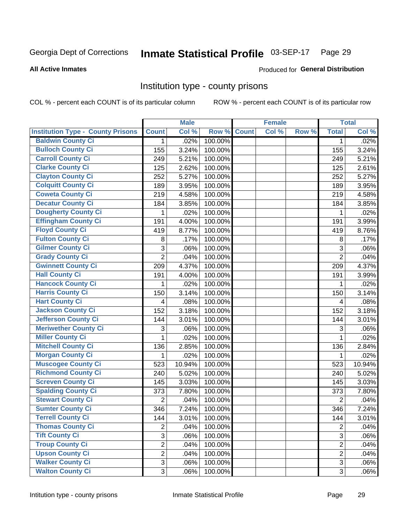#### Inmate Statistical Profile 03-SEP-17 Page 29

### **All Active Inmates**

### Produced for General Distribution

### Institution type - county prisons

COL % - percent each COUNT is of its particular column

|                                          |                | <b>Male</b> |         |              | <b>Female</b> |       |                | <b>Total</b> |
|------------------------------------------|----------------|-------------|---------|--------------|---------------|-------|----------------|--------------|
| <b>Institution Type - County Prisons</b> | <b>Count</b>   | Col %       | Row %   | <b>Count</b> | Col %         | Row % | <b>Total</b>   | Col %        |
| <b>Baldwin County Ci</b>                 | $\mathbf{1}$   | .02%        | 100.00% |              |               |       | $\mathbf{1}$   | .02%         |
| <b>Bulloch County Ci</b>                 | 155            | 3.24%       | 100.00% |              |               |       | 155            | 3.24%        |
| <b>Carroll County Ci</b>                 | 249            | 5.21%       | 100.00% |              |               |       | 249            | 5.21%        |
| <b>Clarke County Ci</b>                  | 125            | 2.62%       | 100.00% |              |               |       | 125            | 2.61%        |
| <b>Clayton County Ci</b>                 | 252            | 5.27%       | 100.00% |              |               |       | 252            | 5.27%        |
| <b>Colquitt County Ci</b>                | 189            | 3.95%       | 100.00% |              |               |       | 189            | 3.95%        |
| <b>Coweta County Ci</b>                  | 219            | 4.58%       | 100.00% |              |               |       | 219            | 4.58%        |
| <b>Decatur County Ci</b>                 | 184            | 3.85%       | 100.00% |              |               |       | 184            | 3.85%        |
| <b>Dougherty County Ci</b>               | 1              | .02%        | 100.00% |              |               |       | 1              | .02%         |
| <b>Effingham County Ci</b>               | 191            | 4.00%       | 100.00% |              |               |       | 191            | 3.99%        |
| <b>Floyd County Ci</b>                   | 419            | 8.77%       | 100.00% |              |               |       | 419            | 8.76%        |
| <b>Fulton County Ci</b>                  | 8              | .17%        | 100.00% |              |               |       | $\,8\,$        | .17%         |
| <b>Gilmer County Ci</b>                  | 3              | .06%        | 100.00% |              |               |       | 3              | .06%         |
| <b>Grady County Ci</b>                   | $\overline{2}$ | .04%        | 100.00% |              |               |       | $\overline{2}$ | .04%         |
| <b>Gwinnett County Ci</b>                | 209            | 4.37%       | 100.00% |              |               |       | 209            | 4.37%        |
| <b>Hall County Ci</b>                    | 191            | 4.00%       | 100.00% |              |               |       | 191            | 3.99%        |
| <b>Hancock County Ci</b>                 | 1              | .02%        | 100.00% |              |               |       | 1              | .02%         |
| <b>Harris County Ci</b>                  | 150            | 3.14%       | 100.00% |              |               |       | 150            | 3.14%        |
| <b>Hart County Ci</b>                    | 4              | .08%        | 100.00% |              |               |       | 4              | .08%         |
| <b>Jackson County Ci</b>                 | 152            | 3.18%       | 100.00% |              |               |       | 152            | 3.18%        |
| <b>Jefferson County Ci</b>               | 144            | 3.01%       | 100.00% |              |               |       | 144            | 3.01%        |
| <b>Meriwether County Ci</b>              | 3              | .06%        | 100.00% |              |               |       | 3              | .06%         |
| <b>Miller County Ci</b>                  | 1              | .02%        | 100.00% |              |               |       | 1              | .02%         |
| <b>Mitchell County Ci</b>                | 136            | 2.85%       | 100.00% |              |               |       | 136            | 2.84%        |
| <b>Morgan County Ci</b>                  | 1              | .02%        | 100.00% |              |               |       | 1              | .02%         |
| <b>Muscogee County Ci</b>                | 523            | 10.94%      | 100.00% |              |               |       | 523            | 10.94%       |
| <b>Richmond County Ci</b>                | 240            | 5.02%       | 100.00% |              |               |       | 240            | 5.02%        |
| <b>Screven County Ci</b>                 | 145            | 3.03%       | 100.00% |              |               |       | 145            | 3.03%        |
| <b>Spalding County Ci</b>                | 373            | 7.80%       | 100.00% |              |               |       | 373            | 7.80%        |
| <b>Stewart County Ci</b>                 | $\overline{2}$ | .04%        | 100.00% |              |               |       | $\overline{2}$ | .04%         |
| <b>Sumter County Ci</b>                  | 346            | 7.24%       | 100.00% |              |               |       | 346            | 7.24%        |
| <b>Terrell County Ci</b>                 | 144            | 3.01%       | 100.00% |              |               |       | 144            | 3.01%        |
| <b>Thomas County Ci</b>                  | $\overline{2}$ | .04%        | 100.00% |              |               |       | $\overline{2}$ | .04%         |
| <b>Tift County Ci</b>                    | 3              | .06%        | 100.00% |              |               |       | 3              | .06%         |
| <b>Troup County Ci</b>                   | $\overline{2}$ | .04%        | 100.00% |              |               |       | $\overline{2}$ | .04%         |
| <b>Upson County Ci</b>                   | $\overline{2}$ | .04%        | 100.00% |              |               |       | $\overline{2}$ | .04%         |
| <b>Walker County Ci</b>                  | 3              | .06%        | 100.00% |              |               |       | 3              | .06%         |
| <b>Walton County Ci</b>                  | 3              | .06%        | 100.00% |              |               |       | 3 <sup>1</sup> | .06%         |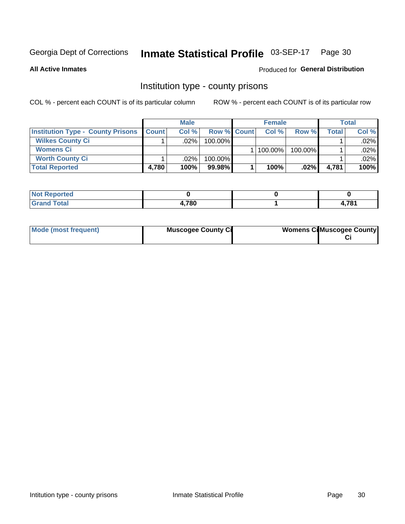#### Inmate Statistical Profile 03-SEP-17 Page 30

**All Active Inmates** 

### Produced for General Distribution

### Institution type - county prisons

COL % - percent each COUNT is of its particular column

|                                          |              | <b>Male</b> |                    | <b>Female</b> |         |         | <b>Total</b> |
|------------------------------------------|--------------|-------------|--------------------|---------------|---------|---------|--------------|
| <b>Institution Type - County Prisons</b> | <b>Count</b> | Col%        | <b>Row % Count</b> | Col%          | Row %   | Total i | Col %        |
| <b>Wilkes County Ci</b>                  |              | .02%        | $100.00\%$         |               |         |         | $.02\%$      |
| <b>Womens Ci</b>                         |              |             |                    | 100.00%       | 100.00% |         | $.02\%$      |
| <b>Worth County Ci</b>                   |              | $.02\%$     | 100.00%            |               |         |         | $.02\%$      |
| <b>Total Reported</b>                    | 4,780        | 100%        | 99.98%             | 100%          | $.02\%$ | 4,781   | 100%         |

| rtea   |      |     |
|--------|------|-----|
| $\sim$ | ,780 | 704 |

| Mode (most frequent) | <b>Muscogee County Ci</b> | <b>Womens Cil Muscogee County</b> |
|----------------------|---------------------------|-----------------------------------|
|                      |                           |                                   |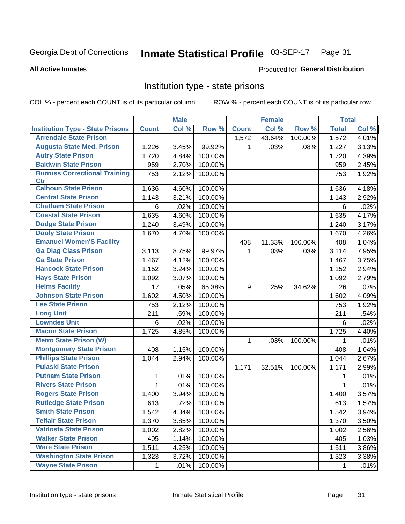#### Inmate Statistical Profile 03-SEP-17 Page 31

### **All Active Inmates**

### Produced for General Distribution

### Institution type - state prisons

COL % - percent each COUNT is of its particular column

|                                         |              | <b>Male</b> |         |              | <b>Female</b> |         | <b>Total</b> |       |
|-----------------------------------------|--------------|-------------|---------|--------------|---------------|---------|--------------|-------|
| <b>Institution Type - State Prisons</b> | <b>Count</b> | Col %       | Row %   | <b>Count</b> | Col %         | Row %   | <b>Total</b> | Col % |
| <b>Arrendale State Prison</b>           |              |             |         | 1,572        | 43.64%        | 100.00% | 1,572        | 4.01% |
| <b>Augusta State Med. Prison</b>        | 1,226        | 3.45%       | 99.92%  | 1            | .03%          | .08%    | 1,227        | 3.13% |
| <b>Autry State Prison</b>               | 1,720        | 4.84%       | 100.00% |              |               |         | 1,720        | 4.39% |
| <b>Baldwin State Prison</b>             | 959          | 2.70%       | 100.00% |              |               |         | 959          | 2.45% |
| <b>Burruss Correctional Training</b>    | 753          | 2.12%       | 100.00% |              |               |         | 753          | 1.92% |
| <b>Ctr</b>                              |              |             |         |              |               |         |              |       |
| <b>Calhoun State Prison</b>             | 1,636        | 4.60%       | 100.00% |              |               |         | 1,636        | 4.18% |
| <b>Central State Prison</b>             | 1,143        | 3.21%       | 100.00% |              |               |         | 1,143        | 2.92% |
| <b>Chatham State Prison</b>             | 6            | .02%        | 100.00% |              |               |         | 6            | .02%  |
| <b>Coastal State Prison</b>             | 1,635        | 4.60%       | 100.00% |              |               |         | 1,635        | 4.17% |
| <b>Dodge State Prison</b>               | 1,240        | 3.49%       | 100.00% |              |               |         | 1,240        | 3.17% |
| <b>Dooly State Prison</b>               | 1,670        | 4.70%       | 100.00% |              |               |         | 1,670        | 4.26% |
| <b>Emanuel Women'S Facility</b>         |              |             |         | 408          | 11.33%        | 100.00% | 408          | 1.04% |
| <b>Ga Diag Class Prison</b>             | 3,113        | 8.75%       | 99.97%  | $\mathbf 1$  | .03%          | .03%    | 3,114        | 7.95% |
| <b>Ga State Prison</b>                  | 1,467        | 4.12%       | 100.00% |              |               |         | 1,467        | 3.75% |
| <b>Hancock State Prison</b>             | 1,152        | 3.24%       | 100.00% |              |               |         | 1,152        | 2.94% |
| <b>Hays State Prison</b>                | 1,092        | 3.07%       | 100.00% |              |               |         | 1,092        | 2.79% |
| <b>Helms Facility</b>                   | 17           | .05%        | 65.38%  | 9            | .25%          | 34.62%  | 26           | .07%  |
| <b>Johnson State Prison</b>             | 1,602        | 4.50%       | 100.00% |              |               |         | 1,602        | 4.09% |
| <b>Lee State Prison</b>                 | 753          | 2.12%       | 100.00% |              |               |         | 753          | 1.92% |
| <b>Long Unit</b>                        | 211          | .59%        | 100.00% |              |               |         | 211          | .54%  |
| <b>Lowndes Unit</b>                     | 6            | .02%        | 100.00% |              |               |         | 6            | .02%  |
| <b>Macon State Prison</b>               | 1,725        | 4.85%       | 100.00% |              |               |         | 1,725        | 4.40% |
| <b>Metro State Prison (W)</b>           |              |             |         | 1            | .03%          | 100.00% | 1            | .01%  |
| <b>Montgomery State Prison</b>          | 408          | 1.15%       | 100.00% |              |               |         | 408          | 1.04% |
| <b>Phillips State Prison</b>            | 1,044        | 2.94%       | 100.00% |              |               |         | 1,044        | 2.67% |
| <b>Pulaski State Prison</b>             |              |             |         | 1,171        | 32.51%        | 100.00% | 1,171        | 2.99% |
| <b>Putnam State Prison</b>              | 1            | .01%        | 100.00% |              |               |         | 1            | .01%  |
| <b>Rivers State Prison</b>              | $\mathbf{1}$ | .01%        | 100.00% |              |               |         | 1            | .01%  |
| <b>Rogers State Prison</b>              | 1,400        | 3.94%       | 100.00% |              |               |         | 1,400        | 3.57% |
| <b>Rutledge State Prison</b>            | 613          | 1.72%       | 100.00% |              |               |         | 613          | 1.57% |
| <b>Smith State Prison</b>               | 1,542        | $4.34\%$    | 100.00% |              |               |         | 1,542        | 3.94% |
| <b>Telfair State Prison</b>             | 1,370        | 3.85%       | 100.00% |              |               |         | 1,370        | 3.50% |
| <b>Valdosta State Prison</b>            | 1,002        | 2.82%       | 100.00% |              |               |         | 1,002        | 2.56% |
| <b>Walker State Prison</b>              | 405          | 1.14%       | 100.00% |              |               |         | 405          | 1.03% |
| <b>Ware State Prison</b>                | 1,511        | 4.25%       | 100.00% |              |               |         | 1,511        | 3.86% |
| <b>Washington State Prison</b>          | 1,323        | 3.72%       | 100.00% |              |               |         | 1,323        | 3.38% |
| <b>Wayne State Prison</b>               | 1            | .01%        | 100.00% |              |               |         | 1            | .01%  |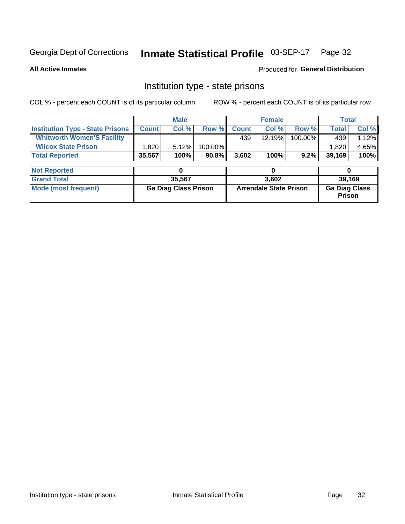## Inmate Statistical Profile 03-SEP-17 Page 32

**All Active Inmates** 

Produced for General Distribution

### Institution type - state prisons

COL % - percent each COUNT is of its particular column

|                                         |                             | <b>Male</b> |                               |              | <b>Female</b> |                                       | <b>Total</b> |       |
|-----------------------------------------|-----------------------------|-------------|-------------------------------|--------------|---------------|---------------------------------------|--------------|-------|
| <b>Institution Type - State Prisons</b> | <b>Count</b>                | Col %       | Row %                         | <b>Count</b> | Col %         | Row %                                 | <b>Total</b> | Col % |
| <b>Whitworth Women'S Facility</b>       |                             |             |                               | 439          | 12.19%        | 100.00%                               | 439          | 1.12% |
| <b>Wilcox State Prison</b>              | .820                        | 5.12%       | 100.00%                       |              |               |                                       | 1,820        | 4.65% |
| <b>Total Reported</b>                   | 35,567                      | 100%        | 90.8%                         | 3,602        | 100%          | 9.2%                                  | 39,169       | 100%  |
| <b>Not Reported</b>                     |                             | 0           |                               |              | 0             |                                       | 0            |       |
| <b>Grand Total</b>                      |                             | 35,567      |                               |              | 3,602         |                                       | 39,169       |       |
| <b>Mode (most frequent)</b>             | <b>Ga Diag Class Prison</b> |             | <b>Arrendale State Prison</b> |              |               | <b>Ga Diag Class</b><br><b>Prison</b> |              |       |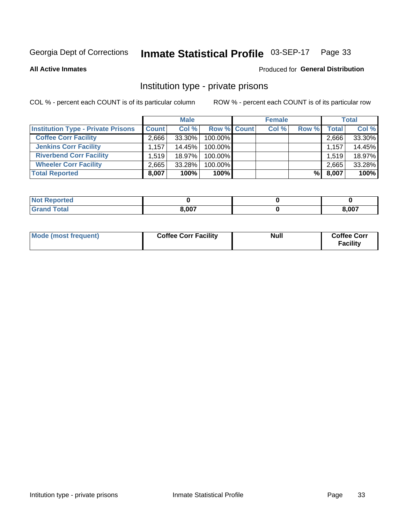#### Inmate Statistical Profile 03-SEP-17 Page 33

**All Active Inmates** 

### Produced for General Distribution

### Institution type - private prisons

COL % - percent each COUNT is of its particular column

|                                           |              | <b>Male</b> |                    | <b>Female</b> |       |       | <b>Total</b> |
|-------------------------------------------|--------------|-------------|--------------------|---------------|-------|-------|--------------|
| <b>Institution Type - Private Prisons</b> | <b>Count</b> | Col %       | <b>Row % Count</b> | Col %         | Row % | Total | Col %        |
| <b>Coffee Corr Facility</b>               | 2.666        | 33.30%      | 100.00%            |               |       | 2,666 | 33.30%       |
| <b>Jenkins Corr Facility</b>              | 1.157        | 14.45%      | 100.00%            |               |       | 1,157 | 14.45%       |
| <b>Riverbend Corr Facility</b>            | 1.519        | 18.97%      | 100.00%            |               |       | 1,519 | 18.97%       |
| <b>Wheeler Corr Facility</b>              | 2.665        | 33.28%      | 100.00%            |               |       | 2,665 | 33.28%       |
| <b>Total Reported</b>                     | 8,007        | 100%        | $100\%$            |               | %I    | 8,007 | 100%         |

| Reported<br><b>NOT</b> |                |       |
|------------------------|----------------|-------|
| <b>otal</b>            | 0.007<br>J,vv, | 8,007 |

| Mode (most frequent) | <b>Coffee Corr Facility</b> | <b>Null</b> | <b>Coffee Corr</b><br><b>Facility</b> |
|----------------------|-----------------------------|-------------|---------------------------------------|
|----------------------|-----------------------------|-------------|---------------------------------------|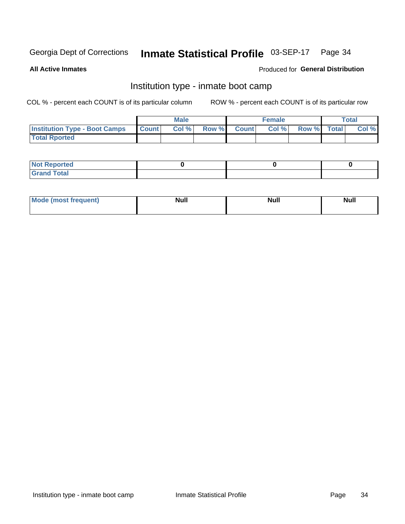#### Inmate Statistical Profile 03-SEP-17 Page 34

**All Active Inmates** 

### **Produced for General Distribution**

### Institution type - inmate boot camp

COL % - percent each COUNT is of its particular column

|                                      |              | <b>Male</b> |               |              | <b>Female</b> |             | <b>Total</b> |
|--------------------------------------|--------------|-------------|---------------|--------------|---------------|-------------|--------------|
| <b>Institution Type - Boot Camps</b> | <b>Count</b> | Col %       | <b>Row %I</b> | <b>Count</b> | Col %         | Row % Total | Col %        |
| <b>Total Rported</b>                 |              |             |               |              |               |             |              |

| <b>Not Reported</b>            |  |  |
|--------------------------------|--|--|
| <b>Total</b><br>C <sub>r</sub> |  |  |

| Mod<br>uamo | Nul.<br>$- - - - - -$ | <b>Null</b> | . .<br>uu.<br>------ |
|-------------|-----------------------|-------------|----------------------|
|             |                       |             |                      |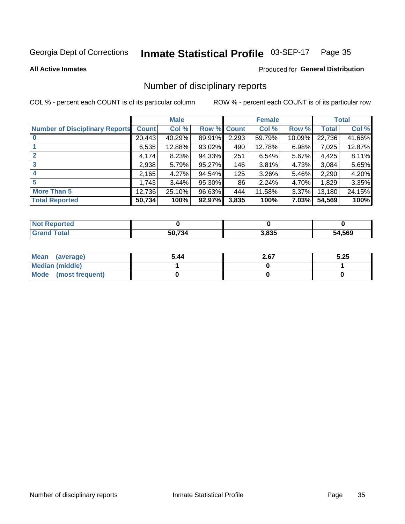#### Inmate Statistical Profile 03-SEP-17 Page 35

**All Active Inmates** 

### Produced for General Distribution

### Number of disciplinary reports

COL % - percent each COUNT is of its particular column

|                                       |              | <b>Male</b> |                    |       | <b>Female</b> |        |              | <b>Total</b> |
|---------------------------------------|--------------|-------------|--------------------|-------|---------------|--------|--------------|--------------|
| <b>Number of Disciplinary Reports</b> | <b>Count</b> | Col %       | <b>Row % Count</b> |       | Col %         | Row %  | <b>Total</b> | Col %        |
|                                       | 20,443       | 40.29%      | 89.91%             | 2,293 | 59.79%        | 10.09% | 22,736       | 41.66%       |
|                                       | 6,535        | 12.88%      | 93.02%             | 490   | 12.78%        | 6.98%  | 7,025        | 12.87%       |
|                                       | 4,174        | 8.23%       | 94.33%             | 251   | 6.54%         | 5.67%  | 4,425        | 8.11%        |
| 3                                     | 2,938        | 5.79%       | 95.27%             | 146   | 3.81%         | 4.73%  | 3,084        | 5.65%        |
|                                       | 2,165        | 4.27%       | 94.54%             | 125   | 3.26%         | 5.46%  | 2,290        | 4.20%        |
| 5                                     | 1,743        | 3.44%       | 95.30%             | 86    | 2.24%         | 4.70%  | 1,829        | 3.35%        |
| <b>More Than 5</b>                    | 12,736       | 25.10%      | 96.63%             | 444   | 11.58%        | 3.37%  | 13,180       | 24.15%       |
| <b>Total Reported</b>                 | 50,734       | 100%        | 92.97%             | 3,835 | 100%          | 7.03%  | 54,569       | 100%         |

| วrted<br>וחש |        |       |        |
|--------------|--------|-------|--------|
| Total        | 50 734 | 3.835 | 54,569 |

| Mean (average)       | 5.44 | 2.67 | 5.25 |
|----------------------|------|------|------|
| Median (middle)      |      |      |      |
| Mode (most frequent) |      |      |      |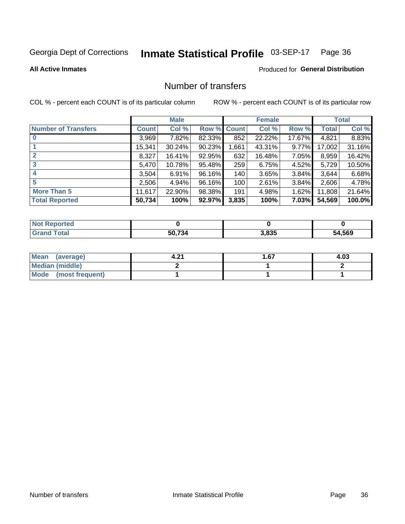#### Inmate Statistical Profile 03-SEP-17 Page 36

### **All Active Inmates**

### **Produced for General Distribution**

### Number of transfers

COL % - percent each COUNT is of its particular column

|                            |         | <b>Male</b> |        |              | <b>Female</b> |          |              | <b>Total</b> |
|----------------------------|---------|-------------|--------|--------------|---------------|----------|--------------|--------------|
| <b>Number of Transfers</b> | Count l | Col %       | Row %  | <b>Count</b> | Col %         | Row %    | <b>Total</b> | Col %        |
|                            | 3,969   | 7.82%       | 82.33% | 852          | 22.22%        | 17.67%   | 4,821        | 8.83%        |
|                            | 15,341  | 30.24%      | 90.23% | 1,661        | 43.31%        | $9.77\%$ | 17,002       | 31.16%       |
| $\mathbf{2}$               | 8,327   | 16.41%      | 92.95% | 632          | 16.48%        | $7.05\%$ | 8,959        | 16.42%       |
| 3                          | 5,470   | 10.78%      | 95.48% | 259          | 6.75%         | $4.52\%$ | 5,729        | 10.50%       |
| 4                          | 3,504   | 6.91%       | 96.16% | 140          | 3.65%         | 3.84%    | 3.644        | 6.68%        |
| 5                          | 2,506   | 4.94%       | 96.16% | 100          | 2.61%         | 3.84%    | 2,606        | 4.78%        |
| <b>More Than 5</b>         | 11,617  | 22.90%      | 98.38% | 191          | 4.98%         | $1.62\%$ | 11,808       | 21.64%       |
| <b>Total Reported</b>      | 50,734  | 100%        | 92.97% | 3,835        | 100%          | $7.03\%$ | 54,569       | 100.0%       |

| วrted<br><b>NOT</b> |        |       |        |
|---------------------|--------|-------|--------|
| Total               | 50 731 | 3,835 | 54,569 |

| Mean (average)       | ົາ⊀<br>4.Z I | . 67 | 4.03 |
|----------------------|--------------|------|------|
| Median (middle)      |              |      |      |
| Mode (most frequent) |              |      |      |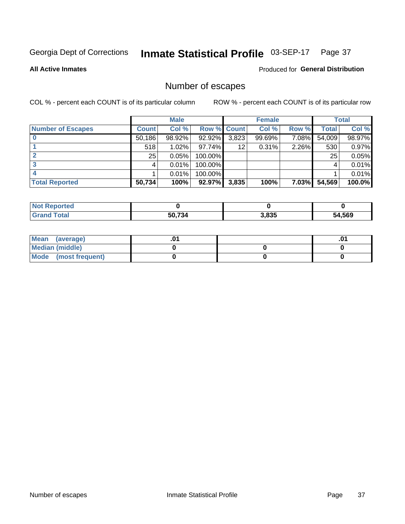#### Inmate Statistical Profile 03-SEP-17 Page 37

### **All Active Inmates**

### Produced for General Distribution

### Number of escapes

COL % - percent each COUNT is of its particular column

|                          |                 | <b>Male</b> |             |       | <b>Female</b> |          |        | <b>Total</b> |
|--------------------------|-----------------|-------------|-------------|-------|---------------|----------|--------|--------------|
| <b>Number of Escapes</b> | <b>Count</b>    | Col %       | Row % Count |       | Col %         | Row %    | Total  | Col %        |
|                          | 50,186          | 98.92%      | 92.92%      | 3,823 | 99.69%        | 7.08%    | 54,009 | 98.97%       |
|                          | 518             | 1.02%       | 97.74%      | 12    | 0.31%         | 2.26%    | 530    | 0.97%        |
|                          | 25 <sub>1</sub> | 0.05%       | 100.00%     |       |               |          | 25     | 0.05%        |
|                          |                 | 0.01%       | 100.00%     |       |               |          | 4      | 0.01%        |
|                          |                 | 0.01%       | 100.00%     |       |               |          |        | $0.01\%$     |
| <b>Total Reported</b>    | 50,734          | 100%        | 92.97%      | 3,835 | 100%          | $7.03\%$ | 54,569 | $100.0\%$    |

| Reported |        |       |               |
|----------|--------|-------|---------------|
| Total    | 50,734 | 3,835 | 1,569<br>- בר |

| Mean<br>(average)    |  | .0 |
|----------------------|--|----|
| Median (middle)      |  |    |
| Mode (most frequent) |  |    |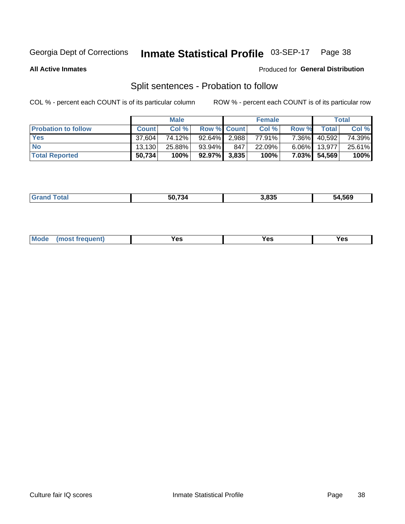#### Inmate Statistical Profile 03-SEP-17 Page 38

**All Active Inmates** 

### Produced for General Distribution

### Split sentences - Probation to follow

COL % - percent each COUNT is of its particular column

|                            |              | <b>Male</b> |                    |     | <b>Female</b> |              |        | <b>Total</b> |
|----------------------------|--------------|-------------|--------------------|-----|---------------|--------------|--------|--------------|
| <b>Probation to follow</b> | <b>Count</b> | Col%        | <b>Row % Count</b> |     | Col %         | <b>Row %</b> | Total  | Col %        |
| <b>Yes</b>                 | 37.604       | 74.12%      | $92.64\%$ 2.988    |     | 77.91%        | $7.36\%$     | 40,592 | 74.39%       |
| <b>No</b>                  | 13.130       | 25.88%      | 93.94%             | 847 | 22.09%        | $6.06\%$     | 13.977 | 25.61%       |
| <b>Total Reported</b>      | 50,734       | 100%        | $92.97\%$ 3,835    |     | 100%          | 7.03%        | 54,569 | 100%         |

|  | ________ | $F^{\prime}$ $\rightarrow$ $\rightarrow$ $\rightarrow$<br>$\mathcal{L}$ | 3.835 | -00<br>.569<br>74 |
|--|----------|-------------------------------------------------------------------------|-------|-------------------|
|--|----------|-------------------------------------------------------------------------|-------|-------------------|

| $Moo$<br>requent<br>′es<br>Yes<br><b>YAC</b><br>. |
|---------------------------------------------------|
|---------------------------------------------------|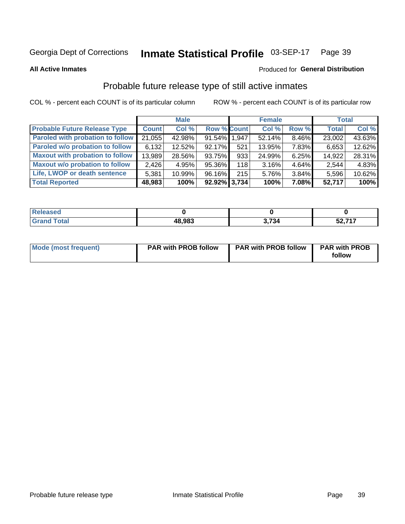#### Inmate Statistical Profile 03-SEP-17 Page 39

**All Active Inmates** 

### Produced for General Distribution

### Probable future release type of still active inmates

COL % - percent each COUNT is of its particular column

|                                         |              | <b>Male</b> |                    |     | <b>Female</b> |       | <b>Total</b> |        |
|-----------------------------------------|--------------|-------------|--------------------|-----|---------------|-------|--------------|--------|
| <b>Probable Future Release Type</b>     | <b>Count</b> | Col %       | <b>Row % Count</b> |     | Col %         | Row % | <b>Total</b> | Col %  |
| <b>Paroled with probation to follow</b> | 21,055       | 42.98%      | 91.54% 1,947       |     | 52.14%        | 8.46% | 23,002       | 43.63% |
| Paroled w/o probation to follow         | 6,132        | 12.52%      | 92.17%             | 521 | 13.95%        | 7.83% | 6,653        | 12.62% |
| <b>Maxout with probation to follow</b>  | 13,989       | 28.56%      | 93.75%             | 933 | 24.99%        | 6.25% | 14,922       | 28.31% |
| <b>Maxout w/o probation to follow</b>   | 2,426        | 4.95%       | 95.36%             | 118 | 3.16%         | 4.64% | 2,544        | 4.83%  |
| Life, LWOP or death sentence            | 5,381        | 10.99%      | 96.16%             | 215 | 5.76%         | 3.84% | 5,596        | 10.62% |
| <b>Total Reported</b>                   | 48,983       | 100%        | $92.92\%$ 3,734    |     | 100%          | 7.08% | 52,717       | 100%   |

| $f = 4 \pi$ | 48,983 | .734 | $E0$ 747<br>Э4,<br>. . |
|-------------|--------|------|------------------------|

| <b>Mode (most frequent)</b> | <b>PAR with PROB follow</b> | <b>PAR with PROB follow</b> | <b>PAR with PROB</b> |
|-----------------------------|-----------------------------|-----------------------------|----------------------|
|                             |                             |                             | follow               |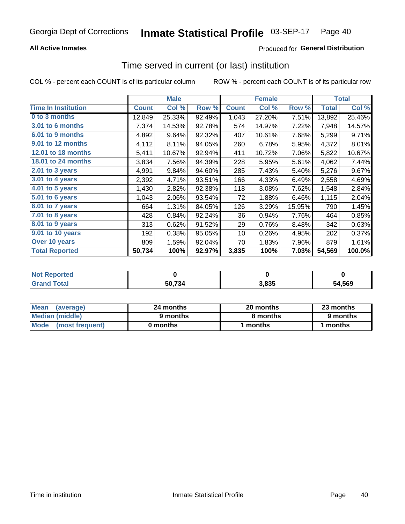## **All Active Inmates**

# Produced for General Distribution

# Time served in current (or last) institution

COL % - percent each COUNT is of its particular column

|                            |              | <b>Male</b> |        |              | <b>Female</b> |        |              | <b>Total</b> |
|----------------------------|--------------|-------------|--------|--------------|---------------|--------|--------------|--------------|
| <b>Time In Institution</b> | <b>Count</b> | Col %       | Row %  | <b>Count</b> | Col %         | Row %  | <b>Total</b> | Col %        |
| 0 to 3 months              | 12,849       | 25.33%      | 92.49% | 1,043        | 27.20%        | 7.51%  | 13,892       | 25.46%       |
| <b>3.01 to 6 months</b>    | 7,374        | 14.53%      | 92.78% | 574          | 14.97%        | 7.22%  | 7,948        | 14.57%       |
| 6.01 to 9 months           | 4,892        | 9.64%       | 92.32% | 407          | 10.61%        | 7.68%  | 5,299        | 9.71%        |
| 9.01 to 12 months          | 4,112        | 8.11%       | 94.05% | 260          | 6.78%         | 5.95%  | 4,372        | 8.01%        |
| 12.01 to 18 months         | 5,411        | 10.67%      | 92.94% | 411          | 10.72%        | 7.06%  | 5,822        | 10.67%       |
| <b>18.01 to 24 months</b>  | 3,834        | 7.56%       | 94.39% | 228          | 5.95%         | 5.61%  | 4,062        | 7.44%        |
| $2.01$ to 3 years          | 4,991        | 9.84%       | 94.60% | 285          | 7.43%         | 5.40%  | 5,276        | 9.67%        |
| $3.01$ to 4 years          | 2,392        | 4.71%       | 93.51% | 166          | 4.33%         | 6.49%  | 2,558        | 4.69%        |
| 4.01 to 5 years            | 1,430        | 2.82%       | 92.38% | 118          | 3.08%         | 7.62%  | 1,548        | 2.84%        |
| 5.01 to 6 years            | 1,043        | 2.06%       | 93.54% | 72           | 1.88%         | 6.46%  | 1,115        | 2.04%        |
| 6.01 to 7 years            | 664          | 1.31%       | 84.05% | 126          | 3.29%         | 15.95% | 790          | 1.45%        |
| 7.01 to 8 years            | 428          | 0.84%       | 92.24% | 36           | 0.94%         | 7.76%  | 464          | 0.85%        |
| 8.01 to 9 years            | 313          | 0.62%       | 91.52% | 29           | 0.76%         | 8.48%  | 342          | 0.63%        |
| 9.01 to 10 years           | 192          | 0.38%       | 95.05% | 10           | 0.26%         | 4.95%  | 202          | 0.37%        |
| Over 10 years              | 809          | 1.59%       | 92.04% | 70           | 1.83%         | 7.96%  | 879          | 1.61%        |
| <b>Total Reported</b>      | 50,734       | 100%        | 92.97% | 3,835        | 100%          | 7.03%  | 54,569       | 100.0%       |

| <b>NOT</b><br>neo |        |       |        |
|-------------------|--------|-------|--------|
|                   | 50,734 | 3.835 | 54,569 |

| <b>Mean</b><br>(average) | 24 months | 20 months | 23 months |
|--------------------------|-----------|-----------|-----------|
| Median (middle)          | 9 months  | 8 months  | 9 months  |
| Mode (most frequent)     | 0 months  | months    | 1 months  |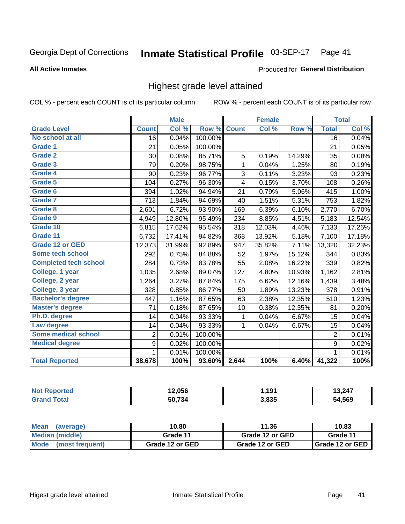### Inmate Statistical Profile 03-SEP-17 Page 41

**All Active Inmates** 

### Produced for General Distribution

# Highest grade level attained

COL % - percent each COUNT is of its particular column

|                              |                 | <b>Male</b> |         |              | <b>Female</b> |        |                 | <b>Total</b> |
|------------------------------|-----------------|-------------|---------|--------------|---------------|--------|-----------------|--------------|
| <b>Grade Level</b>           | <b>Count</b>    | Col %       | Row %   | <b>Count</b> | Col%          | Row %  | <b>Total</b>    | Col %        |
| No school at all             | $\overline{16}$ | 0.04%       | 100.00% |              |               |        | $\overline{16}$ | 0.04%        |
| <b>Grade 1</b>               | 21              | 0.05%       | 100.00% |              |               |        | 21              | 0.05%        |
| <b>Grade 2</b>               | 30              | 0.08%       | 85.71%  | 5            | 0.19%         | 14.29% | 35              | 0.08%        |
| Grade 3                      | 79              | 0.20%       | 98.75%  | $\mathbf{1}$ | 0.04%         | 1.25%  | 80              | 0.19%        |
| Grade 4                      | 90              | 0.23%       | 96.77%  | 3            | 0.11%         | 3.23%  | 93              | 0.23%        |
| Grade 5                      | 104             | 0.27%       | 96.30%  | 4            | 0.15%         | 3.70%  | 108             | 0.26%        |
| Grade 6                      | 394             | 1.02%       | 94.94%  | 21           | 0.79%         | 5.06%  | 415             | 1.00%        |
| <b>Grade 7</b>               | 713             | 1.84%       | 94.69%  | 40           | 1.51%         | 5.31%  | 753             | 1.82%        |
| Grade 8                      | 2,601           | 6.72%       | 93.90%  | 169          | 6.39%         | 6.10%  | 2,770           | 6.70%        |
| Grade 9                      | 4,949           | 12.80%      | 95.49%  | 234          | 8.85%         | 4.51%  | 5,183           | 12.54%       |
| Grade 10                     | 6,815           | 17.62%      | 95.54%  | 318          | 12.03%        | 4.46%  | 7,133           | 17.26%       |
| Grade 11                     | 6,732           | 17.41%      | 94.82%  | 368          | 13.92%        | 5.18%  | 7,100           | 17.18%       |
| <b>Grade 12 or GED</b>       | 12,373          | 31.99%      | 92.89%  | 947          | 35.82%        | 7.11%  | 13,320          | 32.23%       |
| <b>Some tech school</b>      | 292             | 0.75%       | 84.88%  | 52           | 1.97%         | 15.12% | 344             | 0.83%        |
| <b>Completed tech school</b> | 284             | 0.73%       | 83.78%  | 55           | 2.08%         | 16.22% | 339             | 0.82%        |
| College, 1 year              | 1,035           | 2.68%       | 89.07%  | 127          | 4.80%         | 10.93% | 1,162           | 2.81%        |
| College, 2 year              | 1,264           | 3.27%       | 87.84%  | 175          | 6.62%         | 12.16% | 1,439           | 3.48%        |
| College, 3 year              | 328             | 0.85%       | 86.77%  | 50           | 1.89%         | 13.23% | 378             | 0.91%        |
| <b>Bachelor's degree</b>     | 447             | 1.16%       | 87.65%  | 63           | 2.38%         | 12.35% | 510             | 1.23%        |
| <b>Master's degree</b>       | 71              | 0.18%       | 87.65%  | 10           | 0.38%         | 12.35% | 81              | 0.20%        |
| Ph.D. degree                 | 14              | 0.04%       | 93.33%  | 1            | 0.04%         | 6.67%  | 15              | 0.04%        |
| Law degree                   | 14              | 0.04%       | 93.33%  | $\mathbf{1}$ | 0.04%         | 6.67%  | 15              | 0.04%        |
| <b>Some medical school</b>   | $\overline{2}$  | 0.01%       | 100.00% |              |               |        | $\overline{2}$  | 0.01%        |
| <b>Medical degree</b>        | 9               | 0.02%       | 100.00% |              |               |        | 9               | 0.02%        |
|                              | $\mathbf 1$     | 0.01%       | 100.00% |              |               |        | $\mathbf{1}$    | 0.01%        |
| <b>Total Reported</b>        | 38,678          | 100%        | 93.60%  | 2,644        | 100%          | 6.40%  | 41,322          | 100%         |

| 2,056  | ,191  | 3,247      |
|--------|-------|------------|
| 50 734 | 3,835 | .569<br>nд |

| <b>Mean</b><br>(average) | 10.80           | 11.36           | 10.83           |
|--------------------------|-----------------|-----------------|-----------------|
| Median (middle)          | Grade 11        | Grade 12 or GED | Grade 11        |
| Mode (most frequent)     | Grade 12 or GED | Grade 12 or GED | Grade 12 or GED |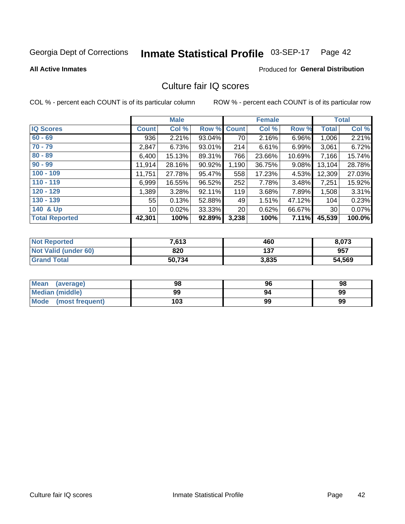### Inmate Statistical Profile 03-SEP-17 Page 42

### **All Active Inmates**

# **Produced for General Distribution**

# Culture fair IQ scores

COL % - percent each COUNT is of its particular column

|                       |              | <b>Male</b> |        |                 | <b>Female</b> |          |              | <b>Total</b> |
|-----------------------|--------------|-------------|--------|-----------------|---------------|----------|--------------|--------------|
| <b>IQ Scores</b>      | <b>Count</b> | Col %       | Row %  | <b>Count</b>    | Col %         | Row %    | <b>Total</b> | Col %        |
| $60 - 69$             | 936          | 2.21%       | 93.04% | 70              | 2.16%         | $6.96\%$ | 1,006        | 2.21%        |
| $70 - 79$             | 2,847        | 6.73%       | 93.01% | 214             | 6.61%         | 6.99%    | 3,061        | 6.72%        |
| $80 - 89$             | 6,400        | 15.13%      | 89.31% | 766             | 23.66%        | 10.69%   | 7,166        | 15.74%       |
| $90 - 99$             | 11,914       | 28.16%      | 90.92% | 1,190           | 36.75%        | $9.08\%$ | 13,104       | 28.78%       |
| $100 - 109$           | 11,751       | 27.78%      | 95.47% | 558             | 17.23%        | 4.53%    | 12,309       | 27.03%       |
| $110 - 119$           | 6,999        | 16.55%      | 96.52% | 252             | 7.78%         | 3.48%    | 7,251        | 15.92%       |
| $120 - 129$           | 1,389        | 3.28%       | 92.11% | 119             | 3.68%         | 7.89%    | 1,508        | 3.31%        |
| $130 - 139$           | 55           | 0.13%       | 52.88% | 49              | 1.51%         | 47.12%   | 104          | 0.23%        |
| 140 & Up              | 10 I         | 0.02%       | 33.33% | 20 <sub>1</sub> | 0.62%         | 66.67%   | 30           | 0.07%        |
| <b>Total Reported</b> | 42,301       | 100%        | 92.89% | 3,238           | 100%          | 7.11%    | 45,539       | 100.0%       |

| <b>Not Reported</b>         | 7,613  | 460   | 8,073  |
|-----------------------------|--------|-------|--------|
| <b>Not Valid (under 60)</b> | 820    | 137   | 957    |
| <b>Grand Total</b>          | 50,734 | 3,835 | 54,569 |

| <b>Mean</b><br>(average)       | 98  | 96 | 98 |
|--------------------------------|-----|----|----|
| Median (middle)                | 99  | 94 | 99 |
| <b>Mode</b><br>(most frequent) | 103 | 99 | 99 |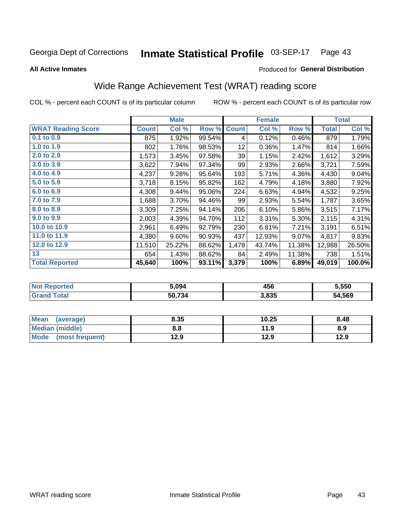### Inmate Statistical Profile 03-SEP-17 Page 43

**All Active Inmates** 

### Produced for General Distribution

# Wide Range Achievement Test (WRAT) reading score

COL % - percent each COUNT is of its particular column

|                           |              | <b>Male</b> |        |              | <b>Female</b> |        |              | <b>Total</b> |
|---------------------------|--------------|-------------|--------|--------------|---------------|--------|--------------|--------------|
| <b>WRAT Reading Score</b> | <b>Count</b> | Col %       | Row %  | <b>Count</b> | Col %         | Row %  | <b>Total</b> | Col %        |
| 0.1 to 0.9                | 875          | 1.92%       | 99.54% | 4            | 0.12%         | 0.46%  | 879          | 1.79%        |
| 1.0 to 1.9                | 802          | 1.76%       | 98.53% | 12           | 0.36%         | 1.47%  | 814          | 1.66%        |
| 2.0 to 2.9                | 1,573        | 3.45%       | 97.58% | 39           | 1.15%         | 2.42%  | 1,612        | 3.29%        |
| 3.0 to 3.9                | 3,622        | 7.94%       | 97.34% | 99           | 2.93%         | 2.66%  | 3,721        | 7.59%        |
| 4.0 to 4.9                | 4,237        | 9.28%       | 95.64% | 193          | 5.71%         | 4.36%  | 4,430        | 9.04%        |
| 5.0 to 5.9                | 3,718        | 8.15%       | 95.82% | 162          | 4.79%         | 4.18%  | 3,880        | 7.92%        |
| 6.0 to 6.9                | 4,308        | 9.44%       | 95.06% | 224          | 6.63%         | 4.94%  | 4,532        | 9.25%        |
| 7.0 to 7.9                | 1,688        | 3.70%       | 94.46% | 99           | 2.93%         | 5.54%  | 1,787        | 3.65%        |
| 8.0 to 8.9                | 3,309        | 7.25%       | 94.14% | 206          | 6.10%         | 5.86%  | 3,515        | 7.17%        |
| 9.0 to 9.9                | 2,003        | 4.39%       | 94.70% | 112          | 3.31%         | 5.30%  | 2,115        | 4.31%        |
| 10.0 to 10.9              | 2,961        | 6.49%       | 92.79% | 230          | 6.81%         | 7.21%  | 3,191        | 6.51%        |
| 11.0 to 11.9              | 4,380        | 9.60%       | 90.93% | 437          | 12.93%        | 9.07%  | 4,817        | 9.83%        |
| 12.0 to 12.9              | 11,510       | 25.22%      | 88.62% | 1,478        | 43.74%        | 11.38% | 12,988       | 26.50%       |
| 13                        | 654          | 1.43%       | 88.62% | 84           | 2.49%         | 11.38% | 738          | 1.51%        |
| <b>Total Reported</b>     | 45,640       | 100%        | 93.11% | 3,379        | 100%          | 6.89%  | 49,019       | 100.0%       |

| тес.<br>NO | 5.094  | 456   | 5,550  |
|------------|--------|-------|--------|
|            | 50,734 | 3,835 | 54,569 |

| <b>Mean</b><br>(average) | 8.35 | 10.25 | 8.48 |
|--------------------------|------|-------|------|
| Median (middle)          | 8.8  | 11.9  | 8.9  |
| Mode (most frequent)     | 12.9 | 12.9  | 12.9 |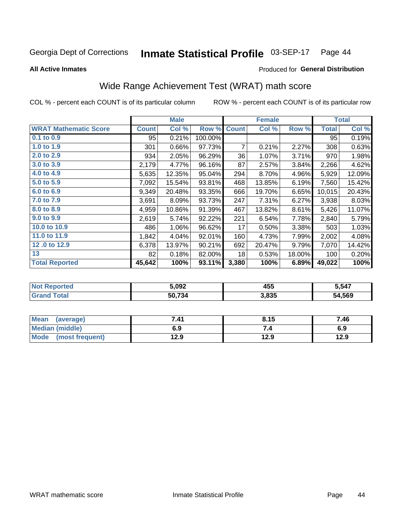### Inmate Statistical Profile 03-SEP-17 Page 44

**All Active Inmates** 

## **Produced for General Distribution**

# Wide Range Achievement Test (WRAT) math score

COL % - percent each COUNT is of its particular column

|                              |              | <b>Male</b> |         |              | <b>Female</b> |        |              | <b>Total</b> |
|------------------------------|--------------|-------------|---------|--------------|---------------|--------|--------------|--------------|
| <b>WRAT Mathematic Score</b> | <b>Count</b> | Col %       | Row %   | <b>Count</b> | Col %         | Row %  | <b>Total</b> | Col %        |
| $0.1$ to $0.9$               | 95           | 0.21%       | 100.00% |              |               |        | 95           | 0.19%        |
| 1.0 to 1.9                   | 301          | 0.66%       | 97.73%  | 7            | 0.21%         | 2.27%  | 308          | 0.63%        |
| 2.0 to 2.9                   | 934          | 2.05%       | 96.29%  | 36           | 1.07%         | 3.71%  | 970          | 1.98%        |
| 3.0 to 3.9                   | 2,179        | 4.77%       | 96.16%  | 87           | 2.57%         | 3.84%  | 2,266        | 4.62%        |
| 4.0 to 4.9                   | 5,635        | 12.35%      | 95.04%  | 294          | 8.70%         | 4.96%  | 5,929        | 12.09%       |
| 5.0 to 5.9                   | 7,092        | 15.54%      | 93.81%  | 468          | 13.85%        | 6.19%  | 7,560        | 15.42%       |
| 6.0 to 6.9                   | 9,349        | 20.48%      | 93.35%  | 666          | 19.70%        | 6.65%  | 10,015       | 20.43%       |
| 7.0 to 7.9                   | 3,691        | 8.09%       | 93.73%  | 247          | 7.31%         | 6.27%  | 3,938        | 8.03%        |
| 8.0 to 8.9                   | 4,959        | 10.86%      | 91.39%  | 467          | 13.82%        | 8.61%  | 5,426        | 11.07%       |
| 9.0 to 9.9                   | 2,619        | 5.74%       | 92.22%  | 221          | 6.54%         | 7.78%  | 2,840        | 5.79%        |
| 10.0 to 10.9                 | 486          | 1.06%       | 96.62%  | 17           | 0.50%         | 3.38%  | 503          | 1.03%        |
| 11.0 to 11.9                 | 1,842        | 4.04%       | 92.01%  | 160          | 4.73%         | 7.99%  | 2,002        | 4.08%        |
| 12.0 to 12.9                 | 6,378        | 13.97%      | 90.21%  | 692          | 20.47%        | 9.79%  | 7,070        | 14.42%       |
| 13                           | 82           | 0.18%       | 82.00%  | 18           | 0.53%         | 18.00% | 100          | 0.20%        |
| <b>Total Reported</b>        | 45,642       | 100%        | 93.11%  | 3,380        | 100%          | 6.89%  | 49,022       | 100%         |

| NO)<br>keported | 5.092  | 455   | 5,547  |
|-----------------|--------|-------|--------|
| <b>ota</b>      | 50.734 | 3,835 | 54.569 |

| <b>Mean</b><br>(average) | 7.41 | 8.15 | 7.46 |
|--------------------------|------|------|------|
| Median (middle)          | 6.9  | ۰.,  | 6.9  |
| Mode<br>(most frequent)  | 12.9 | 12.9 | 12.9 |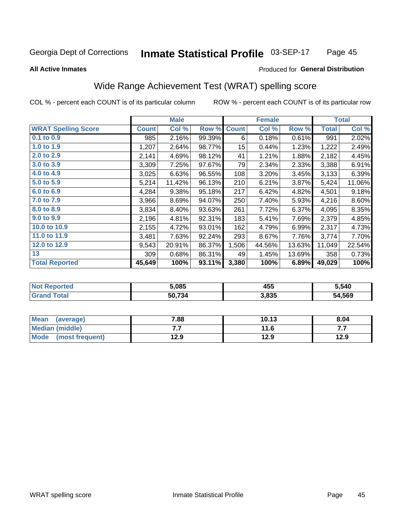### Inmate Statistical Profile 03-SEP-17 Page 45

### **All Active Inmates**

## Produced for General Distribution

# Wide Range Achievement Test (WRAT) spelling score

COL % - percent each COUNT is of its particular column

|                            |              | <b>Male</b> |        |                  | <b>Female</b> |        |              | <b>Total</b> |
|----------------------------|--------------|-------------|--------|------------------|---------------|--------|--------------|--------------|
| <b>WRAT Spelling Score</b> | <b>Count</b> | Col %       | Row %  | <b>Count</b>     | Col %         | Row %  | <b>Total</b> | Col %        |
| $0.1$ to $0.9$             | 985          | 2.16%       | 99.39% | 6                | 0.18%         | 0.61%  | 991          | 2.02%        |
| 1.0 to 1.9                 | 1,207        | 2.64%       | 98.77% | 15 <sub>15</sub> | 0.44%         | 1.23%  | 1,222        | 2.49%        |
| 2.0 to 2.9                 | 2,141        | 4.69%       | 98.12% | 41               | 1.21%         | 1.88%  | 2,182        | 4.45%        |
| 3.0 to 3.9                 | 3,309        | 7.25%       | 97.67% | 79               | 2.34%         | 2.33%  | 3,388        | 6.91%        |
| 4.0 to 4.9                 | 3,025        | 6.63%       | 96.55% | 108              | 3.20%         | 3.45%  | 3,133        | 6.39%        |
| 5.0 to 5.9                 | 5,214        | 11.42%      | 96.13% | 210              | 6.21%         | 3.87%  | 5,424        | 11.06%       |
| 6.0 to 6.9                 | 4,284        | 9.38%       | 95.18% | 217              | 6.42%         | 4.82%  | 4,501        | 9.18%        |
| 7.0 to 7.9                 | 3,966        | 8.69%       | 94.07% | 250              | 7.40%         | 5.93%  | 4,216        | 8.60%        |
| 8.0 to 8.9                 | 3,834        | 8.40%       | 93.63% | 261              | 7.72%         | 6.37%  | 4,095        | 8.35%        |
| 9.0 to 9.9                 | 2,196        | 4.81%       | 92.31% | 183              | 5.41%         | 7.69%  | 2,379        | 4.85%        |
| 10.0 to 10.9               | 2,155        | 4.72%       | 93.01% | 162              | 4.79%         | 6.99%  | 2,317        | 4.73%        |
| 11.0 to 11.9               | 3,481        | 7.63%       | 92.24% | 293              | 8.67%         | 7.76%  | 3,774        | 7.70%        |
| 12.0 to 12.9               | 9,543        | 20.91%      | 86.37% | 1,506            | 44.56%        | 13.63% | 11,049       | 22.54%       |
| 13                         | 309          | 0.68%       | 86.31% | 49               | 1.45%         | 13.69% | 358          | 0.73%        |
| <b>Total Reported</b>      | 45,649       | 100%        | 93.11% | 3,380            | 100%          | 6.89%  | 49,029       | 100%         |

| NO | 5,085  | 455   | 5,540        |
|----|--------|-------|--------------|
|    | 50,734 | 3,835 | 4,569<br>54. |

| <b>Mean</b><br>(average) | 7.88 | 10.13 | 8.04 |
|--------------------------|------|-------|------|
| Median (middle)          | .    | 11.6  | .    |
| Mode<br>(most frequent)  | 12.9 | 12.9  | 12.9 |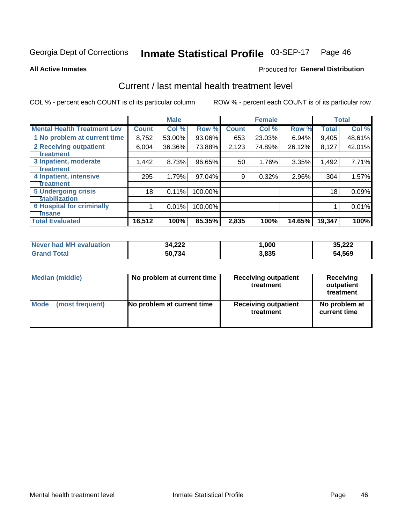### Inmate Statistical Profile 03-SEP-17 Page 46

**All Active Inmates** 

## **Produced for General Distribution**

# Current / last mental health treatment level

COL % - percent each COUNT is of its particular column

|                                    |              | <b>Male</b> |         |              | <b>Female</b> |        |              | <b>Total</b> |
|------------------------------------|--------------|-------------|---------|--------------|---------------|--------|--------------|--------------|
| <b>Mental Health Treatment Lev</b> | <b>Count</b> | Col %       | Row %   | <b>Count</b> | Col %         | Row %  | <b>Total</b> | Col %        |
| 1 No problem at current time       | 8,752        | 53.00%      | 93.06%  | 653          | 23.03%        | 6.94%  | 9,405        | 48.61%       |
| 2 Receiving outpatient             | 6,004        | 36.36%      | 73.88%  | 2,123        | 74.89%        | 26.12% | 8,127        | 42.01%       |
| <b>Treatment</b>                   |              |             |         |              |               |        |              |              |
| 3 Inpatient, moderate              | 1,442        | 8.73%       | 96.65%  | 50           | 1.76%         | 3.35%  | 1,492        | 7.71%        |
| <b>Treatment</b>                   |              |             |         |              |               |        |              |              |
| 4 Inpatient, intensive             | 295          | 1.79%       | 97.04%  | 9            | 0.32%         | 2.96%  | 304          | 1.57%        |
| Treatment                          |              |             |         |              |               |        |              |              |
| <b>5 Undergoing crisis</b>         | 18           | 0.11%       | 100.00% |              |               |        | 18           | 0.09%        |
| <b>stabilization</b>               |              |             |         |              |               |        |              |              |
| <b>6 Hospital for criminally</b>   |              | 0.01%       | 100.00% |              |               |        |              | 0.01%        |
| <b>Tinsane</b>                     |              |             |         |              |               |        |              |              |
| <b>Total Evaluated</b>             | 16,512       | 100%        | 85.35%  | 2,835        | 100%          | 14.65% | 19,347       | 100%         |

| Never had MH evaluation | 34,222 | ,000  | 35,222 |
|-------------------------|--------|-------|--------|
| $\tau$ otal             | 50,734 | 3,835 | 54,569 |

| Median (middle) | No problem at current time | <b>Receiving outpatient</b><br>treatment | <b>Receiving</b><br>outpatient<br>treatment |
|-----------------|----------------------------|------------------------------------------|---------------------------------------------|
| <b>Mode</b>     | No problem at current time | <b>Receiving outpatient</b>              | No problem at                               |
| (most frequent) |                            | treatment                                | current time                                |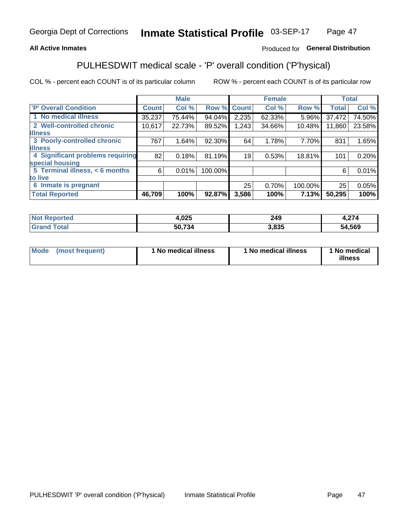## **All Active Inmates**

## Produced for General Distribution

# PULHESDWIT medical scale - 'P' overall condition ('P'hysical)

COL % - percent each COUNT is of its particular column

|                                  |              | <b>Male</b> |         |              | <b>Female</b> |         |              | <b>Total</b> |
|----------------------------------|--------------|-------------|---------|--------------|---------------|---------|--------------|--------------|
| 'P' Overall Condition            | <b>Count</b> | Col %       | Row %   | <b>Count</b> | Col %         | Row %   | <b>Total</b> | Col %        |
| 1 No medical illness             | 35,237       | 75.44%      | 94.04%  | 2,235        | 62.33%        | 5.96%   | 37,472       | 74.50%       |
| 2 Well-controlled chronic        | 10,617       | 22.73%      | 89.52%  | 1,243        | 34.66%        | 10.48%  | 11,860       | 23.58%       |
| <b>illness</b>                   |              |             |         |              |               |         |              |              |
| 3 Poorly-controlled chronic      | 767          | 1.64%       | 92.30%  | 64           | 1.78%         | 7.70%   | 831          | 1.65%        |
| <b>lillness</b>                  |              |             |         |              |               |         |              |              |
| 4 Significant problems requiring | 82           | 0.18%       | 81.19%  | 19           | 0.53%         | 18.81%  | 101          | 0.20%        |
| special housing                  |              |             |         |              |               |         |              |              |
| 5 Terminal illness, < 6 months   | 6            | 0.01%       | 100.00% |              |               |         | 6            | 0.01%        |
| to live                          |              |             |         |              |               |         |              |              |
| 6 Inmate is pregnant             |              |             |         | 25           | 0.70%         | 100.00% | 25           | 0.05%        |
| <b>Total Reported</b>            | 46,709       | 100%        | 92.87%  | 3,586        | 100%          | 7.13%   | 50,295       | 100%         |

| тео | <b>OOE</b><br>. ت∠∪, | 249  | $\sim$<br>. |
|-----|----------------------|------|-------------|
|     | -^ -^                | .835 | 54,569      |

| Mode | (most frequent) | 1 No medical illness | 1 No medical illness | 1 No medical<br>illness |
|------|-----------------|----------------------|----------------------|-------------------------|
|------|-----------------|----------------------|----------------------|-------------------------|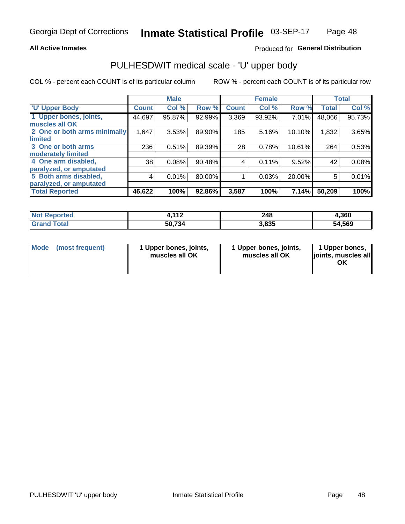## **All Active Inmates**

## Produced for General Distribution

# PULHESDWIT medical scale - 'U' upper body

COL % - percent each COUNT is of its particular column

|                              |                    | <b>Male</b> |        |              | <b>Female</b> |        |              | <b>Total</b> |
|------------------------------|--------------------|-------------|--------|--------------|---------------|--------|--------------|--------------|
| <b>U' Upper Body</b>         | Count <sup>!</sup> | Col %       | Row %  | <b>Count</b> | Col %         | Row %  | <b>Total</b> | Col %        |
| 1 Upper bones, joints,       | 44,697             | 95.87%      | 92.99% | 3,369        | 93.92%        | 7.01%  | 48,066       | 95.73%       |
| muscles all OK               |                    |             |        |              |               |        |              |              |
| 2 One or both arms minimally | 1,647              | 3.53%       | 89.90% | 185          | 5.16%         | 10.10% | 1,832        | 3.65%        |
| limited                      |                    |             |        |              |               |        |              |              |
| 3 One or both arms           | 236                | 0.51%       | 89.39% | 28           | 0.78%         | 10.61% | 264          | 0.53%        |
| <b>moderately limited</b>    |                    |             |        |              |               |        |              |              |
| 4 One arm disabled,          | 38                 | 0.08%       | 90.48% | 4            | 0.11%         | 9.52%  | 42           | 0.08%        |
| paralyzed, or amputated      |                    |             |        |              |               |        |              |              |
| 5 Both arms disabled,        | 4                  | 0.01%       | 80.00% |              | 0.03%         | 20.00% | 5            | 0.01%        |
| paralyzed, or amputated      |                    |             |        |              |               |        |              |              |
| <b>Total Reported</b>        | 46,622             | 100%        | 92.86% | 3,587        | 100%          | 7.14%  | 50,209       | 100%         |

| <b>Not Reported</b>          | 112<br>. <i>.</i> | 248   | 4,360  |
|------------------------------|-------------------|-------|--------|
| <b>Total</b><br><b>Grand</b> | 50,734            | 3,835 | 54,569 |

| Mode<br>(most frequent) | 1 Upper bones, joints,<br>muscles all OK | 1 Upper bones, joints,<br>muscles all OK | 1 Upper bones,<br>joints, muscles all<br>ΟK |
|-------------------------|------------------------------------------|------------------------------------------|---------------------------------------------|
|-------------------------|------------------------------------------|------------------------------------------|---------------------------------------------|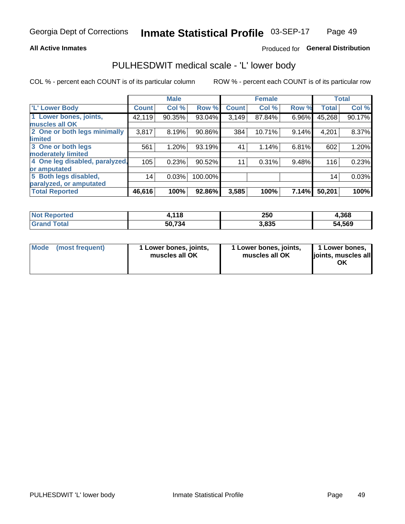## **All Active Inmates**

# Produced for General Distribution

# PULHESDWIT medical scale - 'L' lower body

COL % - percent each COUNT is of its particular column

|                                |              | <b>Male</b> |         |              | <b>Female</b> |       |              | <b>Total</b> |
|--------------------------------|--------------|-------------|---------|--------------|---------------|-------|--------------|--------------|
| 'L' Lower Body                 | <b>Count</b> | Col %       | Row %   | <b>Count</b> | Col %         | Row % | <b>Total</b> | Col %        |
| 1 Lower bones, joints,         | 42,119       | 90.35%      | 93.04%  | 3,149        | 87.84%        | 6.96% | 45,268       | 90.17%       |
| muscles all OK                 |              |             |         |              |               |       |              |              |
| 2 One or both legs minimally   | 3,817        | 8.19%       | 90.86%  | 384          | 10.71%        | 9.14% | 4,201        | 8.37%        |
| limited                        |              |             |         |              |               |       |              |              |
| 3 One or both legs             | 561          | 1.20%       | 93.19%  | 41           | 1.14%         | 6.81% | 602          | 1.20%        |
| moderately limited             |              |             |         |              |               |       |              |              |
| 4 One leg disabled, paralyzed, | 105          | 0.23%       | 90.52%  | 11           | 0.31%         | 9.48% | 116          | 0.23%        |
| or amputated                   |              |             |         |              |               |       |              |              |
| 5 Both legs disabled,          | 14           | 0.03%       | 100.00% |              |               |       | 14           | 0.03%        |
| paralyzed, or amputated        |              |             |         |              |               |       |              |              |
| <b>Total Reported</b>          | 46,616       | 100%        | 92.86%  | 3,585        | 100%          | 7.14% | 50,201       | 100%         |

| <b>Not Reported</b>   | 4,118  | 250   | 4,368  |
|-----------------------|--------|-------|--------|
| <b>Total</b><br>Grand | 50,734 | 3,835 | 54,569 |

| Mode | (most frequent) | 1 Lower bones, joints,<br>muscles all OK | I Lower bones, joints,<br>muscles all OK | 1 Lower bones,<br>joints, muscles all<br>ΟK |
|------|-----------------|------------------------------------------|------------------------------------------|---------------------------------------------|
|------|-----------------|------------------------------------------|------------------------------------------|---------------------------------------------|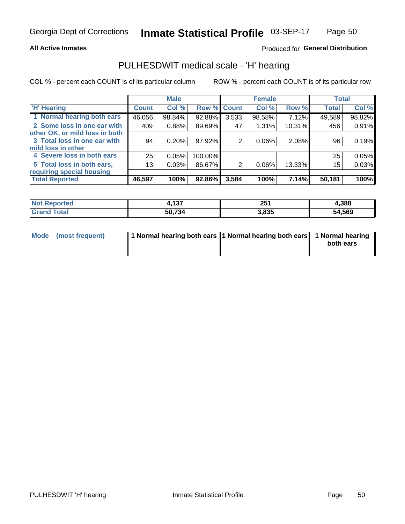## **All Active Inmates**

# Produced for General Distribution

# PULHESDWIT medical scale - 'H' hearing

COL % - percent each COUNT is of its particular column

|                                |              | <b>Male</b> |             |       | <b>Female</b> |        | <b>Total</b> |        |
|--------------------------------|--------------|-------------|-------------|-------|---------------|--------|--------------|--------|
| <b>'H' Hearing</b>             | <b>Count</b> | Col %       | Row % Count |       | Col %         | Row %  | <b>Total</b> | Col %  |
| 1 Normal hearing both ears     | 46,056       | 98.84%      | 92.88%      | 3,533 | 98.58%        | 7.12%  | 49,589       | 98.82% |
| 2 Some loss in one ear with    | 409          | 0.88%       | 89.69%      | 47    | 1.31%         | 10.31% | 456          | 0.91%  |
| other OK, or mild loss in both |              |             |             |       |               |        |              |        |
| 3 Total loss in one ear with   | 94           | 0.20%       | $97.92\%$   | 2     | 0.06%         | 2.08%  | 96           | 0.19%  |
| mild loss in other             |              |             |             |       |               |        |              |        |
| 4 Severe loss in both ears     | 25           | 0.05%       | 100.00%     |       |               |        | 25           | 0.05%  |
| 5 Total loss in both ears,     | 13           | 0.03%       | 86.67%      | 2     | $0.06\%$      | 13.33% | 15           | 0.03%  |
| requiring special housing      |              |             |             |       |               |        |              |        |
| <b>Total Reported</b>          | 46,597       | 100%        | 92.86%      | 3,584 | 100%          | 7.14%  | 50,181       | 100%   |

| <b>orted</b>                  | 407      | OE.   | .388   |
|-------------------------------|----------|-------|--------|
| NOT.                          | H, I J / | ZJ I  |        |
| $F \wedge f \wedge f$<br>υιαι | 50,734   | 3,835 | 54,569 |

| Mode (most frequent) | 1 Normal hearing both ears 11 Normal hearing both ears 1 Normal hearing | both ears |
|----------------------|-------------------------------------------------------------------------|-----------|
|                      |                                                                         |           |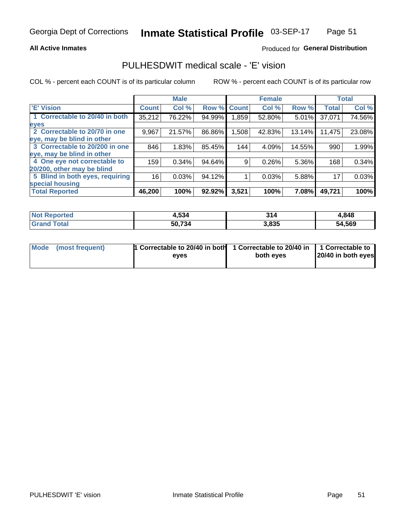## **All Active Inmates**

## Produced for General Distribution

# PULHESDWIT medical scale - 'E' vision

COL % - percent each COUNT is of its particular column

|                                 |              | <b>Male</b> |        |              | <b>Female</b> |        |              | <b>Total</b> |
|---------------------------------|--------------|-------------|--------|--------------|---------------|--------|--------------|--------------|
| 'E' Vision                      | <b>Count</b> | Col %       | Row %  | <b>Count</b> | Col %         | Row %  | <b>Total</b> | Col %        |
| 1 Correctable to 20/40 in both  | 35,212       | 76.22%      | 94.99% | 859. ا       | 52.80%        | 5.01%  | 37,071       | 74.56%       |
| eyes                            |              |             |        |              |               |        |              |              |
| 2 Correctable to 20/70 in one   | 9,967        | 21.57%      | 86.86% | 1,508        | 42.83%        | 13.14% | 11,475       | 23.08%       |
| eye, may be blind in other      |              |             |        |              |               |        |              |              |
| 3 Correctable to 20/200 in one  | 846          | 1.83%       | 85.45% | 144          | 4.09%         | 14.55% | 990          | 1.99%        |
| eye, may be blind in other      |              |             |        |              |               |        |              |              |
| 4 One eye not correctable to    | 159          | 0.34%       | 94.64% | 9            | 0.26%         | 5.36%  | 168          | 0.34%        |
| 20/200, other may be blind      |              |             |        |              |               |        |              |              |
| 5 Blind in both eyes, requiring | 16           | 0.03%       | 94.12% |              | 0.03%         | 5.88%  | 17           | 0.03%        |
| special housing                 |              |             |        |              |               |        |              |              |
| <b>Total Reported</b>           | 46,200       | 100%        | 92.92% | 3,521        | 100%          | 7.08%  | 49,721       | 100%         |

| <b>Not Reported</b> | 4,534  | 314   | 4,848  |
|---------------------|--------|-------|--------|
| <b>Total</b>        | 50,734 | 3,835 | 54,569 |

| Mode (most frequent) | 1 Correctable to 20/40 in both<br>eves | 1 Correctable to 20/40 in   1 Correctable to  <br>both eves | 20/40 in both eyes |
|----------------------|----------------------------------------|-------------------------------------------------------------|--------------------|
|                      |                                        |                                                             |                    |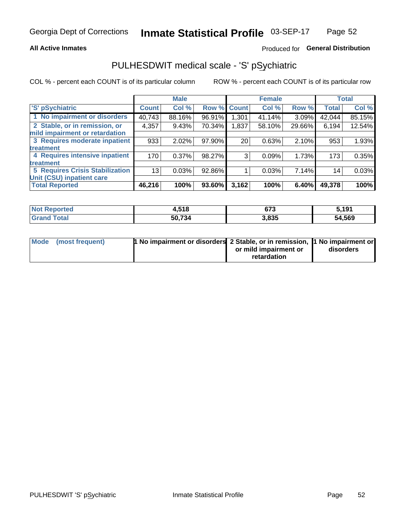## **All Active Inmates**

# Produced for General Distribution

# PULHESDWIT medical scale - 'S' pSychiatric

COL % - percent each COUNT is of its particular column

|                                        |              | <b>Male</b> |             |       | <b>Female</b> |          |              | <b>Total</b> |
|----------------------------------------|--------------|-------------|-------------|-------|---------------|----------|--------------|--------------|
| 'S' pSychiatric                        | <b>Count</b> | Col %       | Row % Count |       | Col %         | Row %    | <b>Total</b> | Col %        |
| 1 No impairment or disorders           | 40,743       | 88.16%      | 96.91%      | 1,301 | 41.14%        | 3.09%    | 42,044       | 85.15%       |
| 2 Stable, or in remission, or          | 4,357        | 9.43%       | 70.34%      | 1,837 | 58.10%        | 29.66%   | 6,194        | 12.54%       |
| mild impairment or retardation         |              |             |             |       |               |          |              |              |
| 3 Requires moderate inpatient          | 933          | 2.02%       | 97.90%      | 20    | 0.63%         | 2.10%    | 953          | 1.93%        |
| treatment                              |              |             |             |       |               |          |              |              |
| 4 Requires intensive inpatient         | 170          | 0.37%       | 98.27%      | 3     | 0.09%         | 1.73%    | 173          | 0.35%        |
| treatment                              |              |             |             |       |               |          |              |              |
| <b>5 Requires Crisis Stabilization</b> | 13           | 0.03%       | 92.86%      |       | 0.03%         | 7.14%    | 14           | 0.03%        |
| Unit (CSU) inpatient care              |              |             |             |       |               |          |              |              |
| <b>Total Reported</b>                  | 46,216       | 100%        | 93.60%      | 3,162 | 100%          | $6.40\%$ | 49,378       | 100%         |

| <b>Not Reported</b>   | 4,518  | 673   | 5,191  |
|-----------------------|--------|-------|--------|
| <b>Total</b><br>Grand | 50,734 | 3,835 | 54,569 |

| Mode | (most frequent) | <b>1 No impairment or disorders</b> 2 Stable, or in remission, 1 No impairment or |                       |           |
|------|-----------------|-----------------------------------------------------------------------------------|-----------------------|-----------|
|      |                 |                                                                                   | or mild impairment or | disorders |
|      |                 |                                                                                   | retardation           |           |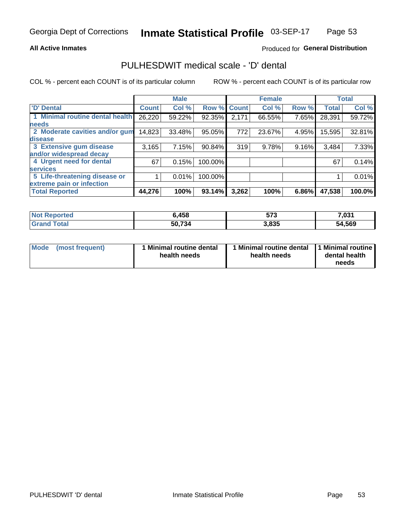## **All Active Inmates**

## Produced for General Distribution

# PULHESDWIT medical scale - 'D' dental

COL % - percent each COUNT is of its particular column

|                                 |              | <b>Male</b> |           |              | <b>Female</b> |       |              | <b>Total</b> |
|---------------------------------|--------------|-------------|-----------|--------------|---------------|-------|--------------|--------------|
| <b>D'</b> Dental                | <b>Count</b> | Col %       | Row %     | <b>Count</b> | Col %         | Row % | <b>Total</b> | Col %        |
| 1 Minimal routine dental health | 26,220       | 59.22%      | 92.35%    | 2,171        | 66.55%        | 7.65% | 28,391       | 59.72%       |
| <b>needs</b>                    |              |             |           |              |               |       |              |              |
| 2 Moderate cavities and/or gum  | 14,823       | 33.48%      | 95.05%    | 772          | 23.67%        | 4.95% | 15,595       | 32.81%       |
| disease                         |              |             |           |              |               |       |              |              |
| 3 Extensive gum disease         | 3,165        | 7.15%       | $90.84\%$ | 319          | 9.78%         | 9.16% | 3,484        | 7.33%        |
| and/or widespread decay         |              |             |           |              |               |       |              |              |
| 4 Urgent need for dental        | 67           | 0.15%       | 100.00%   |              |               |       | 67           | 0.14%        |
| <b>services</b>                 |              |             |           |              |               |       |              |              |
| 5 Life-threatening disease or   |              | 0.01%       | 100.00%   |              |               |       |              | 0.01%        |
| extreme pain or infection       |              |             |           |              |               |       |              |              |
| <b>Total Reported</b>           | 44,276       | 100%        | 93.14%    | 3,262        | 100%          | 6.86% | 47,538       | 100.0%       |

| <b>Not Reported</b>    | 6,458  | ヒフク<br>ว เ ง | 7,031  |
|------------------------|--------|--------------|--------|
| <b>Total</b><br>'Grand | 50,734 | 3,835        | 54,569 |

| 1 Minimal routine dental<br>Mode<br>(most frequent)<br>health needs | 1 Minimal routine dental 1 Minimal routine<br>health needs | dental health<br>needs |
|---------------------------------------------------------------------|------------------------------------------------------------|------------------------|
|---------------------------------------------------------------------|------------------------------------------------------------|------------------------|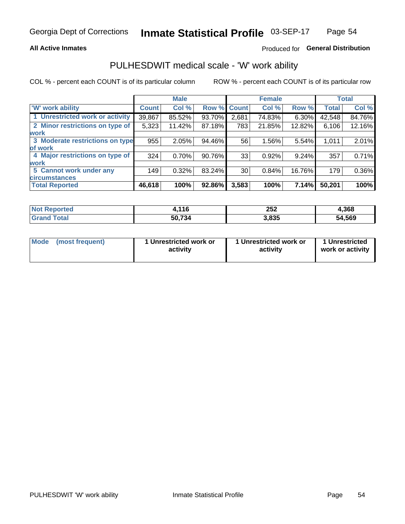## **All Active Inmates**

# Produced for General Distribution

# PULHESDWIT medical scale - 'W' work ability

COL % - percent each COUNT is of its particular column

|                                 |              | <b>Male</b> |        |             | <b>Female</b> |        |              | <b>Total</b> |
|---------------------------------|--------------|-------------|--------|-------------|---------------|--------|--------------|--------------|
| <b>W' work ability</b>          | <b>Count</b> | Col %       |        | Row % Count | Col %         | Row %  | <b>Total</b> | Col %        |
| 1 Unrestricted work or activity | 39,867       | 85.52%      | 93.70% | 2,681       | 74.83%        | 6.30%  | 42,548       | 84.76%       |
| 2 Minor restrictions on type of | 5,323        | 11.42%      | 87.18% | 783         | 21.85%        | 12.82% | 6,106        | 12.16%       |
| <b>work</b>                     |              |             |        |             |               |        |              |              |
| 3 Moderate restrictions on type | 955          | 2.05%       | 94.46% | 56          | 1.56%         | 5.54%  | 1,011        | 2.01%        |
| lof work                        |              |             |        |             |               |        |              |              |
| 4 Major restrictions on type of | 324          | 0.70%       | 90.76% | 33          | 0.92%         | 9.24%  | 357          | 0.71%        |
| <b>work</b>                     |              |             |        |             |               |        |              |              |
| 5 Cannot work under any         | 149          | 0.32%       | 83.24% | 30          | 0.84%         | 16.76% | 179          | 0.36%        |
| <b>circumstances</b>            |              |             |        |             |               |        |              |              |
| <b>Total Reported</b>           | 46,618       | 100%        | 92.86% | 3,583       | 100%          | 7.14%  | 50,201       | 100%         |

| <b>Not Reported</b> | 116    | 252   | 4,368  |
|---------------------|--------|-------|--------|
| Total<br>' Grand    | 50,734 | 3,835 | 54,569 |

| <b>Mode</b>     | 1 Unrestricted work or | 1 Unrestricted work or | 1 Unrestricted   |
|-----------------|------------------------|------------------------|------------------|
| (most frequent) | activity               | activity               | work or activity |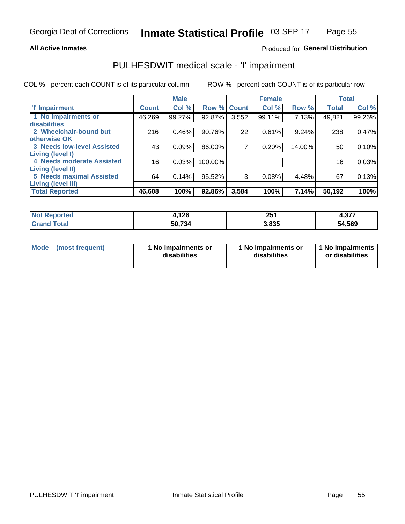## **All Active Inmates**

## Produced for General Distribution

# PULHESDWIT medical scale - 'I' impairment

COL % - percent each COUNT is of its particular column

|                                                              |              | <b>Male</b> |         |             | <b>Female</b> |        |              | <b>Total</b> |
|--------------------------------------------------------------|--------------|-------------|---------|-------------|---------------|--------|--------------|--------------|
| <b>T' Impairment</b>                                         | <b>Count</b> | Col %       |         | Row % Count | Col %         | Row %  | <b>Total</b> | Col %        |
| 1 No impairments or<br><b>disabilities</b>                   | 46,269       | 99.27%      | 92.87%  | 3,552       | 99.11%        | 7.13%  | 49,821       | 99.26%       |
| 2 Wheelchair-bound but<br>otherwise OK                       | 216          | 0.46%       | 90.76%  | 22          | 0.61%         | 9.24%  | 238          | 0.47%        |
| <b>3 Needs low-level Assisted</b><br>Living (level I)        | 43           | 0.09%       | 86.00%  | 7           | 0.20%         | 14.00% | 50           | 0.10%        |
| <b>4 Needs moderate Assisted</b><br><b>Living (level II)</b> | 16           | 0.03%       | 100.00% |             |               |        | 16           | 0.03%        |
| <b>5 Needs maximal Assisted</b><br>Living (level III)        | 64           | 0.14%       | 95.52%  | 3           | 0.08%         | 4.48%  | 67           | 0.13%        |
| <b>Total Reported</b>                                        | 46,608       | 100%        | 92.86%  | 3,584       | 100%          | 7.14%  | 50,192       | 100%         |

| <b>Not</b>   | <b>.126</b> | 251   | っっっ    |
|--------------|-------------|-------|--------|
| Reported     |             | $-$   | - 101  |
| <b>Total</b> | 50,734      | 3,835 | 54,569 |

| <b>Mode</b> | (most frequent) | <b>No impairments or</b><br>disabilities | 1 No impairments or<br>disabilities | 1 No impairments<br>or disabilities |
|-------------|-----------------|------------------------------------------|-------------------------------------|-------------------------------------|
|-------------|-----------------|------------------------------------------|-------------------------------------|-------------------------------------|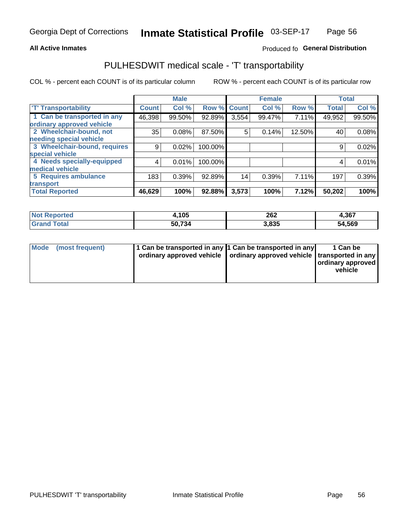## **All Active Inmates**

## Produced fo General Distribution

# PULHESDWIT medical scale - 'T' transportability

COL % - percent each COUNT is of its particular column

|                              |              | <b>Male</b> |         |                 | <b>Female</b> |        | <b>Total</b> |        |
|------------------------------|--------------|-------------|---------|-----------------|---------------|--------|--------------|--------|
| <b>T' Transportability</b>   | <b>Count</b> | Col %       | Row %   | <b>Count</b>    | Col %         | Row %  | <b>Total</b> | Col %  |
| 1 Can be transported in any  | 46,398       | 99.50%      | 92.89%  | 3,554           | 99.47%        | 7.11%  | 49,952       | 99.50% |
| ordinary approved vehicle    |              |             |         |                 |               |        |              |        |
| 2 Wheelchair-bound, not      | 35           | 0.08%       | 87.50%  | 5               | 0.14%         | 12.50% | 40           | 0.08%  |
| needing special vehicle      |              |             |         |                 |               |        |              |        |
| 3 Wheelchair-bound, requires | 9            | 0.02%       | 100.00% |                 |               |        | 9            | 0.02%  |
| special vehicle              |              |             |         |                 |               |        |              |        |
| 4 Needs specially-equipped   | 4            | 0.01%       | 100.00% |                 |               |        | 4            | 0.01%  |
| medical vehicle              |              |             |         |                 |               |        |              |        |
| <b>5 Requires ambulance</b>  | 183          | 0.39%       | 92.89%  | 14 <sub>1</sub> | 0.39%         | 7.11%  | 197          | 0.39%  |
| transport                    |              |             |         |                 |               |        |              |        |
| <b>Total Reported</b>        | 46,629       | 100%        | 92.88%  | 3,573           | 100%          | 7.12%  | 50,202       | 100%   |

| Reported<br>NOI | .105،  | 262<br>$\sim$ $\sim$ | 4,367  |
|-----------------|--------|----------------------|--------|
| Total           | 50,734 | 3,835                | 54,569 |

|  | Mode (most frequent) | 1 Can be transported in any 1 Can be transported in any<br>ordinary approved vehicle   ordinary approved vehicle   transported in any |  | 1 Can be<br>  ordinary approved  <br>vehicle |
|--|----------------------|---------------------------------------------------------------------------------------------------------------------------------------|--|----------------------------------------------|
|--|----------------------|---------------------------------------------------------------------------------------------------------------------------------------|--|----------------------------------------------|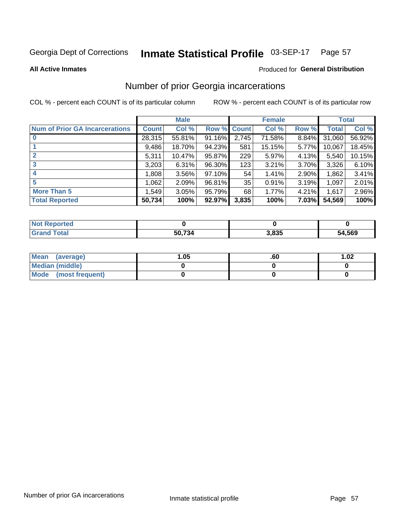### Inmate Statistical Profile 03-SEP-17 Page 57

**All Active Inmates** 

## **Produced for General Distribution**

# Number of prior Georgia incarcerations

COL % - percent each COUNT is of its particular column

|                                       |              | <b>Male</b> |             |       | <b>Female</b> |       |        | <b>Total</b> |
|---------------------------------------|--------------|-------------|-------------|-------|---------------|-------|--------|--------------|
| <b>Num of Prior GA Incarcerations</b> | <b>Count</b> | Col %       | Row % Count |       | Col %         | Row % | Total  | Col %        |
|                                       | 28,315       | 55.81%      | 91.16%      | 2,745 | 71.58%        | 8.84% | 31,060 | 56.92%       |
|                                       | 9,486        | 18.70%      | 94.23%      | 581   | 15.15%        | 5.77% | 10,067 | 18.45%       |
| $\overline{2}$                        | 5,311        | 10.47%      | 95.87%      | 229   | 5.97%         | 4.13% | 5,540  | 10.15%       |
| 3                                     | 3,203        | 6.31%       | 96.30%      | 123   | 3.21%         | 3.70% | 3,326  | 6.10%        |
| $\boldsymbol{4}$                      | 1,808        | 3.56%       | $97.10\%$   | 54    | 1.41%         | 2.90% | 1,862  | 3.41%        |
| 5                                     | 1,062        | 2.09%       | 96.81%      | 35    | 0.91%         | 3.19% | 1,097  | 2.01%        |
| <b>More Than 5</b>                    | 1,549        | 3.05%       | 95.79%      | 68    | 1.77%         | 4.21% | 1,617  | 2.96%        |
| <b>Total Reported</b>                 | 50,734       | 100%        | 92.97%      | 3,835 | 100%          | 7.03% | 54,569 | 100%         |

| Reported<br><b>NOT</b> |        |       |        |
|------------------------|--------|-------|--------|
| ⊺ota.<br>Gr:           | 50,734 | 8,835 | 54,569 |

| Mean (average)       | 1.05 | .60 | 1.02 |
|----------------------|------|-----|------|
| Median (middle)      |      |     |      |
| Mode (most frequent) |      |     |      |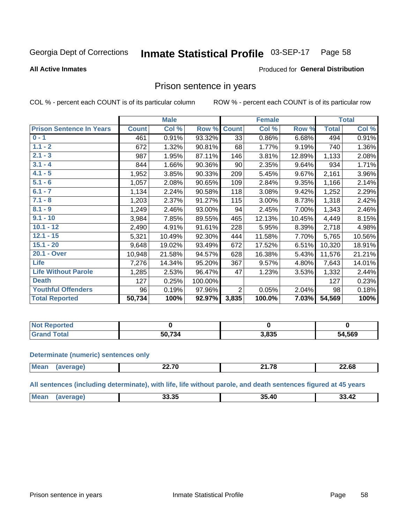#### Inmate Statistical Profile 03-SEP-17 Page 58

### **All Active Inmates**

### Produced for General Distribution

# Prison sentence in years

COL % - percent each COUNT is of its particular column

ROW % - percent each COUNT is of its particular row

|                                 |              | <b>Male</b> |         |                 | <b>Female</b> |        |              | <b>Total</b> |
|---------------------------------|--------------|-------------|---------|-----------------|---------------|--------|--------------|--------------|
| <b>Prison Sentence In Years</b> | <b>Count</b> | Col %       | Row %   | <b>Count</b>    | Col %         | Row %  | <b>Total</b> | Col %        |
| $0 - 1$                         | 461          | 0.91%       | 93.32%  | $\overline{33}$ | 0.86%         | 6.68%  | 494          | 0.91%        |
| $1.1 - 2$                       | 672          | 1.32%       | 90.81%  | 68              | 1.77%         | 9.19%  | 740          | 1.36%        |
| $2.1 - 3$                       | 987          | 1.95%       | 87.11%  | 146             | 3.81%         | 12.89% | 1,133        | 2.08%        |
| $3.1 - 4$                       | 844          | 1.66%       | 90.36%  | 90              | 2.35%         | 9.64%  | 934          | 1.71%        |
| $4.1 - 5$                       | 1,952        | 3.85%       | 90.33%  | 209             | 5.45%         | 9.67%  | 2,161        | 3.96%        |
| $5.1 - 6$                       | 1,057        | 2.08%       | 90.65%  | 109             | 2.84%         | 9.35%  | 1,166        | 2.14%        |
| $6.1 - 7$                       | 1,134        | 2.24%       | 90.58%  | 118             | 3.08%         | 9.42%  | 1,252        | 2.29%        |
| $7.1 - 8$                       | 1,203        | 2.37%       | 91.27%  | 115             | 3.00%         | 8.73%  | 1,318        | 2.42%        |
| $8.1 - 9$                       | 1,249        | 2.46%       | 93.00%  | 94              | 2.45%         | 7.00%  | 1,343        | 2.46%        |
| $9.1 - 10$                      | 3,984        | 7.85%       | 89.55%  | 465             | 12.13%        | 10.45% | 4,449        | 8.15%        |
| $10.1 - 12$                     | 2,490        | 4.91%       | 91.61%  | 228             | 5.95%         | 8.39%  | 2,718        | 4.98%        |
| $12.1 - 15$                     | 5,321        | 10.49%      | 92.30%  | 444             | 11.58%        | 7.70%  | 5,765        | 10.56%       |
| $15.1 - 20$                     | 9,648        | 19.02%      | 93.49%  | 672             | 17.52%        | 6.51%  | 10,320       | 18.91%       |
| 20.1 - Over                     | 10,948       | 21.58%      | 94.57%  | 628             | 16.38%        | 5.43%  | 11,576       | 21.21%       |
| <b>Life</b>                     | 7,276        | 14.34%      | 95.20%  | 367             | 9.57%         | 4.80%  | 7,643        | 14.01%       |
| <b>Life Without Parole</b>      | 1,285        | 2.53%       | 96.47%  | 47              | 1.23%         | 3.53%  | 1,332        | 2.44%        |
| <b>Death</b>                    | 127          | 0.25%       | 100.00% |                 |               |        | 127          | 0.23%        |
| <b>Youthful Offenders</b>       | 96           | 0.19%       | 97.96%  | $\overline{2}$  | 0.05%         | 2.04%  | 98           | 0.18%        |
| <b>Total Reported</b>           | 50,734       | 100%        | 92.97%  | 3,835           | 100.0%        | 7.03%  | 54,569       | 100%         |

| Reported<br>' Not |                       |       |        |
|-------------------|-----------------------|-------|--------|
| Гоtal             | . הדי ה<br>50<br>. 54 | 3,835 | 54,569 |

### **Determinate (numeric) sentences only**

| <b>Mean</b><br>$\cdots$ | מד הה<br>----- | $\sim$<br>---- | nn co<br>–∠.0ŏ<br>----- |
|-------------------------|----------------|----------------|-------------------------|
|                         |                |                |                         |

All sentences (including determinate), with life, life without parole, and death sentences figured at 45 years

| Me:<br>00.OF<br>33.42<br>35<br>$\overline{\phantom{a}}$<br>лı<br>33.3J<br>$ -$ |  |  |  |
|--------------------------------------------------------------------------------|--|--|--|
|                                                                                |  |  |  |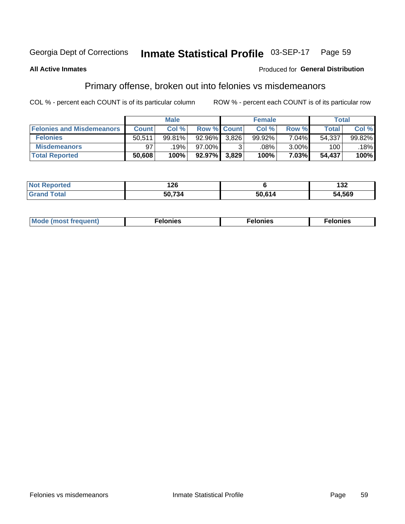#### Inmate Statistical Profile 03-SEP-17 Page 59

### **All Active Inmates**

## **Produced for General Distribution**

# Primary offense, broken out into felonies vs misdemeanors

COL % - percent each COUNT is of its particular column

|                                  |              | <b>Male</b> |           |                    | <b>Female</b> |          | Total        |        |
|----------------------------------|--------------|-------------|-----------|--------------------|---------------|----------|--------------|--------|
| <b>Felonies and Misdemeanors</b> | <b>Count</b> | Col %       |           | <b>Row % Count</b> | Col %         | Row %    | <b>Total</b> | Col %  |
| <b>Felonies</b>                  | 50.511       | 99.81%      | $92.96\%$ | 3.826              | 99.92%        | 7.04%    | 54,337       | 99.82% |
| <b>Misdemeanors</b>              | 97           | 19%         | 97.00%    |                    | .08%          | $3.00\%$ | 100          | 18%    |
| <b>Total Reported</b>            | 50,608       | 100%        | 92.97%    | 3,829              | 100%          | 7.03%    | 54,437       | 100%   |

| <b>Not Reported</b> | 126    |        | $\sim$<br>∣J∠ |
|---------------------|--------|--------|---------------|
| ™otal<br>Grano      | 50.734 | 50.614 | 54,569        |

| M      | .    | nes | onies |
|--------|------|-----|-------|
| nuenti | ____ | .   | .     |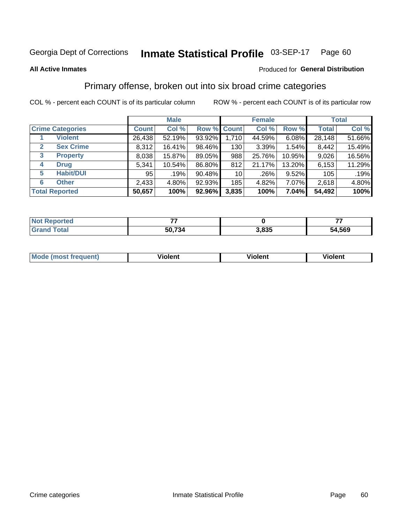#### Inmate Statistical Profile 03-SEP-17 Page 60

### **All Active Inmates**

## Produced for General Distribution

# Primary offense, broken out into six broad crime categories

COL % - percent each COUNT is of its particular column

|                                  |              | <b>Male</b> |        |                 | <b>Female</b> |          | <b>Total</b> |        |  |
|----------------------------------|--------------|-------------|--------|-----------------|---------------|----------|--------------|--------|--|
| <b>Crime Categories</b>          | <b>Count</b> | Col %       |        | Row % Count     | Col %         | Row %    | <b>Total</b> | Col %  |  |
| <b>Violent</b>                   | 26,438       | 52.19%      | 93.92% | 1,710           | 44.59%        | $6.08\%$ | 28,148       | 51.66% |  |
| <b>Sex Crime</b><br>$\mathbf{2}$ | 8,312        | 16.41%      | 98.46% | 130             | 3.39%         | 1.54%    | 8,442        | 15.49% |  |
| <b>Property</b><br>3             | 8,038        | 15.87%      | 89.05% | 988             | 25.76%        | 10.95%   | 9,026        | 16.56% |  |
| <b>Drug</b><br>4                 | 5,341        | 10.54%      | 86.80% | 812             | 21.17%        | 13.20%   | 6,153        | 11.29% |  |
| <b>Habit/DUI</b><br>5            | 95           | .19%        | 90.48% | 10 <sup>1</sup> | .26%          | 9.52%    | 105          | .19%   |  |
| <b>Other</b><br>6                | 2,433        | 4.80%       | 92.93% | 185             | 4.82%         | 7.07%    | 2,618        | 4.80%  |  |
| <b>Total Reported</b>            | 50,657       | 100%        | 92.96% | 3,835           | 100%          | 7.04%    | 54,492       | 100%   |  |

| <b>rortea</b><br>' NOT |        |       |        |
|------------------------|--------|-------|--------|
| Eata                   | 50,734 | 3,835 | 54,569 |

| Mo<br>uent)<br>nos | .<br>/iolent | <br>Violent | - --<br><b>Tiolent</b> |
|--------------------|--------------|-------------|------------------------|
|                    |              |             |                        |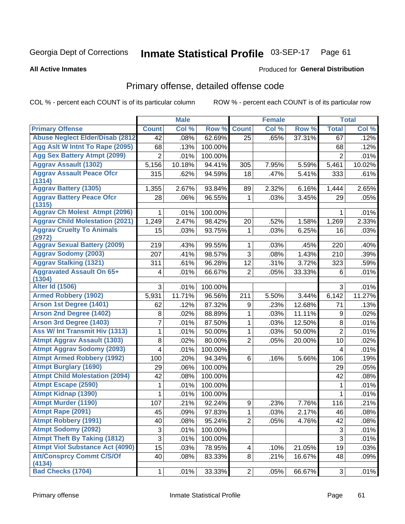### Inmate Statistical Profile 03-SEP-17 Page 61

### **All Active Inmates**

# **Produced for General Distribution**

# Primary offense, detailed offense code

COL % - percent each COUNT is of its particular column

|                                            |                | <b>Male</b> |         |                  | <b>Female</b> |        |                | <b>Total</b> |
|--------------------------------------------|----------------|-------------|---------|------------------|---------------|--------|----------------|--------------|
| <b>Primary Offense</b>                     | <b>Count</b>   | Col %       | Row %   | <b>Count</b>     | Col %         | Row %  | <b>Total</b>   | Col %        |
| <b>Abuse Neglect Elder/Disab (2812)</b>    | 42             | .08%        | 62.69%  | 25               | .65%          | 37.31% | 67             | .12%         |
| Agg Aslt W Intnt To Rape (2095)            | 68             | .13%        | 100.00% |                  |               |        | 68             | .12%         |
| <b>Agg Sex Battery Atmpt (2099)</b>        | $\overline{2}$ | .01%        | 100.00% |                  |               |        | $\overline{2}$ | .01%         |
| <b>Aggrav Assault (1302)</b>               | 5,156          | 10.18%      | 94.41%  | 305              | 7.95%         | 5.59%  | 5,461          | 10.02%       |
| <b>Aggrav Assault Peace Ofcr</b><br>(1314) | 315            | .62%        | 94.59%  | 18               | .47%          | 5.41%  | 333            | .61%         |
| <b>Aggrav Battery (1305)</b>               | 1,355          | 2.67%       | 93.84%  | 89               | 2.32%         | 6.16%  | 1,444          | 2.65%        |
| <b>Aggrav Battery Peace Ofcr</b><br>(1315) | 28             | .06%        | 96.55%  | 1                | .03%          | 3.45%  | 29             | .05%         |
| <b>Aggrav Ch Molest Atmpt (2096)</b>       | 1              | .01%        | 100.00% |                  |               |        | 1              | .01%         |
| <b>Aggrav Child Molestation (2021)</b>     | 1,249          | 2.47%       | 98.42%  | 20               | .52%          | 1.58%  | 1,269          | 2.33%        |
| <b>Aggrav Cruelty To Animals</b><br>(2972) | 15             | .03%        | 93.75%  | 1                | .03%          | 6.25%  | 16             | .03%         |
| <b>Aggrav Sexual Battery (2009)</b>        | 219            | .43%        | 99.55%  | 1                | .03%          | .45%   | 220            | .40%         |
| <b>Aggrav Sodomy (2003)</b>                | 207            | .41%        | 98.57%  | $\overline{3}$   | .08%          | 1.43%  | 210            | .39%         |
| <b>Aggrav Stalking (1321)</b>              | 311            | .61%        | 96.28%  | 12               | .31%          | 3.72%  | 323            | .59%         |
| <b>Aggravated Assault On 65+</b><br>(1304) | 4              | .01%        | 66.67%  | $\overline{2}$   | .05%          | 33.33% | 6              | .01%         |
| <b>Alter Id (1506)</b>                     | 3              | .01%        | 100.00% |                  |               |        | 3              | .01%         |
| <b>Armed Robbery (1902)</b>                | 5,931          | 11.71%      | 96.56%  | 211              | 5.50%         | 3.44%  | 6,142          | 11.27%       |
| Arson 1st Degree (1401)                    | 62             | .12%        | 87.32%  | 9                | .23%          | 12.68% | 71             | .13%         |
| <b>Arson 2nd Degree (1402)</b>             | 8              | .02%        | 88.89%  | 1                | .03%          | 11.11% | 9              | .02%         |
| <b>Arson 3rd Degree (1403)</b>             | 7              | .01%        | 87.50%  | 1                | .03%          | 12.50% | 8              | .01%         |
| Ass W/ Int Transmit Hiv (1313)             | 1              | .01%        | 50.00%  | 1                | .03%          | 50.00% | $\overline{2}$ | .01%         |
| <b>Atmpt Aggrav Assault (1303)</b>         | 8              | .02%        | 80.00%  | $\overline{2}$   | .05%          | 20.00% | 10             | .02%         |
| <b>Atmpt Aggrav Sodomy (2093)</b>          | 4              | .01%        | 100.00% |                  |               |        | 4              | .01%         |
| <b>Atmpt Armed Robbery (1992)</b>          | 100            | .20%        | 94.34%  | 6                | .16%          | 5.66%  | 106            | .19%         |
| <b>Atmpt Burglary (1690)</b>               | 29             | .06%        | 100.00% |                  |               |        | 29             | .05%         |
| <b>Atmpt Child Molestation (2094)</b>      | 42             | .08%        | 100.00% |                  |               |        | 42             | .08%         |
| <b>Atmpt Escape (2590)</b>                 | 1              | .01%        | 100.00% |                  |               |        | 1              | .01%         |
| <b>Atmpt Kidnap (1390)</b>                 | 1              | .01%        | 100.00% |                  |               |        | 1              | .01%         |
| <b>Atmpt Murder (1190)</b>                 | 107            | .21%        | 92.24%  | $\boldsymbol{9}$ | .23%          | 7.76%  | 116            | .21%         |
| Atmpt Rape (2091)                          | 45             | .09%        | 97.83%  | $\mathbf 1$      | .03%          | 2.17%  | 46             | .08%         |
| <b>Atmpt Robbery (1991)</b>                | 40             | .08%        | 95.24%  | $\overline{2}$   | .05%          | 4.76%  | 42             | .08%         |
| <b>Atmpt Sodomy (2092)</b>                 | 3              | .01%        | 100.00% |                  |               |        | 3              | .01%         |
| <b>Atmpt Theft By Taking (1812)</b>        | 3              | .01%        | 100.00% |                  |               |        | 3              | .01%         |
| <b>Atmpt Viol Substance Act (4090)</b>     | 15             | .03%        | 78.95%  | 4                | .10%          | 21.05% | 19             | .03%         |
| <b>Att/Consprcy Commt C/S/Of</b><br>(4134) | 40             | .08%        | 83.33%  | 8                | .21%          | 16.67% | 48             | .09%         |
| <b>Bad Checks (1704)</b>                   | $\mathbf{1}$   | .01%        | 33.33%  | 2 <sup>1</sup>   | .05%          | 66.67% | 3              | .01%         |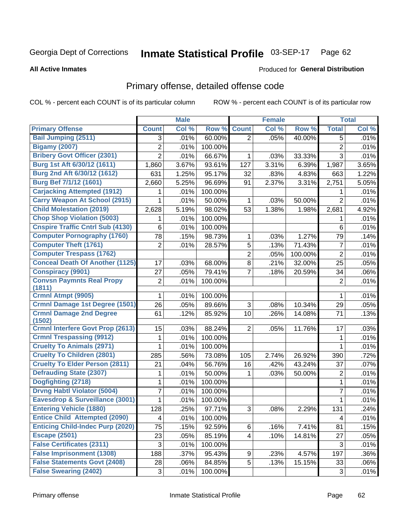### Inmate Statistical Profile 03-SEP-17 Page 62

### **All Active Inmates**

## **Produced for General Distribution**

# Primary offense, detailed offense code

COL % - percent each COUNT is of its particular column

|                                          |                         | <b>Male</b> |         |                         | <b>Female</b> |         |                | <b>Total</b> |
|------------------------------------------|-------------------------|-------------|---------|-------------------------|---------------|---------|----------------|--------------|
| <b>Primary Offense</b>                   | <b>Count</b>            | Col %       | Row %   | <b>Count</b>            | Col %         | Row %   | <b>Total</b>   | Col %        |
| <b>Bail Jumping (2511)</b>               | 3                       | .01%        | 60.00%  | $\overline{2}$          | .05%          | 40.00%  | 5              | .01%         |
| <b>Bigamy (2007)</b>                     | $\overline{c}$          | .01%        | 100.00% |                         |               |         | $\overline{c}$ | .01%         |
| <b>Bribery Govt Officer (2301)</b>       | $\overline{2}$          | .01%        | 66.67%  | 1                       | .03%          | 33.33%  | 3              | .01%         |
| Burg 1st Aft 6/30/12 (1611)              | 1,860                   | 3.67%       | 93.61%  | 127                     | 3.31%         | 6.39%   | 1,987          | 3.65%        |
| Burg 2nd Aft 6/30/12 (1612)              | 631                     | 1.25%       | 95.17%  | 32                      | .83%          | 4.83%   | 663            | 1.22%        |
| <b>Burg Bef 7/1/12 (1601)</b>            | 2,660                   | 5.25%       | 96.69%  | 91                      | 2.37%         | 3.31%   | 2,751          | 5.05%        |
| <b>Carjacking Attempted (1912)</b>       | 1                       | .01%        | 100.00% |                         |               |         | 1              | .01%         |
| <b>Carry Weapon At School (2915)</b>     | 1                       | .01%        | 50.00%  | 1                       | .03%          | 50.00%  | $\overline{2}$ | .01%         |
| <b>Child Molestation (2019)</b>          | 2,628                   | 5.19%       | 98.02%  | 53                      | 1.38%         | 1.98%   | 2,681          | 4.92%        |
| <b>Chop Shop Violation (5003)</b>        | 1                       | .01%        | 100.00% |                         |               |         | 1              | .01%         |
| <b>Cnspire Traffic Cntrl Sub (4130)</b>  | 6                       | .01%        | 100.00% |                         |               |         | 6              | .01%         |
| <b>Computer Pornography (1760)</b>       | 78                      | .15%        | 98.73%  | 1                       | .03%          | 1.27%   | 79             | .14%         |
| <b>Computer Theft (1761)</b>             | $\overline{2}$          | .01%        | 28.57%  | 5                       | .13%          | 71.43%  | $\overline{7}$ | .01%         |
| <b>Computer Trespass (1762)</b>          |                         |             |         | $\overline{2}$          | .05%          | 100.00% | $\overline{2}$ | .01%         |
| <b>Conceal Death Of Another (1125)</b>   | 17                      | .03%        | 68.00%  | 8                       | .21%          | 32.00%  | 25             | .05%         |
| <b>Conspiracy (9901)</b>                 | 27                      | .05%        | 79.41%  | 7                       | .18%          | 20.59%  | 34             | .06%         |
| <b>Convsn Paymnts Real Propy</b>         | $\mathbf 2$             | .01%        | 100.00% |                         |               |         | $\overline{2}$ | .01%         |
| (1811)                                   |                         |             |         |                         |               |         |                |              |
| Crmnl Atmpt (9905)                       | 1                       | .01%        | 100.00% |                         |               |         | 1              | .01%         |
| <b>Crmnl Damage 1st Degree (1501)</b>    | 26                      | .05%        | 89.66%  | 3                       | .08%          | 10.34%  | 29             | .05%         |
| <b>Crmnl Damage 2nd Degree</b><br>(1502) | 61                      | .12%        | 85.92%  | 10                      | .26%          | 14.08%  | 71             | .13%         |
| <b>Crmnl Interfere Govt Prop (2613)</b>  | 15                      | .03%        | 88.24%  | $\overline{2}$          | .05%          | 11.76%  | 17             | .03%         |
| <b>Crmnl Trespassing (9912)</b>          | 1                       | .01%        | 100.00% |                         |               |         | 1              | .01%         |
| <b>Cruelty To Animals (2971)</b>         | 1                       | .01%        | 100.00% |                         |               |         | 1              | .01%         |
| <b>Cruelty To Children (2801)</b>        | 285                     | .56%        | 73.08%  | 105                     | 2.74%         | 26.92%  | 390            | .72%         |
| <b>Cruelty To Elder Person (2811)</b>    | 21                      | .04%        | 56.76%  | 16                      | .42%          | 43.24%  | 37             | .07%         |
| <b>Defrauding State (2307)</b>           | 1                       | .01%        | 50.00%  | 1                       | .03%          | 50.00%  | $\overline{2}$ | .01%         |
| Dogfighting (2718)                       | 1                       | .01%        | 100.00% |                         |               |         | 1              | .01%         |
| <b>Drvng Habtl Violator (5004)</b>       | 7                       | .01%        | 100.00% |                         |               |         | $\overline{7}$ | .01%         |
| Eavesdrop & Surveillance (3001)          | 1                       | .01%        | 100.00% |                         |               |         | 1              | .01%         |
| <b>Entering Vehicle (1880)</b>           | 128                     | .25%        | 97.71%  | 3                       | .08%          | 2.29%   | 131            | .24%         |
| <b>Entice Child Attempted (2090)</b>     | $\overline{\mathbf{4}}$ | .01%        | 100.00% |                         |               |         | 4              | .01%         |
| <b>Enticing Child-Indec Purp (2020)</b>  | 75                      | .15%        | 92.59%  | 6                       | .16%          | 7.41%   | 81             | .15%         |
| <b>Escape (2501)</b>                     | 23                      | .05%        | 85.19%  | $\overline{\mathbf{4}}$ | .10%          | 14.81%  | 27             | .05%         |
| <b>False Certificates (2311)</b>         | 3                       | .01%        | 100.00% |                         |               |         | $\sqrt{3}$     | .01%         |
| <b>False Imprisonment (1308)</b>         | 188                     | .37%        | 95.43%  | 9                       | .23%          | 4.57%   | 197            | .36%         |
| <b>False Statements Govt (2408)</b>      | 28                      | .06%        | 84.85%  | 5                       | .13%          | 15.15%  | 33             | .06%         |
| <b>False Swearing (2402)</b>             | $\sqrt{3}$              | .01%        | 100.00% |                         |               |         | 3              | .01%         |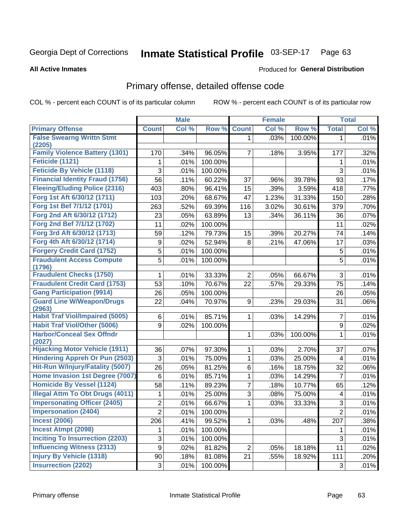### Inmate Statistical Profile 03-SEP-17 Page 63

**All Active Inmates** 

## **Produced for General Distribution**

# Primary offense, detailed offense code

COL % - percent each COUNT is of its particular column

|                                            |                | <b>Male</b> |         |                | <b>Female</b> |         |                | <b>Total</b> |
|--------------------------------------------|----------------|-------------|---------|----------------|---------------|---------|----------------|--------------|
| <b>Primary Offense</b>                     | <b>Count</b>   | Col %       | Row %   | <b>Count</b>   | Col %         | Row %   | <b>Total</b>   | Col %        |
| <b>False Swearng Writtn Stmt</b>           |                |             |         | $\mathbf{1}$   | .03%          | 100.00% | $\mathbf 1$    | .01%         |
| (2205)                                     |                |             |         |                |               |         |                |              |
| <b>Family Violence Battery (1301)</b>      | 170            | .34%        | 96.05%  | 7              | .18%          | 3.95%   | 177            | .32%         |
| Feticide (1121)                            | 1              | .01%        | 100.00% |                |               |         | 1              | .01%         |
| <b>Feticide By Vehicle (1118)</b>          | 3              | .01%        | 100.00% |                |               |         | 3              | .01%         |
| <b>Financial Identity Fraud (1756)</b>     | 56             | .11%        | 60.22%  | 37             | .96%          | 39.78%  | 93             | .17%         |
| <b>Fleeing/Eluding Police (2316)</b>       | 403            | .80%        | 96.41%  | 15             | .39%          | 3.59%   | 418            | .77%         |
| Forg 1st Aft 6/30/12 (1711)                | 103            | .20%        | 68.67%  | 47             | 1.23%         | 31.33%  | 150            | .28%         |
| Forg 1st Bef 7/1/12 (1701)                 | 263            | .52%        | 69.39%  | 116            | 3.02%         | 30.61%  | 379            | .70%         |
| Forg 2nd Aft 6/30/12 (1712)                | 23             | .05%        | 63.89%  | 13             | .34%          | 36.11%  | 36             | .07%         |
| Forg 2nd Bef 7/1/12 (1702)                 | 11             | .02%        | 100.00% |                |               |         | 11             | .02%         |
| Forg 3rd Aft 6/30/12 (1713)                | 59             | .12%        | 79.73%  | 15             | .39%          | 20.27%  | 74             | .14%         |
| Forg 4th Aft 6/30/12 (1714)                | 9              | .02%        | 52.94%  | 8              | .21%          | 47.06%  | 17             | .03%         |
| <b>Forgery Credit Card (1752)</b>          | 5              | .01%        | 100.00% |                |               |         | 5              | .01%         |
| <b>Fraudulent Access Compute</b>           | 5              | .01%        | 100.00% |                |               |         | 5              | .01%         |
| (1796)                                     |                |             |         |                |               |         |                |              |
| <b>Fraudulent Checks (1750)</b>            | 1              | .01%        | 33.33%  | $\overline{2}$ | .05%          | 66.67%  | 3              | .01%         |
| <b>Fraudulent Credit Card (1753)</b>       | 53             | .10%        | 70.67%  | 22             | .57%          | 29.33%  | 75             | .14%         |
| <b>Gang Participation (9914)</b>           | 26             | .05%        | 100.00% |                |               |         | 26             | .05%         |
| <b>Guard Line W/Weapon/Drugs</b><br>(2963) | 22             | .04%        | 70.97%  | 9              | .23%          | 29.03%  | 31             | .06%         |
| <b>Habit Traf Viol/Impaired (5005)</b>     | 6              | .01%        | 85.71%  | 1              | .03%          | 14.29%  | $\overline{7}$ | .01%         |
| <b>Habit Traf Viol/Other (5006)</b>        | 9              | .02%        | 100.00% |                |               |         | 9              | .02%         |
| <b>Harbor/Conceal Sex Offndr</b><br>(2027) |                |             |         | 1              | .03%          | 100.00% | 1              | .01%         |
| <b>Hijacking Motor Vehicle (1911)</b>      | 36             | .07%        | 97.30%  | 1              | .03%          | 2.70%   | 37             | .07%         |
| <b>Hindering Appreh Or Pun (2503)</b>      | 3              | .01%        | 75.00%  | 1              | .03%          | 25.00%  | 4              | .01%         |
| Hit-Run W/Injury/Fatality (5007)           | 26             | .05%        | 81.25%  | 6              | .16%          | 18.75%  | 32             | .06%         |
| Home Invasion 1st Degree (7007)            | 6              | .01%        | 85.71%  | 1              | .03%          | 14.29%  | $\overline{7}$ | .01%         |
| <b>Homicide By Vessel (1124)</b>           | 58             | .11%        | 89.23%  | 7              | .18%          | 10.77%  | 65             | .12%         |
| <b>Illegal Attm To Obt Drugs (4011)</b>    | 1              | .01%        | 25.00%  | 3              | .08%          | 75.00%  | 4              | .01%         |
| <b>Impersonating Officer (2405)</b>        | $\overline{2}$ | .01%        | 66.67%  | 1              | .03%          | 33.33%  | 3              | .01%         |
| <b>Impersonation (2404)</b>                | $\overline{2}$ | .01%        | 100.00% |                |               |         | $\overline{2}$ | .01%         |
| <b>Incest (2006)</b>                       | 206            | .41%        | 99.52%  | 1              | .03%          | .48%    | 207            | .38%         |
| <b>Incest Atmpt (2098)</b>                 | 1              | .01%        | 100.00% |                |               |         | 1              | .01%         |
| <b>Inciting To Insurrection (2203)</b>     | 3              | $.01\%$     | 100.00% |                |               |         | 3              | .01%         |
| <b>Influencing Witness (2313)</b>          | 9              | .02%        | 81.82%  | $\overline{2}$ | .05%          | 18.18%  | 11             | .02%         |
| <b>Injury By Vehicle (1318)</b>            | 90             | .18%        | 81.08%  | 21             | .55%          | 18.92%  | 111            | .20%         |
| <b>Insurrection (2202)</b>                 | $\mathfrak{S}$ | .01%        | 100.00% |                |               |         | $\mathbf{3}$   | .01%         |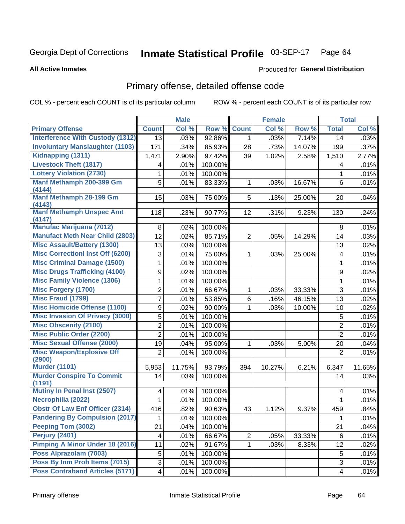### Inmate Statistical Profile 03-SEP-17 Page 64

**All Active Inmates** 

### Produced for General Distribution

# Primary offense, detailed offense code

COL % - percent each COUNT is of its particular column

|                                            |                         | <b>Male</b> |         |                | <b>Female</b> |        |                         | <b>Total</b> |
|--------------------------------------------|-------------------------|-------------|---------|----------------|---------------|--------|-------------------------|--------------|
| <b>Primary Offense</b>                     | <b>Count</b>            | Col %       | Row %   | <b>Count</b>   | Col %         | Row %  | <b>Total</b>            | Col %        |
| <b>Interference With Custody (1312)</b>    | $\overline{13}$         | .03%        | 92.86%  | $\mathbf{1}$   | .03%          | 7.14%  | 14                      | .03%         |
| <b>Involuntary Manslaughter (1103)</b>     | 171                     | .34%        | 85.93%  | 28             | .73%          | 14.07% | 199                     | .37%         |
| Kidnapping (1311)                          | 1,471                   | 2.90%       | 97.42%  | 39             | 1.02%         | 2.58%  | 1,510                   | 2.77%        |
| <b>Livestock Theft (1817)</b>              | 4                       | .01%        | 100.00% |                |               |        | 4                       | .01%         |
| <b>Lottery Violation (2730)</b>            | 1                       | .01%        | 100.00% |                |               |        | 1                       | .01%         |
| Manf Methamph 200-399 Gm<br>(4144)         | 5                       | .01%        | 83.33%  | 1              | .03%          | 16.67% | 6                       | .01%         |
| Manf Methamph 28-199 Gm<br>(4143)          | 15                      | .03%        | 75.00%  | 5              | .13%          | 25.00% | 20                      | .04%         |
| <b>Manf Methamph Unspec Amt</b><br>(4147)  | 118                     | .23%        | 90.77%  | 12             | .31%          | 9.23%  | 130                     | .24%         |
| <b>Manufac Marijuana (7012)</b>            | 8                       | .02%        | 100.00% |                |               |        | 8                       | .01%         |
| <b>Manufact Meth Near Child (2803)</b>     | 12                      | .02%        | 85.71%  | $\overline{2}$ | .05%          | 14.29% | 14                      | .03%         |
| <b>Misc Assault/Battery (1300)</b>         | 13                      | .03%        | 100.00% |                |               |        | 13                      | .02%         |
| <b>Misc Correctionl Inst Off (6200)</b>    | 3                       | .01%        | 75.00%  | 1              | .03%          | 25.00% | $\overline{\mathbf{4}}$ | .01%         |
| <b>Misc Criminal Damage (1500)</b>         | 1                       | .01%        | 100.00% |                |               |        | 1                       | .01%         |
| <b>Misc Drugs Trafficking (4100)</b>       | 9                       | .02%        | 100.00% |                |               |        | 9                       | .02%         |
| <b>Misc Family Violence (1306)</b>         | $\mathbf{1}$            | .01%        | 100.00% |                |               |        | 1                       | .01%         |
| Misc Forgery (1700)                        | $\overline{c}$          | .01%        | 66.67%  | 1              | .03%          | 33.33% | 3                       | .01%         |
| Misc Fraud (1799)                          | $\overline{7}$          | .01%        | 53.85%  | 6              | .16%          | 46.15% | 13                      | .02%         |
| <b>Misc Homicide Offense (1100)</b>        | 9                       | .02%        | 90.00%  | 1              | .03%          | 10.00% | 10                      | .02%         |
| <b>Misc Invasion Of Privacy (3000)</b>     | 5                       | .01%        | 100.00% |                |               |        | 5                       | .01%         |
| <b>Misc Obscenity (2100)</b>               | $\overline{2}$          | .01%        | 100.00% |                |               |        | $\overline{c}$          | .01%         |
| <b>Misc Public Order (2200)</b>            | $\overline{2}$          | .01%        | 100.00% |                |               |        | $\overline{2}$          | .01%         |
| <b>Misc Sexual Offense (2000)</b>          | 19                      | .04%        | 95.00%  | 1              | .03%          | 5.00%  | 20                      | .04%         |
| <b>Misc Weapon/Explosive Off</b><br>(2900) | $\overline{2}$          | .01%        | 100.00% |                |               |        | $\overline{2}$          | .01%         |
| <b>Murder (1101)</b>                       | 5,953                   | 11.75%      | 93.79%  | 394            | 10.27%        | 6.21%  | 6,347                   | 11.65%       |
| <b>Murder Conspire To Commit</b><br>(1191) | 14                      | .03%        | 100.00% |                |               |        | 14                      | .03%         |
| <b>Mutiny In Penal Inst (2507)</b>         | 4                       | .01%        | 100.00% |                |               |        | 4                       | .01%         |
| Necrophilia (2022)                         | 1                       | .01%        | 100.00% |                |               |        | 1                       | .01%         |
| <b>Obstr Of Law Enf Officer (2314)</b>     | 416                     | .82%        | 90.63%  | 43             | 1.12%         | 9.37%  | 459                     | .84%         |
| <b>Pandering By Compulsion (2017)</b>      | 1                       | .01%        | 100.00% |                |               |        | 1                       | .01%         |
| Peeping Tom (3002)                         | 21                      | .04%        | 100.00% |                |               |        | 21                      | .04%         |
| <b>Perjury (2401)</b>                      | $\overline{\mathbf{4}}$ | .01%        | 66.67%  | $\overline{2}$ | .05%          | 33.33% | 6                       | .01%         |
| <b>Pimping A Minor Under 18 (2016)</b>     | 11                      | .02%        | 91.67%  | 1.             | .03%          | 8.33%  | 12                      | .02%         |
| Poss Alprazolam (7003)                     | 5                       | .01%        | 100.00% |                |               |        | 5                       | .01%         |
| Poss By Inm Proh Items (7015)              | 3                       | .01%        | 100.00% |                |               |        | 3                       | .01%         |
| <b>Poss Contraband Articles (5171)</b>     | $\overline{\mathbf{4}}$ | .01%        | 100.00% |                |               |        | 4                       | .01%         |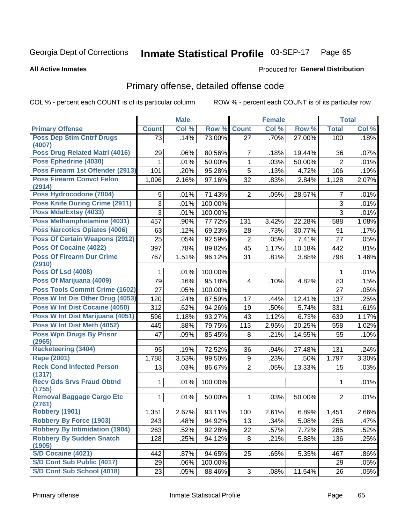### Inmate Statistical Profile 03-SEP-17 Page 65

**All Active Inmates** 

### Produced for General Distribution

# Primary offense, detailed offense code

COL % - percent each COUNT is of its particular column

|                                            |                 | <b>Male</b> |         |                     | <b>Female</b> |        |                | <b>Total</b> |
|--------------------------------------------|-----------------|-------------|---------|---------------------|---------------|--------|----------------|--------------|
| <b>Primary Offense</b>                     | <b>Count</b>    | Col %       | Row %   | <b>Count</b>        | Col %         | Row %  | <b>Total</b>   | Col %        |
| <b>Poss Dep Stim Cntrf Drugs</b>           | $\overline{73}$ | .14%        | 73.00%  | 27                  | .70%          | 27.00% | 100            | .18%         |
| (4007)                                     |                 |             |         |                     |               |        |                |              |
| Poss Drug Related Matrl (4016)             | 29              | .06%        | 80.56%  | $\overline{7}$      | .18%          | 19.44% | 36             | .07%         |
| Poss Ephedrine (4030)                      |                 | .01%        | 50.00%  | $\mathbf{1}$        | .03%          | 50.00% | $\overline{2}$ | .01%         |
| Poss Firearm 1st Offender (2913)           | 101             | .20%        | 95.28%  | $\overline{5}$      | .13%          | 4.72%  | 106            | .19%         |
| <b>Poss Firearm Convct Felon</b><br>(2914) | 1,096           | 2.16%       | 97.16%  | 32                  | .83%          | 2.84%  | 1,128          | 2.07%        |
| Poss Hydrocodone (7004)                    | 5               | .01%        | 71.43%  | $\overline{2}$      | .05%          | 28.57% | $\overline{7}$ | .01%         |
| <b>Poss Knife During Crime (2911)</b>      | 3               | .01%        | 100.00% |                     |               |        | $\overline{3}$ | .01%         |
| Poss Mda/Extsy (4033)                      | $\overline{3}$  | .01%        | 100.00% |                     |               |        | 3              | .01%         |
| Poss Methamphetamine (4031)                | 457             | .90%        | 77.72%  | 131                 | 3.42%         | 22.28% | 588            | 1.08%        |
| <b>Poss Narcotics Opiates (4006)</b>       | 63              | .12%        | 69.23%  | 28                  | .73%          | 30.77% | 91             | .17%         |
| <b>Poss Of Certain Weapons (2912)</b>      | 25              | .05%        | 92.59%  | $\overline{2}$      | .05%          | 7.41%  | 27             | .05%         |
| Poss Of Cocaine (4022)                     | 397             | .78%        | 89.82%  | 45                  | 1.17%         | 10.18% | 442            | .81%         |
| <b>Poss Of Firearm Dur Crime</b><br>(2910) | 767             | 1.51%       | 96.12%  | 31                  | .81%          | 3.88%  | 798            | 1.46%        |
| <b>Poss Of Lsd (4008)</b>                  | 1               | .01%        | 100.00% |                     |               |        | 1              | .01%         |
| Poss Of Marijuana (4009)                   | 79              | .16%        | 95.18%  | 4                   | .10%          | 4.82%  | 83             | .15%         |
| <b>Poss Tools Commit Crime (1602)</b>      | 27              | .05%        | 100.00% |                     |               |        | 27             | .05%         |
| Poss W Int Dis Other Drug (4053)           | 120             | .24%        | 87.59%  | 17                  | .44%          | 12.41% | 137            | .25%         |
| Poss W Int Dist Cocaine (4050)             | 312             | .62%        | 94.26%  | 19                  | .50%          | 5.74%  | 331            | .61%         |
| Poss W Int Dist Marijuana (4051)           | 596             | 1.18%       | 93.27%  | 43                  | 1.12%         | 6.73%  | 639            | 1.17%        |
| Poss W Int Dist Meth (4052)                | 445             | .88%        | 79.75%  | 113                 | 2.95%         | 20.25% | 558            | 1.02%        |
| <b>Poss Wpn Drugs By Prisnr</b>            | 47              | .09%        | 85.45%  | 8                   | .21%          | 14.55% | 55             | .10%         |
| (2965)<br><b>Racketeering (3404)</b>       |                 |             |         |                     |               |        |                |              |
| Rape (2001)                                | 95              | .19%        | 72.52%  | 36                  | .94%          | 27.48% | 131            | .24%         |
| <b>Reck Cond Infected Person</b>           | 1,788           | 3.53%       | 99.50%  | 9<br>$\overline{2}$ | .23%          | .50%   | 1,797          | 3.30%        |
| (1317)                                     | 13              | .03%        | 86.67%  |                     | .05%          | 13.33% | 15             | .03%         |
| <b>Recv Gds Srvs Fraud Obtnd</b><br>(1755) | 1               | .01%        | 100.00% |                     |               |        | 1              | .01%         |
| <b>Removal Baggage Cargo Etc</b><br>(2761) | 1               | .01%        | 50.00%  | $\mathbf 1$         | .03%          | 50.00% | $\overline{2}$ | .01%         |
| <b>Robbery (1901)</b>                      | 1,351           | 2.67%       | 93.11%  | 100                 | 2.61%         | 6.89%  | 1,451          | 2.66%        |
| <b>Robbery By Force (1903)</b>             | 243             | .48%        | 94.92%  | 13                  | .34%          | 5.08%  | 256            | .47%         |
| <b>Robbery By Intimidation (1904)</b>      | 263             | .52%        | 92.28%  | 22                  | .57%          | 7.72%  | 285            | .52%         |
| <b>Robbery By Sudden Snatch</b>            | 128             | .25%        | 94.12%  | 8 <sup>1</sup>      | .21%          | 5.88%  | 136            | .25%         |
| (1905)                                     |                 |             |         |                     |               |        |                |              |
| S/D Cocaine (4021)                         | 442             | .87%        | 94.65%  | 25                  | .65%          | 5.35%  | 467            | .86%         |
| S/D Cont Sub Public (4017)                 | 29              | .06%        | 100.00% |                     |               |        | 29             | .05%         |
| S/D Cont Sub School (4018)                 | 23              | .05%        | 88.46%  | 3                   | .08%          | 11.54% | 26             | .05%         |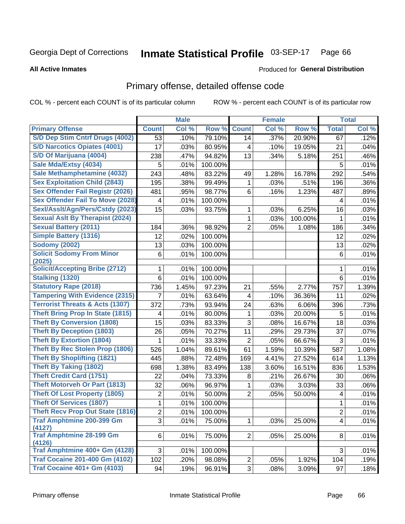### Inmate Statistical Profile 03-SEP-17 Page 66

**All Active Inmates** 

### Produced for General Distribution

# Primary offense, detailed offense code

COL % - percent each COUNT is of its particular column

|                                            |                | <b>Male</b> |         |                | <b>Female</b> |         |                         | <b>Total</b> |
|--------------------------------------------|----------------|-------------|---------|----------------|---------------|---------|-------------------------|--------------|
| <b>Primary Offense</b>                     | <b>Count</b>   | Col %       | Row %   | <b>Count</b>   | Col %         | Row %   | <b>Total</b>            | Col %        |
| S/D Dep Stim Cntrf Drugs (4002)            | 53             | .10%        | 79.10%  | 14             | .37%          | 20.90%  | 67                      | .12%         |
| <b>S/D Narcotics Opiates (4001)</b>        | 17             | .03%        | 80.95%  | 4              | .10%          | 19.05%  | 21                      | .04%         |
| S/D Of Marijuana (4004)                    | 238            | .47%        | 94.82%  | 13             | .34%          | 5.18%   | 251                     | .46%         |
| Sale Mda/Extsy (4034)                      | 5              | .01%        | 100.00% |                |               |         | 5                       | .01%         |
| Sale Methamphetamine (4032)                | 243            | .48%        | 83.22%  | 49             | 1.28%         | 16.78%  | 292                     | .54%         |
| <b>Sex Exploitation Child (2843)</b>       | 195            | .38%        | 99.49%  | 1              | .03%          | .51%    | 196                     | .36%         |
| <b>Sex Offender Fail Registr (2026)</b>    | 481            | .95%        | 98.77%  | 6              | .16%          | 1.23%   | 487                     | .89%         |
| <b>Sex Offender Fail To Move (2028)</b>    | 4              | .01%        | 100.00% |                |               |         | 4                       | .01%         |
| Sexl/Asslt/Agn/Pers/Cstdy (2023)           | 15             | .03%        | 93.75%  | 1              | .03%          | 6.25%   | 16                      | .03%         |
| <b>Sexual Aslt By Therapist (2024)</b>     |                |             |         | 1              | .03%          | 100.00% | 1                       | .01%         |
| <b>Sexual Battery (2011)</b>               | 184            | .36%        | 98.92%  | $\overline{2}$ | .05%          | 1.08%   | 186                     | .34%         |
| <b>Simple Battery (1316)</b>               | 12             | .02%        | 100.00% |                |               |         | 12                      | .02%         |
| <b>Sodomy (2002)</b>                       | 13             | .03%        | 100.00% |                |               |         | 13                      | .02%         |
| <b>Solicit Sodomy From Minor</b>           | 6              | .01%        | 100.00% |                |               |         | 6                       | .01%         |
| (2025)                                     |                |             |         |                |               |         |                         |              |
| <b>Solicit/Accepting Bribe (2712)</b>      | 1              | .01%        | 100.00% |                |               |         | 1                       | .01%         |
| <b>Stalking (1320)</b>                     | 6              | .01%        | 100.00% |                |               |         | 6                       | .01%         |
| <b>Statutory Rape (2018)</b>               | 736            | 1.45%       | 97.23%  | 21             | .55%          | 2.77%   | 757                     | 1.39%        |
| <b>Tampering With Evidence (2315)</b>      | 7              | .01%        | 63.64%  | 4              | .10%          | 36.36%  | 11                      | .02%         |
| <b>Terrorist Threats &amp; Acts (1307)</b> | 372            | .73%        | 93.94%  | 24             | .63%          | 6.06%   | 396                     | .73%         |
| <b>Theft Bring Prop In State (1815)</b>    | 4              | .01%        | 80.00%  | 1              | .03%          | 20.00%  | 5                       | .01%         |
| <b>Theft By Conversion (1808)</b>          | 15             | .03%        | 83.33%  | 3              | .08%          | 16.67%  | 18                      | .03%         |
| <b>Theft By Deception (1803)</b>           | 26             | .05%        | 70.27%  | 11             | .29%          | 29.73%  | 37                      | .07%         |
| <b>Theft By Extortion (1804)</b>           | 1              | .01%        | 33.33%  | $\overline{2}$ | .05%          | 66.67%  | 3                       | .01%         |
| <b>Theft By Rec Stolen Prop (1806)</b>     | 526            | 1.04%       | 89.61%  | 61             | 1.59%         | 10.39%  | 587                     | 1.08%        |
| <b>Theft By Shoplifting (1821)</b>         | 445            | .88%        | 72.48%  | 169            | 4.41%         | 27.52%  | 614                     | 1.13%        |
| <b>Theft By Taking (1802)</b>              | 698            | 1.38%       | 83.49%  | 138            | 3.60%         | 16.51%  | 836                     | 1.53%        |
| <b>Theft Credit Card (1751)</b>            | 22             | .04%        | 73.33%  | 8              | .21%          | 26.67%  | 30                      | .06%         |
| <b>Theft Motorveh Or Part (1813)</b>       | 32             | .06%        | 96.97%  | 1              | .03%          | 3.03%   | 33                      | .06%         |
| <b>Theft Of Lost Property (1805)</b>       | $\overline{2}$ | .01%        | 50.00%  | $\overline{2}$ | .05%          | 50.00%  | $\overline{\mathbf{4}}$ | .01%         |
| <b>Theft Of Services (1807)</b>            | 1              | .01%        | 100.00% |                |               |         | 1                       | .01%         |
| <b>Theft Recv Prop Out State (1816)</b>    | $\overline{c}$ | .01%        | 100.00% |                |               |         | $\overline{2}$          | .01%         |
| <b>Traf Amphtmine 200-399 Gm</b>           | $\overline{3}$ | .01%        | 75.00%  | 1              | .03%          | 25.00%  | $\overline{4}$          | .01%         |
| (4127)<br><b>Traf Amphtmine 28-199 Gm</b>  | 6              | .01%        | 75.00%  | 2 <sup>1</sup> | .05%          | 25.00%  | 8                       | .01%         |
| (4126)                                     |                |             |         |                |               |         |                         |              |
| Traf Amphtmine 400+ Gm (4128)              | 3              | .01%        | 100.00% |                |               |         | 3                       | .01%         |
| <b>Traf Cocaine 201-400 Gm (4102)</b>      | 102            | .20%        | 98.08%  | $\overline{2}$ | .05%          | 1.92%   | 104                     | .19%         |
| <b>Traf Cocaine 401+ Gm (4103)</b>         | 94             | .19%        | 96.91%  | 3              | .08%          | 3.09%   | 97                      | .18%         |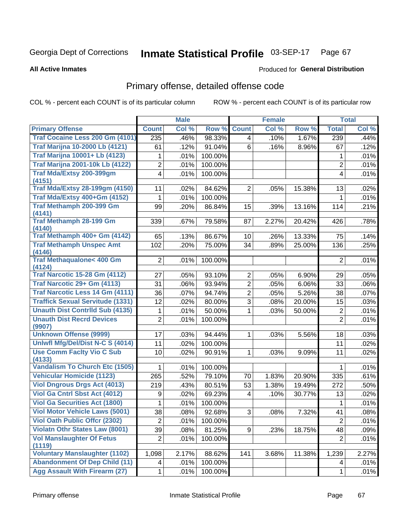### Inmate Statistical Profile 03-SEP-17 Page 67

**All Active Inmates** 

### Produced for General Distribution

# Primary offense, detailed offense code

COL % - percent each COUNT is of its particular column

|                                                |                 | <b>Male</b> |         |                     | <b>Female</b> |        |                | <b>Total</b> |
|------------------------------------------------|-----------------|-------------|---------|---------------------|---------------|--------|----------------|--------------|
| <b>Primary Offense</b>                         | <b>Count</b>    | Col %       | Row %   | <b>Count</b>        | Col %         | Row %  | <b>Total</b>   | Col%         |
| Traf Cocaine Less 200 Gm (4101)                | 235             | .46%        | 98.33%  | 4                   | .10%          | 1.67%  | 239            | .44%         |
| <b>Traf Marijna 10-2000 Lb (4121)</b>          | 61              | .12%        | 91.04%  | 6                   | .16%          | 8.96%  | 67             | .12%         |
| <b>Traf Marijna 10001+ Lb (4123)</b>           | 1               | .01%        | 100.00% |                     |               |        | 1              | .01%         |
| <b>Traf Marijna 2001-10k Lb (4122)</b>         | $\overline{2}$  | .01%        | 100.00% |                     |               |        | $\overline{2}$ | .01%         |
| Traf Mda/Extsy 200-399gm                       | $\overline{4}$  | .01%        | 100.00% |                     |               |        | 4              | .01%         |
| (4151)                                         |                 |             |         |                     |               |        |                |              |
| <b>Traf Mda/Extsy 28-199gm (4150)</b>          | 11              | .02%        | 84.62%  | $\overline{2}$      | .05%          | 15.38% | 13             | .02%         |
| Traf Mda/Extsy 400+Gm (4152)                   | 1               | .01%        | 100.00% |                     |               |        | 1              | .01%         |
| Traf Methamph 200-399 Gm<br>(4141)             | 99              | .20%        | 86.84%  | 15                  | .39%          | 13.16% | 114            | .21%         |
| <b>Traf Methamph 28-199 Gm</b>                 | 339             | .67%        | 79.58%  | 87                  | 2.27%         | 20.42% | 426            | .78%         |
| (4140)                                         |                 |             |         |                     |               |        |                |              |
| Traf Methamph 400+ Gm (4142)                   | 65              | .13%        | 86.67%  | 10                  | .26%          | 13.33% | 75             | .14%         |
| <b>Traf Methamph Unspec Amt</b>                | 102             | .20%        | 75.00%  | 34                  | .89%          | 25.00% | 136            | .25%         |
| (4146)                                         |                 |             |         |                     |               |        |                |              |
| <b>Traf Methaqualone&lt; 400 Gm</b><br>(4124)  | $\overline{2}$  | .01%        | 100.00% |                     |               |        | $\overline{2}$ | .01%         |
| <b>Traf Narcotic 15-28 Gm (4112)</b>           | 27              | .05%        | 93.10%  | $\overline{2}$      | .05%          | 6.90%  | 29             | .05%         |
| Traf Narcotic 29+ Gm (4113)                    | 31              | .06%        | 93.94%  | $\overline{2}$      | .05%          | 6.06%  | 33             | .06%         |
| <b>Traf Narcotic Less 14 Gm (4111)</b>         | 36              | .07%        | 94.74%  | $\overline{2}$      | .05%          | 5.26%  | 38             | .07%         |
| <b>Traffick Sexual Servitude (1331)</b>        | 12              | .02%        | 80.00%  | 3                   | .08%          | 20.00% | 15             | .03%         |
| <b>Unauth Dist Contrild Sub (4135)</b>         | 1               | .01%        | 50.00%  | 1                   | .03%          | 50.00% | $\overline{c}$ | .01%         |
| <b>Unauth Dist Recrd Devices</b>               | $\overline{2}$  | .01%        | 100.00% |                     |               |        | $\overline{2}$ | .01%         |
| (9907)                                         |                 |             |         |                     |               |        |                |              |
| <b>Unknown Offense (9999)</b>                  | 17              | .03%        | 94.44%  | 1.                  | .03%          | 5.56%  | 18             | .03%         |
| Uniwfl Mfg/Del/Dist N-C S (4014)               | 11              | .02%        | 100.00% |                     |               |        | 11             | .02%         |
| <b>Use Comm Facity Vio C Sub</b>               | 10              | .02%        | 90.91%  | 1                   | .03%          | 9.09%  | 11             | .02%         |
| (4133)                                         |                 |             |         |                     |               |        |                |              |
| <b>Vandalism To Church Etc (1505)</b>          | 1               | .01%        | 100.00% |                     |               |        | 1              | .01%         |
| <b>Vehicular Homicide (1123)</b>               | 265             | .52%        | 79.10%  | 70                  | 1.83%         | 20.90% | 335            | .61%         |
| <b>Viol Dngrous Drgs Act (4013)</b>            | 219             | .43%        | 80.51%  | 53                  | 1.38%         | 19.49% | 272            | .50%         |
| Viol Ga Cntrl Sbst Act (4012)                  | 9               | .02%        | 69.23%  | 4                   | .10%          | 30.77% | 13             | .02%         |
| <b>Viol Ga Securities Act (1800)</b>           | 1               | .01%        | 100.00% |                     |               |        | 1              | .01%         |
| <b>Viol Motor Vehicle Laws (5001)</b>          | $\overline{38}$ | .08%        | 92.68%  | $\overline{\omega}$ | .08%          | 7.32%  | 41             | .08%         |
| <b>Viol Oath Public Offcr (2302)</b>           | 2               | .01%        | 100.00% |                     |               |        | $\overline{2}$ | .01%         |
| <b>Violatn Othr States Law (8001)</b>          | 39              | .08%        | 81.25%  | 9 <sup>1</sup>      | .23%          | 18.75% | 48             | .09%         |
| <b>Vol Manslaughter Of Fetus</b>               | $\overline{2}$  | .01%        | 100.00% |                     |               |        | $\overline{2}$ | .01%         |
| (1119)<br><b>Voluntary Manslaughter (1102)</b> | 1,098           | 2.17%       | 88.62%  | 141                 | 3.68%         | 11.38% | 1,239          | 2.27%        |
| <b>Abandonment Of Dep Child (11)</b>           | 4               | .01%        | 100.00% |                     |               |        | 4              | .01%         |
| <b>Agg Assault With Firearm (27)</b>           | $\mathbf 1$     | .01%        | 100.00% |                     |               |        | 1              | .01%         |
|                                                |                 |             |         |                     |               |        |                |              |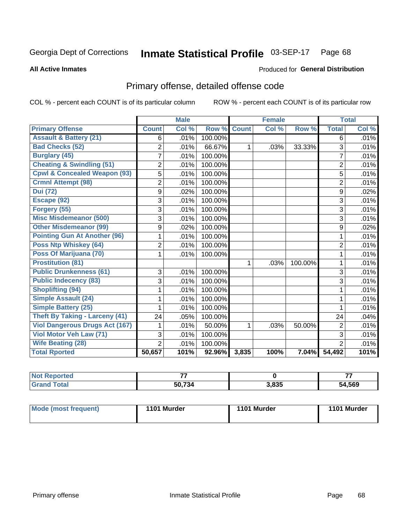### Inmate Statistical Profile 03-SEP-17 Page 68

**All Active Inmates** 

### Produced for General Distribution

# Primary offense, detailed offense code

COL % - percent each COUNT is of its particular column

|                                         |                | <b>Male</b> |         |              | <b>Female</b> |         |                     | <b>Total</b> |
|-----------------------------------------|----------------|-------------|---------|--------------|---------------|---------|---------------------|--------------|
| <b>Primary Offense</b>                  | <b>Count</b>   | Col %       | Row %   | <b>Count</b> | Col %         | Row %   | <b>Total</b>        | Col %        |
| <b>Assault &amp; Battery (21)</b>       | 6              | .01%        | 100.00% |              |               |         | 6                   | .01%         |
| <b>Bad Checks (52)</b>                  | $\overline{2}$ | .01%        | 66.67%  | 1            | .03%          | 33.33%  | 3                   | .01%         |
| <b>Burglary (45)</b>                    | 7              | .01%        | 100.00% |              |               |         | $\overline{7}$      | .01%         |
| <b>Cheating &amp; Swindling (51)</b>    | 2              | .01%        | 100.00% |              |               |         | $\overline{2}$      | .01%         |
| <b>Cpwl &amp; Concealed Weapon (93)</b> | 5              | .01%        | 100.00% |              |               |         | 5                   | .01%         |
| <b>Crmnl Attempt (98)</b>               | 2              | .01%        | 100.00% |              |               |         | $\overline{2}$      | .01%         |
| <b>Dui</b> (72)                         | 9              | .02%        | 100.00% |              |               |         | 9                   | .02%         |
| Escape (92)                             | 3              | .01%        | 100.00% |              |               |         | 3                   | .01%         |
| Forgery (55)                            | 3              | .01%        | 100.00% |              |               |         | 3                   | .01%         |
| <b>Misc Misdemeanor (500)</b>           | 3              | .01%        | 100.00% |              |               |         | 3                   | .01%         |
| <b>Other Misdemeanor (99)</b>           | 9              | .02%        | 100.00% |              |               |         | 9                   | .02%         |
| <b>Pointing Gun At Another (96)</b>     | 1              | .01%        | 100.00% |              |               |         | 1                   | .01%         |
| <b>Poss Ntp Whiskey (64)</b>            | $\overline{2}$ | .01%        | 100.00% |              |               |         | $\overline{2}$      | .01%         |
| Poss Of Marijuana (70)                  | 1              | .01%        | 100.00% |              |               |         | 1                   | .01%         |
| <b>Prostitution (81)</b>                |                |             |         | $\mathbf{1}$ | .03%          | 100.00% | 1                   | .01%         |
| <b>Public Drunkenness (61)</b>          | 3              | .01%        | 100.00% |              |               |         | 3                   | .01%         |
| <b>Public Indecency (83)</b>            | 3              | .01%        | 100.00% |              |               |         | 3                   | .01%         |
| <b>Shoplifting (94)</b>                 |                | .01%        | 100.00% |              |               |         | 1                   | .01%         |
| <b>Simple Assault (24)</b>              | 1              | .01%        | 100.00% |              |               |         | 1                   | .01%         |
| <b>Simple Battery (25)</b>              |                | .01%        | 100.00% |              |               |         |                     | .01%         |
| <b>Theft By Taking - Larceny (41)</b>   | 24             | .05%        | 100.00% |              |               |         | 24                  | .04%         |
| <b>Viol Dangerous Drugs Act (167)</b>   |                | .01%        | 50.00%  | 1            | .03%          | 50.00%  | $\overline{2}$      | .01%         |
| Viol Motor Veh Law (71)                 | 3              | .01%        | 100.00% |              |               |         | 3                   | .01%         |
| <b>Wife Beating (28)</b>                | $\overline{2}$ | .01%        | 100.00% |              |               |         | $\overline{2}$      | .01%         |
| <b>Total Rported</b>                    | 50,657         | 101%        | 92.96%  | 3,835        | 100%          | 7.04%   | $\overline{54,}492$ | 101%         |

| <b>NOT</b><br>ported | --             |       | --     |
|----------------------|----------------|-------|--------|
|                      | 50,734<br>.130 | 3,835 | 54,569 |

| <b>Mode (most frequent)</b> | 1101 Murder | 1101 Murder | 1101 Murder |
|-----------------------------|-------------|-------------|-------------|
|                             |             |             |             |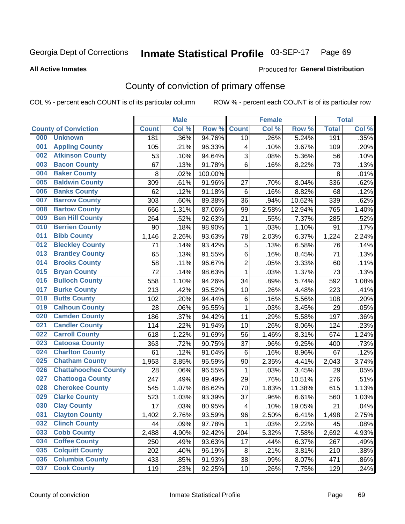### Inmate Statistical Profile 03-SEP-17 Page 69

### **All Active Inmates**

# **Produced for General Distribution**

# County of conviction of primary offense

COL % - percent each COUNT is of its particular column

|     |                             |              | <b>Male</b> |         |                | <b>Female</b> |        |              | <b>Total</b> |
|-----|-----------------------------|--------------|-------------|---------|----------------|---------------|--------|--------------|--------------|
|     | <b>County of Conviction</b> | <b>Count</b> | Col %       | Row %   | <b>Count</b>   | Col %         | Row %  | <b>Total</b> | Col %        |
| 000 | <b>Unknown</b>              | 181          | .36%        | 94.76%  | 10             | .26%          | 5.24%  | 191          | .35%         |
| 001 | <b>Appling County</b>       | 105          | .21%        | 96.33%  | 4              | .10%          | 3.67%  | 109          | .20%         |
| 002 | <b>Atkinson County</b>      | 53           | .10%        | 94.64%  | 3              | .08%          | 5.36%  | 56           | .10%         |
| 003 | <b>Bacon County</b>         | 67           | .13%        | 91.78%  | 6              | .16%          | 8.22%  | 73           | .13%         |
| 004 | <b>Baker County</b>         | 8            | .02%        | 100.00% |                |               |        | 8            | .01%         |
| 005 | <b>Baldwin County</b>       | 309          | .61%        | 91.96%  | 27             | .70%          | 8.04%  | 336          | .62%         |
| 006 | <b>Banks County</b>         | 62           | .12%        | 91.18%  | 6              | .16%          | 8.82%  | 68           | .12%         |
| 007 | <b>Barrow County</b>        | 303          | .60%        | 89.38%  | 36             | .94%          | 10.62% | 339          | .62%         |
| 008 | <b>Bartow County</b>        | 666          | 1.31%       | 87.06%  | 99             | 2.58%         | 12.94% | 765          | 1.40%        |
| 009 | <b>Ben Hill County</b>      | 264          | .52%        | 92.63%  | 21             | .55%          | 7.37%  | 285          | .52%         |
| 010 | <b>Berrien County</b>       | 90           | .18%        | 98.90%  | 1              | .03%          | 1.10%  | 91           | .17%         |
| 011 | <b>Bibb County</b>          | 1,146        | 2.26%       | 93.63%  | 78             | 2.03%         | 6.37%  | 1,224        | 2.24%        |
| 012 | <b>Bleckley County</b>      | 71           | .14%        | 93.42%  | 5              | .13%          | 6.58%  | 76           | .14%         |
| 013 | <b>Brantley County</b>      | 65           | .13%        | 91.55%  | 6              | .16%          | 8.45%  | 71           | .13%         |
| 014 | <b>Brooks County</b>        | 58           | .11%        | 96.67%  | $\overline{c}$ | .05%          | 3.33%  | 60           | .11%         |
| 015 | <b>Bryan County</b>         | 72           | .14%        | 98.63%  | $\mathbf{1}$   | .03%          | 1.37%  | 73           | .13%         |
| 016 | <b>Bulloch County</b>       | 558          | 1.10%       | 94.26%  | 34             | .89%          | 5.74%  | 592          | 1.08%        |
| 017 | <b>Burke County</b>         | 213          | .42%        | 95.52%  | 10             | .26%          | 4.48%  | 223          | .41%         |
| 018 | <b>Butts County</b>         | 102          | .20%        | 94.44%  | $\,6$          | .16%          | 5.56%  | 108          | .20%         |
| 019 | <b>Calhoun County</b>       | 28           | .06%        | 96.55%  | 1              | .03%          | 3.45%  | 29           | .05%         |
| 020 | <b>Camden County</b>        | 186          | .37%        | 94.42%  | 11             | .29%          | 5.58%  | 197          | .36%         |
| 021 | <b>Candler County</b>       | 114          | .22%        | 91.94%  | 10             | .26%          | 8.06%  | 124          | .23%         |
| 022 | <b>Carroll County</b>       | 618          | 1.22%       | 91.69%  | 56             | 1.46%         | 8.31%  | 674          | 1.24%        |
| 023 | <b>Catoosa County</b>       | 363          | .72%        | 90.75%  | 37             | .96%          | 9.25%  | 400          | .73%         |
| 024 | <b>Charlton County</b>      | 61           | .12%        | 91.04%  | 6              | .16%          | 8.96%  | 67           | .12%         |
| 025 | <b>Chatham County</b>       | 1,953        | 3.85%       | 95.59%  | 90             | 2.35%         | 4.41%  | 2,043        | 3.74%        |
| 026 | <b>Chattahoochee County</b> | 28           | .06%        | 96.55%  | 1              | .03%          | 3.45%  | 29           | .05%         |
| 027 | <b>Chattooga County</b>     | 247          | .49%        | 89.49%  | 29             | .76%          | 10.51% | 276          | .51%         |
| 028 | <b>Cherokee County</b>      | 545          | 1.07%       | 88.62%  | 70             | 1.83%         | 11.38% | 615          | 1.13%        |
| 029 | <b>Clarke County</b>        | 523          | 1.03%       | 93.39%  | 37             | .96%          | 6.61%  | 560          | 1.03%        |
| 030 | <b>Clay County</b>          | 17           | .03%        | 80.95%  | 4              | .10%          | 19.05% | 21           | .04%         |
| 031 | <b>Clayton County</b>       | 1,402        | 2.76%       | 93.59%  | 96             | 2.50%         | 6.41%  | 1,498        | 2.75%        |
| 032 | <b>Clinch County</b>        | 44           | .09%        | 97.78%  | $\mathbf 1$    | .03%          | 2.22%  | 45           | .08%         |
| 033 | <b>Cobb County</b>          | 2,488        | 4.90%       | 92.42%  | 204            | 5.32%         | 7.58%  | 2,692        | 4.93%        |
| 034 | <b>Coffee County</b>        | 250          | .49%        | 93.63%  | 17             | .44%          | 6.37%  | 267          | .49%         |
| 035 | <b>Colquitt County</b>      | 202          | .40%        | 96.19%  | 8              | .21%          | 3.81%  | 210          | .38%         |
| 036 | <b>Columbia County</b>      | 433          | .85%        | 91.93%  | 38             | .99%          | 8.07%  | 471          | .86%         |
| 037 | <b>Cook County</b>          | 119          | .23%        | 92.25%  | 10             | .26%          | 7.75%  | 129          | .24%         |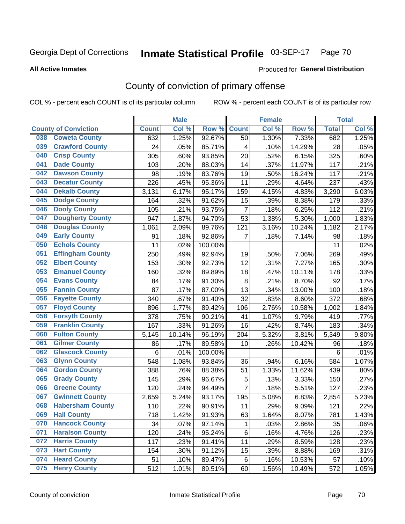### Inmate Statistical Profile 03-SEP-17 Page 70

Produced for General Distribution

### **All Active Inmates**

# County of conviction of primary offense

COL % - percent each COUNT is of its particular column

|     |                             |              | <b>Male</b> |         |                | <b>Female</b> |        |              | <b>Total</b> |
|-----|-----------------------------|--------------|-------------|---------|----------------|---------------|--------|--------------|--------------|
|     | <b>County of Conviction</b> | <b>Count</b> | Col %       | Row %   | <b>Count</b>   | Col%          | Row %  | <b>Total</b> | Col %        |
| 038 | <b>Coweta County</b>        | 632          | 1.25%       | 92.67%  | 50             | 1.30%         | 7.33%  | 682          | 1.25%        |
| 039 | <b>Crawford County</b>      | 24           | .05%        | 85.71%  | 4              | .10%          | 14.29% | 28           | .05%         |
| 040 | <b>Crisp County</b>         | 305          | .60%        | 93.85%  | 20             | .52%          | 6.15%  | 325          | .60%         |
| 041 | <b>Dade County</b>          | 103          | .20%        | 88.03%  | 14             | .37%          | 11.97% | 117          | .21%         |
| 042 | <b>Dawson County</b>        | 98           | .19%        | 83.76%  | 19             | .50%          | 16.24% | 117          | .21%         |
| 043 | <b>Decatur County</b>       | 226          | .45%        | 95.36%  | 11             | .29%          | 4.64%  | 237          | .43%         |
| 044 | <b>Dekalb County</b>        | 3,131        | 6.17%       | 95.17%  | 159            | 4.15%         | 4.83%  | 3,290        | 6.03%        |
| 045 | <b>Dodge County</b>         | 164          | .32%        | 91.62%  | 15             | .39%          | 8.38%  | 179          | .33%         |
| 046 | <b>Dooly County</b>         | 105          | .21%        | 93.75%  | $\overline{7}$ | .18%          | 6.25%  | 112          | .21%         |
| 047 | <b>Dougherty County</b>     | 947          | 1.87%       | 94.70%  | 53             | 1.38%         | 5.30%  | 1,000        | 1.83%        |
| 048 | <b>Douglas County</b>       | 1,061        | 2.09%       | 89.76%  | 121            | 3.16%         | 10.24% | 1,182        | 2.17%        |
| 049 | <b>Early County</b>         | 91           | .18%        | 92.86%  | $\overline{7}$ | .18%          | 7.14%  | 98           | .18%         |
| 050 | <b>Echols County</b>        | 11           | .02%        | 100.00% |                |               |        | 11           | .02%         |
| 051 | <b>Effingham County</b>     | 250          | .49%        | 92.94%  | 19             | .50%          | 7.06%  | 269          | .49%         |
| 052 | <b>Elbert County</b>        | 153          | .30%        | 92.73%  | 12             | .31%          | 7.27%  | 165          | .30%         |
| 053 | <b>Emanuel County</b>       | 160          | .32%        | 89.89%  | 18             | .47%          | 10.11% | 178          | .33%         |
| 054 | <b>Evans County</b>         | 84           | .17%        | 91.30%  | $\,8\,$        | .21%          | 8.70%  | 92           | .17%         |
| 055 | <b>Fannin County</b>        | 87           | .17%        | 87.00%  | 13             | .34%          | 13.00% | 100          | .18%         |
| 056 | <b>Fayette County</b>       | 340          | .67%        | 91.40%  | 32             | .83%          | 8.60%  | 372          | .68%         |
| 057 | <b>Floyd County</b>         | 896          | 1.77%       | 89.42%  | 106            | 2.76%         | 10.58% | 1,002        | 1.84%        |
| 058 | <b>Forsyth County</b>       | 378          | .75%        | 90.21%  | 41             | 1.07%         | 9.79%  | 419          | .77%         |
| 059 | <b>Franklin County</b>      | 167          | .33%        | 91.26%  | 16             | .42%          | 8.74%  | 183          | .34%         |
| 060 | <b>Fulton County</b>        | 5,145        | 10.14%      | 96.19%  | 204            | 5.32%         | 3.81%  | 5,349        | 9.80%        |
| 061 | <b>Gilmer County</b>        | 86           | .17%        | 89.58%  | 10             | .26%          | 10.42% | 96           | .18%         |
| 062 | <b>Glascock County</b>      | 6            | .01%        | 100.00% |                |               |        | 6            | .01%         |
| 063 | <b>Glynn County</b>         | 548          | 1.08%       | 93.84%  | 36             | .94%          | 6.16%  | 584          | 1.07%        |
| 064 | <b>Gordon County</b>        | 388          | .76%        | 88.38%  | 51             | 1.33%         | 11.62% | 439          | .80%         |
| 065 | <b>Grady County</b>         | 145          | .29%        | 96.67%  | 5              | .13%          | 3.33%  | 150          | .27%         |
| 066 | <b>Greene County</b>        | 120          | .24%        | 94.49%  | $\overline{7}$ | .18%          | 5.51%  | 127          | .23%         |
| 067 | <b>Gwinnett County</b>      | 2,659        | 5.24%       | 93.17%  | 195            | 5.08%         | 6.83%  | 2,854        | 5.23%        |
| 068 | <b>Habersham County</b>     | 110          | .22%        | 90.91%  | 11             | .29%          | 9.09%  | 121          | .22%         |
| 069 | <b>Hall County</b>          | 718          | 1.42%       | 91.93%  | 63             | 1.64%         | 8.07%  | 781          | 1.43%        |
| 070 | <b>Hancock County</b>       | 34           | .07%        | 97.14%  | 1              | .03%          | 2.86%  | 35           | .06%         |
| 071 | <b>Haralson County</b>      | 120          | .24%        | 95.24%  | 6              | .16%          | 4.76%  | 126          | .23%         |
| 072 | <b>Harris County</b>        | 117          | .23%        | 91.41%  | 11             | .29%          | 8.59%  | 128          | .23%         |
| 073 | <b>Hart County</b>          | 154          | .30%        | 91.12%  | 15             | .39%          | 8.88%  | 169          | .31%         |
| 074 | <b>Heard County</b>         | 51           | .10%        | 89.47%  | 6              | .16%          | 10.53% | 57           | .10%         |
| 075 | <b>Henry County</b>         | 512          | 1.01%       | 89.51%  | 60             | 1.56%         | 10.49% | 572          | 1.05%        |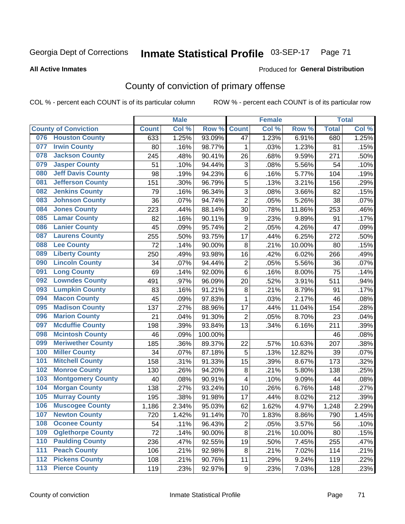### Inmate Statistical Profile 03-SEP-17 Page 71

**All Active Inmates** 

### Produced for General Distribution

# County of conviction of primary offense

COL % - percent each COUNT is of its particular column

|                                 |              | <b>Male</b> |         |                           | <b>Female</b> |        |              | <b>Total</b> |
|---------------------------------|--------------|-------------|---------|---------------------------|---------------|--------|--------------|--------------|
| <b>County of Conviction</b>     | <b>Count</b> | Col %       | Row %   | <b>Count</b>              | Col %         | Row %  | <b>Total</b> | Col%         |
| <b>Houston County</b><br>076    | 633          | 1.25%       | 93.09%  | 47                        | 1.23%         | 6.91%  | 680          | 1.25%        |
| <b>Irwin County</b><br>077      | 80           | .16%        | 98.77%  | 1                         | .03%          | 1.23%  | 81           | .15%         |
| <b>Jackson County</b><br>078    | 245          | .48%        | 90.41%  | 26                        | .68%          | 9.59%  | 271          | .50%         |
| <b>Jasper County</b><br>079     | 51           | .10%        | 94.44%  | $\ensuremath{\mathsf{3}}$ | .08%          | 5.56%  | 54           | .10%         |
| <b>Jeff Davis County</b><br>080 | 98           | .19%        | 94.23%  | 6                         | .16%          | 5.77%  | 104          | .19%         |
| 081<br><b>Jefferson County</b>  | 151          | .30%        | 96.79%  | 5                         | .13%          | 3.21%  | 156          | .29%         |
| <b>Jenkins County</b><br>082    | 79           | .16%        | 96.34%  | 3                         | .08%          | 3.66%  | 82           | .15%         |
| <b>Johnson County</b><br>083    | 36           | .07%        | 94.74%  | $\overline{2}$            | .05%          | 5.26%  | 38           | .07%         |
| <b>Jones County</b><br>084      | 223          | .44%        | 88.14%  | 30                        | .78%          | 11.86% | 253          | .46%         |
| <b>Lamar County</b><br>085      | 82           | .16%        | 90.11%  | 9                         | .23%          | 9.89%  | 91           | .17%         |
| <b>Lanier County</b><br>086     | 45           | .09%        | 95.74%  | $\overline{2}$            | .05%          | 4.26%  | 47           | .09%         |
| <b>Laurens County</b><br>087    | 255          | .50%        | 93.75%  | 17                        | .44%          | 6.25%  | 272          | .50%         |
| <b>Lee County</b><br>088        | 72           | .14%        | 90.00%  | 8                         | .21%          | 10.00% | 80           | .15%         |
| <b>Liberty County</b><br>089    | 250          | .49%        | 93.98%  | 16                        | .42%          | 6.02%  | 266          | .49%         |
| <b>Lincoln County</b><br>090    | 34           | .07%        | 94.44%  | $\mathbf 2$               | .05%          | 5.56%  | 36           | .07%         |
| <b>Long County</b><br>091       | 69           | .14%        | 92.00%  | 6                         | .16%          | 8.00%  | 75           | .14%         |
| <b>Lowndes County</b><br>092    | 491          | .97%        | 96.09%  | 20                        | .52%          | 3.91%  | 511          | .94%         |
| <b>Lumpkin County</b><br>093    | 83           | .16%        | 91.21%  | 8                         | .21%          | 8.79%  | 91           | .17%         |
| <b>Macon County</b><br>094      | 45           | .09%        | 97.83%  | 1                         | .03%          | 2.17%  | 46           | .08%         |
| <b>Madison County</b><br>095    | 137          | .27%        | 88.96%  | 17                        | .44%          | 11.04% | 154          | .28%         |
| <b>Marion County</b><br>096     | 21           | .04%        | 91.30%  | $\overline{2}$            | .05%          | 8.70%  | 23           | .04%         |
| <b>Mcduffie County</b><br>097   | 198          | .39%        | 93.84%  | 13                        | .34%          | 6.16%  | 211          | .39%         |
| <b>Mcintosh County</b><br>098   | 46           | .09%        | 100.00% |                           |               |        | 46           | .08%         |
| <b>Meriwether County</b><br>099 | 185          | .36%        | 89.37%  | 22                        | .57%          | 10.63% | 207          | .38%         |
| <b>Miller County</b><br>100     | 34           | .07%        | 87.18%  | 5                         | .13%          | 12.82% | 39           | .07%         |
| <b>Mitchell County</b><br>101   | 158          | .31%        | 91.33%  | 15                        | .39%          | 8.67%  | 173          | .32%         |
| <b>Monroe County</b><br>102     | 130          | .26%        | 94.20%  | 8                         | .21%          | 5.80%  | 138          | .25%         |
| <b>Montgomery County</b><br>103 | 40           | .08%        | 90.91%  | 4                         | .10%          | 9.09%  | 44           | .08%         |
| <b>Morgan County</b><br>104     | 138          | .27%        | 93.24%  | 10                        | .26%          | 6.76%  | 148          | .27%         |
| <b>Murray County</b><br>105     | 195          | .38%        | 91.98%  | 17                        | .44%          | 8.02%  | 212          | .39%         |
| <b>Muscogee County</b><br>106   | 1,186        | 2.34%       | 95.03%  | 62                        | 1.62%         | 4.97%  | 1,248        | 2.29%        |
| 107<br><b>Newton County</b>     | 720          | 1.42%       | 91.14%  | 70                        | 1.83%         | 8.86%  | 790          | 1.45%        |
| <b>Oconee County</b><br>108     | 54           | .11%        | 96.43%  | $\overline{2}$            | .05%          | 3.57%  | 56           | .10%         |
| <b>Oglethorpe County</b><br>109 | 72           | .14%        | 90.00%  | 8                         | .21%          | 10.00% | 80           | .15%         |
| <b>Paulding County</b><br>110   | 236          | .47%        | 92.55%  | 19                        | .50%          | 7.45%  | 255          | .47%         |
| <b>Peach County</b><br>111      | 106          | .21%        | 92.98%  | 8                         | .21%          | 7.02%  | 114          | .21%         |
| <b>Pickens County</b><br>$112$  | 108          | .21%        | 90.76%  | 11                        | .29%          | 9.24%  | 119          | .22%         |
| <b>Pierce County</b><br>113     | 119          | .23%        | 92.97%  | 9                         | .23%          | 7.03%  | 128          | .23%         |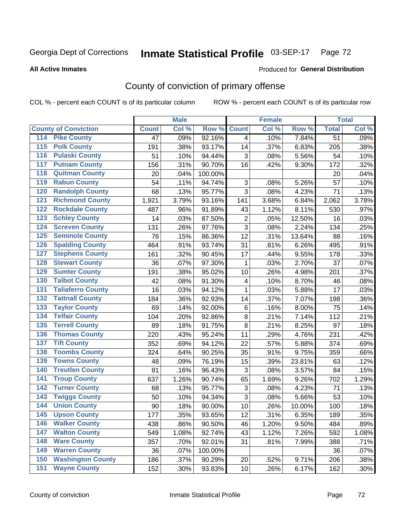### Inmate Statistical Profile 03-SEP-17 Page 72

### **All Active Inmates**

## **Produced for General Distribution**

# County of conviction of primary offense

COL % - percent each COUNT is of its particular column

|                                          |              | <b>Male</b> |         |                | <b>Female</b> |        |                 | <b>Total</b> |
|------------------------------------------|--------------|-------------|---------|----------------|---------------|--------|-----------------|--------------|
| <b>County of Conviction</b>              | <b>Count</b> | Col %       | Row %   | <b>Count</b>   | Col %         | Row %  | <b>Total</b>    | Col %        |
| <b>Pike County</b><br>114                | 47           | .09%        | 92.16%  | $\overline{4}$ | .10%          | 7.84%  | $\overline{51}$ | .09%         |
| <b>Polk County</b><br>$\overline{115}$   | 191          | .38%        | 93.17%  | 14             | .37%          | 6.83%  | 205             | .38%         |
| <b>Pulaski County</b><br>116             | 51           | .10%        | 94.44%  | 3              | .08%          | 5.56%  | 54              | .10%         |
| <b>Putnam County</b><br>117              | 156          | .31%        | 90.70%  | 16             | .42%          | 9.30%  | 172             | .32%         |
| <b>Quitman County</b><br>118             | 20           | .04%        | 100.00% |                |               |        | 20              | .04%         |
| <b>Rabun County</b><br>119               | 54           | .11%        | 94.74%  | 3              | .08%          | 5.26%  | 57              | .10%         |
| <b>Randolph County</b><br>120            | 68           | .13%        | 95.77%  | $\overline{3}$ | .08%          | 4.23%  | 71              | .13%         |
| <b>Richmond County</b><br>121            | 1,921        | 3.79%       | 93.16%  | 141            | 3.68%         | 6.84%  | 2,062           | 3.78%        |
| <b>Rockdale County</b><br>122            | 487          | .96%        | 91.89%  | 43             | 1.12%         | 8.11%  | 530             | .97%         |
| <b>Schley County</b><br>123              | 14           | .03%        | 87.50%  | $\overline{2}$ | .05%          | 12.50% | 16              | .03%         |
| <b>Screven County</b><br>124             | 131          | .26%        | 97.76%  | $\overline{3}$ | .08%          | 2.24%  | 134             | .25%         |
| <b>Seminole County</b><br>125            | 76           | .15%        | 86.36%  | 12             | .31%          | 13.64% | 88              | .16%         |
| <b>Spalding County</b><br>126            | 464          | .91%        | 93.74%  | 31             | .81%          | 6.26%  | 495             | .91%         |
| <b>Stephens County</b><br>127            | 161          | .32%        | 90.45%  | 17             | .44%          | 9.55%  | 178             | .33%         |
| <b>Stewart County</b><br>128             | 36           | .07%        | 97.30%  | 1              | .03%          | 2.70%  | 37              | .07%         |
| <b>Sumter County</b><br>129              | 191          | .38%        | 95.02%  | 10             | .26%          | 4.98%  | 201             | .37%         |
| <b>Talbot County</b><br>130              | 42           | .08%        | 91.30%  | 4              | .10%          | 8.70%  | 46              | .08%         |
| <b>Taliaferro County</b><br>131          | 16           | .03%        | 94.12%  | 1              | .03%          | 5.88%  | 17              | .03%         |
| <b>Tattnall County</b><br>132            | 184          | .36%        | 92.93%  | 14             | .37%          | 7.07%  | 198             | .36%         |
| <b>Taylor County</b><br>133              | 69           | .14%        | 92.00%  | 6              | .16%          | 8.00%  | 75              | .14%         |
| <b>Telfair County</b><br>134             | 104          | .20%        | 92.86%  | 8              | .21%          | 7.14%  | 112             | .21%         |
| <b>Terrell County</b><br>135             | 89           | .18%        | 91.75%  | 8              | .21%          | 8.25%  | 97              | .18%         |
| <b>Thomas County</b><br>136              | 220          | .43%        | 95.24%  | 11             | .29%          | 4.76%  | 231             | .42%         |
| <b>Tift County</b><br>137                | 352          | .69%        | 94.12%  | 22             | .57%          | 5.88%  | 374             | .69%         |
| <b>Toombs County</b><br>138              | 324          | .64%        | 90.25%  | 35             | .91%          | 9.75%  | 359             | .66%         |
| <b>Towns County</b><br>139               | 48           | .09%        | 76.19%  | 15             | .39%          | 23.81% | 63              | .12%         |
| <b>Treutlen County</b><br>140            | 81           | .16%        | 96.43%  | 3              | .08%          | 3.57%  | 84              | .15%         |
| <b>Troup County</b><br>141               | 637          | 1.26%       | 90.74%  | 65             | 1.69%         | 9.26%  | 702             | 1.29%        |
| <b>Turner County</b><br>142              | 68           | .13%        | 95.77%  | 3              | .08%          | 4.23%  | 71              | .13%         |
| <b>Twiggs County</b><br>$\overline{143}$ | 50           | .10%        | 94.34%  | 3              | .08%          | 5.66%  | 53              | .10%         |
| <b>Union County</b><br>144               | 90           | .18%        | 90.00%  | 10             | .26%          | 10.00% | 100             | .18%         |
| 145<br><b>Upson County</b>               | 177          | .35%        | 93.65%  | 12             | .31%          | 6.35%  | 189             | .35%         |
| <b>Walker County</b><br>146              | 438          | .86%        | 90.50%  | 46             | 1.20%         | 9.50%  | 484             | .89%         |
| <b>Walton County</b><br>147              | 549          | 1.08%       | 92.74%  | 43             | 1.12%         | 7.26%  | 592             | 1.08%        |
| <b>Ware County</b><br>148                | 357          | .70%        | 92.01%  | 31             | .81%          | 7.99%  | 388             | .71%         |
| <b>Warren County</b><br>149              | 36           | .07%        | 100.00% |                |               |        | 36              | .07%         |
| <b>Washington County</b><br>150          | 186          | .37%        | 90.29%  | 20             | .52%          | 9.71%  | 206             | .38%         |
| <b>Wayne County</b><br>151               | 152          | .30%        | 93.83%  | 10             | .26%          | 6.17%  | 162             | $.30\%$      |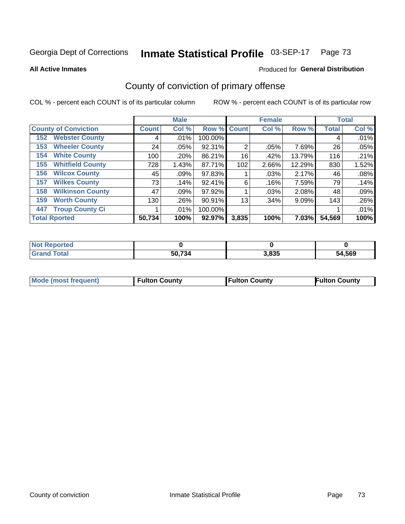### Inmate Statistical Profile 03-SEP-17 Page 73

**All Active Inmates** 

## **Produced for General Distribution**

# County of conviction of primary offense

COL % - percent each COUNT is of its particular column

|                                |              | <b>Male</b> |         |              | <b>Female</b> |          |              | <b>Total</b> |
|--------------------------------|--------------|-------------|---------|--------------|---------------|----------|--------------|--------------|
| <b>County of Conviction</b>    | <b>Count</b> | Col %       | Row %   | <b>Count</b> | Col %         | Row %    | <b>Total</b> | Col %        |
| <b>Webster County</b><br>152   | 4            | $.01\%$     | 100.00% |              |               |          | 4            | .01%         |
| <b>Wheeler County</b><br>153   | 24           | $.05\%$     | 92.31%  | 2            | .05%          | 7.69%    | 26           | .05%         |
| <b>White County</b><br>154     | 100          | .20%        | 86.21%  | 16           | .42%          | 13.79%   | 116          | .21%         |
| <b>Whitfield County</b><br>155 | 728          | 1.43%       | 87.71%  | 102          | 2.66%         | 12.29%   | 830          | 1.52%        |
| <b>Wilcox County</b><br>156    | 45           | .09%        | 97.83%  |              | .03%          | 2.17%    | 46           | .08%         |
| <b>Wilkes County</b><br>157    | 73           | .14%        | 92.41%  | 6            | .16%          | 7.59%    | 79           | .14%         |
| <b>Wilkinson County</b><br>158 | 47           | $.09\%$     | 97.92%  |              | .03%          | 2.08%    | 48           | .09%         |
| <b>Worth County</b><br>159     | 130          | .26%        | 90.91%  | 13           | .34%          | $9.09\%$ | 143          | .26%         |
| <b>Troup County Ci</b><br>447  |              | $.01\%$     | 100.00% |              |               |          |              | .01%         |
| <b>Total Rported</b>           | 50,734       | 100%        | 92.97%  | 3,835        | 100%          | 7.03%    | 54,569       | 100%         |

| <b>Not Reported</b> |        |       |        |
|---------------------|--------|-------|--------|
| <b>Grand Total</b>  | 50,734 | 3,835 | 54,569 |

|  | <b>Mode (most frequent)</b> | <b>Fulton County</b> | <b>Fulton County</b> | <b>Fulton County</b> |
|--|-----------------------------|----------------------|----------------------|----------------------|
|--|-----------------------------|----------------------|----------------------|----------------------|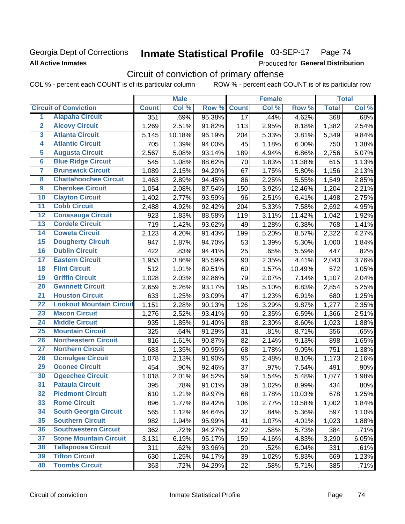# Georgia Dept of Corrections **All Active Inmates**

### Inmate Statistical Profile 03-SEP-17 Page 74

Produced for General Distribution

# Circuit of conviction of primary offense

COL % - percent each COUNT is of its particular column ROW % - percent each COUNT is of its particular row

|                         |                                 |              | <b>Male</b> |        |                 | <b>Female</b> |        |              | <b>Total</b> |
|-------------------------|---------------------------------|--------------|-------------|--------|-----------------|---------------|--------|--------------|--------------|
|                         | <b>Circuit of Conviction</b>    | <b>Count</b> | Col %       | Row %  | <b>Count</b>    | Col %         | Row %  | <b>Total</b> | Col %        |
| 1                       | <b>Alapaha Circuit</b>          | 351          | .69%        | 95.38% | $\overline{17}$ | .44%          | 4.62%  | 368          | .68%         |
| $\overline{2}$          | <b>Alcovy Circuit</b>           | 1,269        | 2.51%       | 91.82% | 113             | 2.95%         | 8.18%  | 1,382        | 2.54%        |
| $\overline{\mathbf{3}}$ | <b>Atlanta Circuit</b>          | 5,145        | 10.18%      | 96.19% | 204             | 5.33%         | 3.81%  | 5,349        | 9.84%        |
| 4                       | <b>Atlantic Circuit</b>         | 705          | 1.39%       | 94.00% | 45              | 1.18%         | 6.00%  | 750          | 1.38%        |
| $\overline{5}$          | <b>Augusta Circuit</b>          | 2,567        | 5.08%       | 93.14% | 189             | 4.94%         | 6.86%  | 2,756        | 5.07%        |
| $\overline{6}$          | <b>Blue Ridge Circuit</b>       | 545          | 1.08%       | 88.62% | 70              | 1.83%         | 11.38% | 615          | 1.13%        |
| $\overline{\mathbf{7}}$ | <b>Brunswick Circuit</b>        | 1,089        | 2.15%       | 94.20% | 67              | 1.75%         | 5.80%  | 1,156        | 2.13%        |
| $\overline{\mathbf{8}}$ | <b>Chattahoochee Circuit</b>    | 1,463        | 2.89%       | 94.45% | 86              | 2.25%         | 5.55%  | 1,549        | 2.85%        |
| $\overline{9}$          | <b>Cherokee Circuit</b>         | 1,054        | 2.08%       | 87.54% | 150             | 3.92%         | 12.46% | 1,204        | 2.21%        |
| 10                      | <b>Clayton Circuit</b>          | 1,402        | 2.77%       | 93.59% | 96              | 2.51%         | 6.41%  | 1,498        | 2.75%        |
| $\overline{11}$         | <b>Cobb Circuit</b>             | 2,488        | 4.92%       | 92.42% | 204             | 5.33%         | 7.58%  | 2,692        | 4.95%        |
| $\overline{12}$         | <b>Conasauga Circuit</b>        | 923          | 1.83%       | 88.58% | 119             | 3.11%         | 11.42% | 1,042        | 1.92%        |
| 13                      | <b>Cordele Circuit</b>          | 719          | 1.42%       | 93.62% | 49              | 1.28%         | 6.38%  | 768          | 1.41%        |
| 14                      | <b>Coweta Circuit</b>           | 2,123        | 4.20%       | 91.43% | 199             | 5.20%         | 8.57%  | 2,322        | 4.27%        |
| 15                      | <b>Dougherty Circuit</b>        | 947          | 1.87%       | 94.70% | 53              | 1.39%         | 5.30%  | 1,000        | 1.84%        |
| 16                      | <b>Dublin Circuit</b>           | 422          | .83%        | 94.41% | 25              | .65%          | 5.59%  | 447          | .82%         |
| 17                      | <b>Eastern Circuit</b>          | 1,953        | 3.86%       | 95.59% | 90              | 2.35%         | 4.41%  | 2,043        | 3.76%        |
| 18                      | <b>Flint Circuit</b>            | 512          | 1.01%       | 89.51% | 60              | 1.57%         | 10.49% | 572          | 1.05%        |
| 19                      | <b>Griffin Circuit</b>          | 1,028        | 2.03%       | 92.86% | 79              | 2.07%         | 7.14%  | 1,107        | 2.04%        |
| 20                      | <b>Gwinnett Circuit</b>         | 2,659        | 5.26%       | 93.17% | 195             | 5.10%         | 6.83%  | 2,854        | 5.25%        |
| $\overline{21}$         | <b>Houston Circuit</b>          | 633          | 1.25%       | 93.09% | 47              | 1.23%         | 6.91%  | 680          | 1.25%        |
| $\overline{22}$         | <b>Lookout Mountain Circuit</b> | 1,151        | 2.28%       | 90.13% | 126             | 3.29%         | 9.87%  | 1,277        | 2.35%        |
| 23                      | <b>Macon Circuit</b>            | 1,276        | 2.52%       | 93.41% | 90              | 2.35%         | 6.59%  | 1,366        | 2.51%        |
| $\overline{24}$         | <b>Middle Circuit</b>           | 935          | 1.85%       | 91.40% | 88              | 2.30%         | 8.60%  | 1,023        | 1.88%        |
| 25                      | <b>Mountain Circuit</b>         | 325          | .64%        | 91.29% | 31              | .81%          | 8.71%  | 356          | .65%         |
| 26                      | <b>Northeastern Circuit</b>     | 816          | 1.61%       | 90.87% | 82              | 2.14%         | 9.13%  | 898          | 1.65%        |
| $\overline{27}$         | <b>Northern Circuit</b>         | 683          | 1.35%       | 90.95% | 68              | 1.78%         | 9.05%  | 751          | 1.38%        |
| 28                      | <b>Ocmulgee Circuit</b>         | 1,078        | 2.13%       | 91.90% | 95              | 2.48%         | 8.10%  | 1,173        | 2.16%        |
| 29                      | <b>Oconee Circuit</b>           | 454          | .90%        | 92.46% | 37              | .97%          | 7.54%  | 491          | .90%         |
| 30                      | <b>Ogeechee Circuit</b>         | 1,018        | 2.01%       | 94.52% | 59              | 1.54%         | 5.48%  | 1,077        | 1.98%        |
| $\overline{31}$         | <b>Pataula Circuit</b>          | 395          | .78%        | 91.01% | 39              | 1.02%         | 8.99%  | 434          | .80%         |
| 32                      | <b>Piedmont Circuit</b>         | 610          | 1.21%       | 89.97% | 68              | 1.78%         | 10.03% | 678          | 1.25%        |
| 33                      | <b>Rome Circuit</b>             | 896          | 1.77%       | 89.42% | 106             | 2.77%         | 10.58% | 1,002        | 1.84%        |
| 34                      | <b>South Georgia Circuit</b>    | 565          | 1.12%       | 94.64% | 32              | .84%          | 5.36%  | 597          | 1.10%        |
| 35                      | <b>Southern Circuit</b>         | 982          | 1.94%       | 95.99% | 41              | 1.07%         | 4.01%  | 1,023        | 1.88%        |
| 36                      | <b>Southwestern Circuit</b>     | 362          | .72%        | 94.27% | 22              | .58%          | 5.73%  | 384          | .71%         |
| 37                      | <b>Stone Mountain Circuit</b>   | 3,131        | 6.19%       | 95.17% | 159             | 4.16%         | 4.83%  | 3,290        | 6.05%        |
| 38                      | <b>Tallapoosa Circuit</b>       | 311          | .62%        | 93.96% | 20              | .52%          | 6.04%  | 331          | .61%         |
| 39                      | <b>Tifton Circuit</b>           | 630          | 1.25%       | 94.17% | 39              | 1.02%         | 5.83%  | 669          | 1.23%        |
| 40                      | <b>Toombs Circuit</b>           | 363          | .72%        | 94.29% | 22              | .58%          | 5.71%  | 385          | .71%         |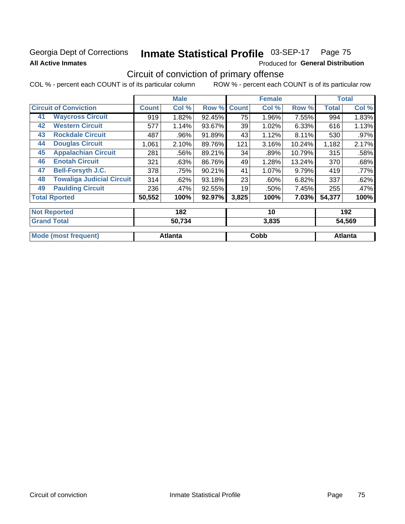# Georgia Dept of Corrections **All Active Inmates**

# Inmate Statistical Profile 03-SEP-17 Page 75

Produced for General Distribution

# Circuit of conviction of primary offense

COL % - percent each COUNT is of its particular column ROW % - percent each COUNT is of its particular row

|                     |                                  |              | <b>Male</b> |        |              | <b>Female</b> |        |              | <b>Total</b> |
|---------------------|----------------------------------|--------------|-------------|--------|--------------|---------------|--------|--------------|--------------|
|                     | <b>Circuit of Conviction</b>     | <b>Count</b> | Col %       | Row %  | <b>Count</b> | Col %         | Row %  | <b>Total</b> | Col %        |
| 41                  | <b>Waycross Circuit</b>          | 919          | 1.82%       | 92.45% | 75           | 1.96%         | 7.55%  | 994          | 1.83%        |
| 42                  | <b>Western Circuit</b>           | 577          | 1.14%       | 93.67% | 39           | 1.02%         | 6.33%  | 616          | 1.13%        |
| 43                  | <b>Rockdale Circuit</b>          | 487          | .96%        | 91.89% | 43           | 1.12%         | 8.11%  | 530          | $.97\%$      |
| 44                  | <b>Douglas Circuit</b>           | 1,061        | 2.10%       | 89.76% | 121          | 3.16%         | 10.24% | 1,182        | 2.17%        |
| 45                  | <b>Appalachian Circuit</b>       | 281          | .56%        | 89.21% | 34           | .89%          | 10.79% | 315          | .58%         |
| 46                  | <b>Enotah Circuit</b>            | 321          | .63%        | 86.76% | 49           | 1.28%         | 13.24% | 370          | .68%         |
| 47                  | <b>Bell-Forsyth J.C.</b>         | 378          | .75%        | 90.21% | 41           | 1.07%         | 9.79%  | 419          | .77%         |
| 48                  | <b>Towaliga Judicial Circuit</b> | 314          | .62%        | 93.18% | 23           | .60%          | 6.82%  | 337          | .62%         |
| 49                  | <b>Paulding Circuit</b>          | 236          | .47%        | 92.55% | 19           | .50%          | 7.45%  | 255          | .47%         |
|                     | <b>Total Rported</b>             | 50,552       | 100%        | 92.97% | 3,825        | 100%          | 7.03%  | 54,377       | 100%         |
| <b>Not Reported</b> |                                  |              | 182         |        |              | 10            |        |              | 192          |

| <b>Grand Total</b>           | 50,734         | 3,835 | 54,569  |
|------------------------------|----------------|-------|---------|
| Mode<br>` frequent)<br>(most | <b>Atlanta</b> | Cobb  | Atlanta |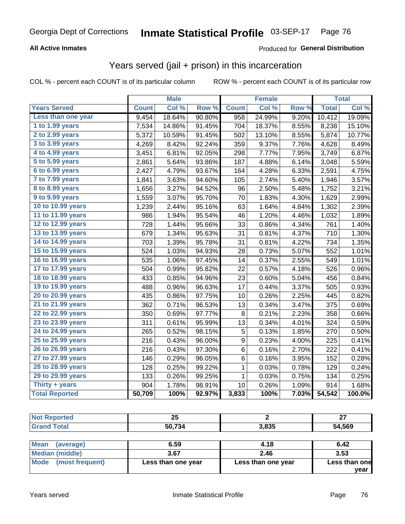### **All Active Inmates**

### Produced for **General Distribution**

# Years served (jail + prison) in this incarceration

|                       |              | <b>Male</b> |        |              | <b>Female</b>       |       |              | <b>Total</b> |
|-----------------------|--------------|-------------|--------|--------------|---------------------|-------|--------------|--------------|
| <b>Years Served</b>   | <b>Count</b> | Col %       | Row %  | <b>Count</b> | Col %               | Row % | <b>Total</b> | Col %        |
| Less than one year    | 9,454        | 18.64%      | 90.80% | 958          | 24.99%              | 9.20% | 10,412       | 19.09%       |
| 1 to 1.99 years       | 7,534        | 14.86%      | 91.45% | 704          | 18.37%              | 8.55% | 8,238        | 15.10%       |
| $2$ to 2.99 years     | 5,372        | 10.59%      | 91.45% | 502          | 13.10%              | 8.55% | 5,874        | 10.77%       |
| $3$ to $3.99$ years   | 4,269        | 8.42%       | 92.24% | 359          | 9.37%               | 7.76% | 4,628        | 8.49%        |
| 4 to 4.99 years       | 3,451        | 6.81%       | 92.05% | 298          | 7.77%               | 7.95% | 3,749        | 6.87%        |
| $5$ to $5.99$ years   | 2,861        | 5.64%       | 93.86% | 187          | 4.88%               | 6.14% | 3,048        | 5.59%        |
| 6 to 6.99 years       | 2,427        | 4.79%       | 93.67% | 164          | 4.28%               | 6.33% | 2,591        | 4.75%        |
| 7 to 7.99 years       | 1,841        | 3.63%       | 94.60% | 105          | 2.74%               | 5.40% | 1,946        | 3.57%        |
| 8 to 8.99 years       | 1,656        | 3.27%       | 94.52% | 96           | 2.50%               | 5.48% | 1,752        | 3.21%        |
| 9 to 9.99 years       | 1,559        | 3.07%       | 95.70% | 70           | 1.83%               | 4.30% | 1,629        | 2.99%        |
| 10 to 10.99 years     | 1,239        | 2.44%       | 95.16% | 63           | 1.64%               | 4.84% | 1,302        | 2.39%        |
| 11 to 11.99 years     | 986          | 1.94%       | 95.54% | 46           | $\overline{1.20\%}$ | 4.46% | 1,032        | 1.89%        |
| 12 to 12.99 years     | 728          | 1.44%       | 95.66% | 33           | 0.86%               | 4.34% | 761          | 1.40%        |
| 13 to 13.99 years     | 679          | 1.34%       | 95.63% | 31           | 0.81%               | 4.37% | 710          | 1.30%        |
| 14 to 14.99 years     | 703          | 1.39%       | 95.78% | 31           | 0.81%               | 4.22% | 734          | 1.35%        |
| 15 to 15.99 years     | 524          | 1.03%       | 94.93% | 28           | 0.73%               | 5.07% | 552          | 1.01%        |
| 16 to 16.99 years     | 535          | 1.06%       | 97.45% | 14           | 0.37%               | 2.55% | 549          | 1.01%        |
| 17 to 17.99 years     | 504          | 0.99%       | 95.82% | 22           | 0.57%               | 4.18% | 526          | 0.96%        |
| 18 to 18.99 years     | 433          | 0.85%       | 94.96% | 23           | 0.60%               | 5.04% | 456          | 0.84%        |
| 19 to 19.99 years     | 488          | 0.96%       | 96.63% | 17           | 0.44%               | 3.37% | 505          | 0.93%        |
| 20 to 20.99 years     | 435          | 0.86%       | 97.75% | 10           | 0.26%               | 2.25% | 445          | 0.82%        |
| 21 to 21.99 years     | 362          | 0.71%       | 96.53% | 13           | 0.34%               | 3.47% | 375          | 0.69%        |
| 22 to 22.99 years     | 350          | 0.69%       | 97.77% | 8            | 0.21%               | 2.23% | 358          | 0.66%        |
| 23 to 23.99 years     | 311          | 0.61%       | 95.99% | 13           | 0.34%               | 4.01% | 324          | 0.59%        |
| 24 to 24.99 years     | 265          | 0.52%       | 98.15% | 5            | 0.13%               | 1.85% | 270          | 0.50%        |
| 25 to 25.99 years     | 216          | 0.43%       | 96.00% | 9            | 0.23%               | 4.00% | 225          | 0.41%        |
| 26 to 26.99 years     | 216          | 0.43%       | 97.30% | 6            | 0.16%               | 2.70% | 222          | 0.41%        |
| 27 to 27.99 years     | 146          | 0.29%       | 96.05% | 6            | 0.16%               | 3.95% | 152          | 0.28%        |
| 28 to 28.99 years     | 128          | 0.25%       | 99.22% | 1            | 0.03%               | 0.78% | 129          | 0.24%        |
| 29 to 29.99 years     | 133          | 0.26%       | 99.25% | $\mathbf 1$  | 0.03%               | 0.75% | 134          | 0.25%        |
| Thirty + years        | 904          | 1.78%       | 98.91% | 10           | 0.26%               | 1.09% | 914          | 1.68%        |
| <b>Total Reported</b> | 50,709       | 100%        | 92.97% | 3,833        | 100%                | 7.03% | 54,542       | 100.0%       |

| <b>Not Reported</b> | クベ<br>ΔJ<br>__ |       | ^7<br><u>__</u> |
|---------------------|----------------|-------|-----------------|
| <b>Grand Total</b>  | 50,734         | 3,835 | 54,569          |
|                     |                |       |                 |

| Mean (average)         | 6.59               | 4.18               | 6.42          |
|------------------------|--------------------|--------------------|---------------|
| <b>Median (middle)</b> | 3.67               | 2.46               | 3.53          |
| Mode (most frequent)   | Less than one year | Less than one year | Less than one |
|                        |                    |                    | vear          |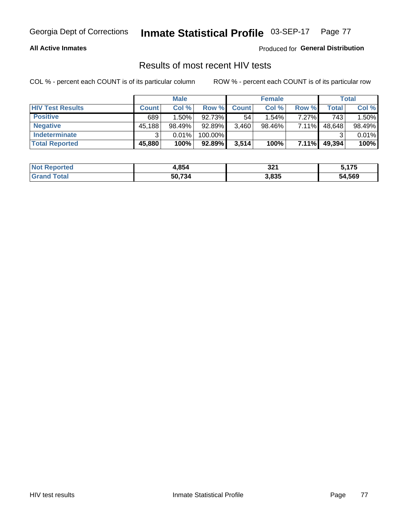### **All Active Inmates**

Produced for **General Distribution**

## Results of most recent HIV tests

|                         |              | <b>Male</b> |           |              | <b>Female</b> |          |        | <b>Total</b> |
|-------------------------|--------------|-------------|-----------|--------------|---------------|----------|--------|--------------|
| <b>HIV Test Results</b> | <b>Count</b> | Col %       | Row %I    | <b>Count</b> | Col %         | Row %    | Total  | Col %        |
| <b>Positive</b>         | 689          | 1.50%       | 92.73%    | 54           | 1.54%         | 7.27%    | 743    | 1.50%        |
| <b>Negative</b>         | 45,188       | 98.49%      | 92.89%    | 3,460        | 98.46%        | 7.11%    | 48,648 | 98.49%       |
| <b>Indeterminate</b>    | ີ            | 0.01%       | 100.00%   |              |               |          |        | 0.01%        |
| <b>Total Reported</b>   | 45,880       | 100%        | $92.89\%$ | 3,514        | 100%          | $7.11\%$ | 49,394 | 100%         |

| <b>Not Reported</b> | 4,854  | 321   | 5,175  |
|---------------------|--------|-------|--------|
| <b>Grand Total</b>  | 50.734 | 3,835 | 54,569 |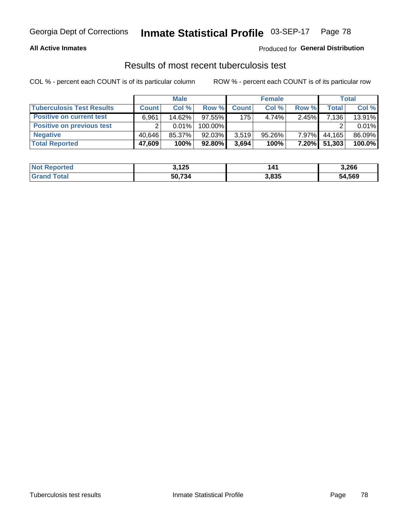### **All Active Inmates**

### Produced for **General Distribution**

### Results of most recent tuberculosis test

|                                  | <b>Male</b>  |        | <b>Female</b> |              |           | Total    |        |        |
|----------------------------------|--------------|--------|---------------|--------------|-----------|----------|--------|--------|
| <b>Tuberculosis Test Results</b> | <b>Count</b> | Col %  | Row %         | <b>Count</b> | Col %     | Row %    | Total  | Col %  |
| <b>Positive on current test</b>  | 6,961        | 14.62% | $97.55\%$     | 175          | 4.74%     | 2.45%    | 7,136  | 13.91% |
| <b>Positive on previous test</b> |              | 0.01%  | 100.00%       |              |           |          |        | 0.01%  |
| <b>Negative</b>                  | 40.646       | 85.37% | 92.03%        | 3.519        | $95.26\%$ | $7.97\%$ | 44.165 | 86.09% |
| <b>Total Reported</b>            | 47,609       | 100%   | 92.80%        | 3,694        | 100%      | $7.20\%$ | 51,303 | 100.0% |

| <b>Not Reported</b> | 3,125  | 141   | 3,266  |
|---------------------|--------|-------|--------|
| Total<br>'Grand     | 50,734 | 3,835 | 54,569 |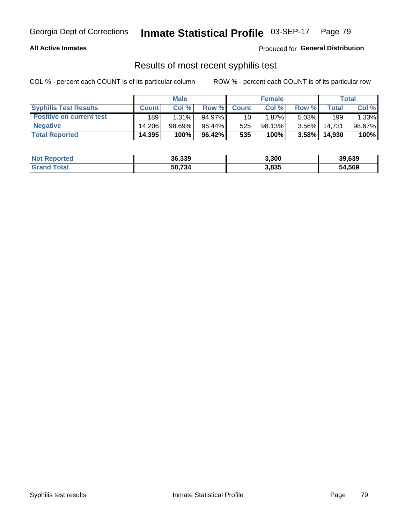### **All Active Inmates**

Produced for **General Distribution**

## Results of most recent syphilis test

|                                 | <b>Male</b>  |          |           | <b>Female</b>   |        |          | Total  |        |
|---------------------------------|--------------|----------|-----------|-----------------|--------|----------|--------|--------|
| <b>Syphilis Test Results</b>    | <b>Count</b> | Col%     | Row %     | <b>Count</b>    | Col %  | Row %I   | Total  | Col %  |
| <b>Positive on current test</b> | 189          | $1.31\%$ | $94.97\%$ | 10 <sub>1</sub> | 1.87%  | $5.03\%$ | 199    | 1.33%  |
| <b>Negative</b>                 | 14.206       | 98.69%   | 96.44%    | 525             | 98.13% | $3.56\%$ | 14.731 | 98.67% |
| <b>Total Reported</b>           | 14,395       | 100%     | 96.42%    | 535             | 100%   | 3.58%    | 14,930 | 100%   |

| <b>Not Reported</b> | 36,339 | 3,300 | 39,639 |
|---------------------|--------|-------|--------|
| <b>Grand Total</b>  | 50.734 | 3,835 | 54,569 |